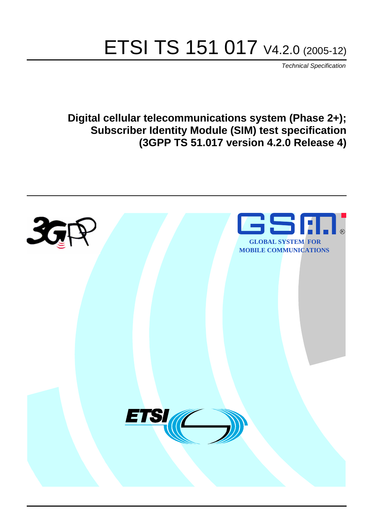# ETSI TS 151 017 V4.2.0 (2005-12)

Technical Specification

**Digital cellular telecommunications system (Phase 2+); Subscriber Identity Module (SIM) test specification (3GPP TS 51.017 version 4.2.0 Release 4)**

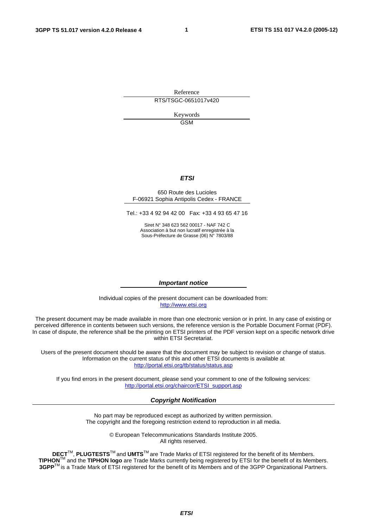Reference RTS/TSGC-0651017v420

> Keywords GSM

#### **ETSI**

#### 650 Route des Lucioles F-06921 Sophia Antipolis Cedex - FRANCE

Tel.: +33 4 92 94 42 00 Fax: +33 4 93 65 47 16

Siret N° 348 623 562 00017 - NAF 742 C Association à but non lucratif enregistrée à la Sous-Préfecture de Grasse (06) N° 7803/88

#### **Important notice**

Individual copies of the present document can be downloaded from: [http://www.etsi.org](http://www.etsi.org/)

The present document may be made available in more than one electronic version or in print. In any case of existing or perceived difference in contents between such versions, the reference version is the Portable Document Format (PDF). In case of dispute, the reference shall be the printing on ETSI printers of the PDF version kept on a specific network drive within ETSI Secretariat.

Users of the present document should be aware that the document may be subject to revision or change of status. Information on the current status of this and other ETSI documents is available at <http://portal.etsi.org/tb/status/status.asp>

If you find errors in the present document, please send your comment to one of the following services: [http://portal.etsi.org/chaircor/ETSI\\_support.asp](http://portal.etsi.org/chaircor/ETSI_support.asp)

#### **Copyright Notification**

No part may be reproduced except as authorized by written permission. The copyright and the foregoing restriction extend to reproduction in all media.

> © European Telecommunications Standards Institute 2005. All rights reserved.

**DECT**TM, **PLUGTESTS**TM and **UMTS**TM are Trade Marks of ETSI registered for the benefit of its Members. **TIPHON**TM and the **TIPHON logo** are Trade Marks currently being registered by ETSI for the benefit of its Members. **3GPP**TM is a Trade Mark of ETSI registered for the benefit of its Members and of the 3GPP Organizational Partners.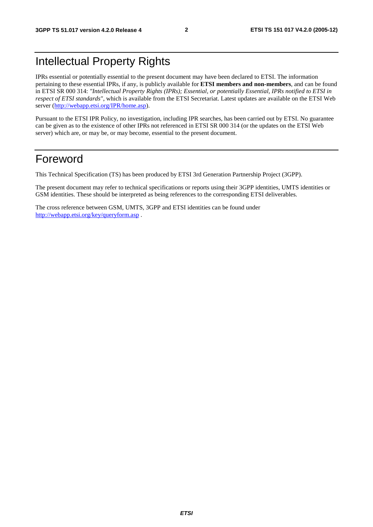# Intellectual Property Rights

IPRs essential or potentially essential to the present document may have been declared to ETSI. The information pertaining to these essential IPRs, if any, is publicly available for **ETSI members and non-members**, and can be found in ETSI SR 000 314: *"Intellectual Property Rights (IPRs); Essential, or potentially Essential, IPRs notified to ETSI in respect of ETSI standards"*, which is available from the ETSI Secretariat. Latest updates are available on the ETSI Web server ([http://webapp.etsi.org/IPR/home.asp\)](http://webapp.etsi.org/IPR/home.asp).

Pursuant to the ETSI IPR Policy, no investigation, including IPR searches, has been carried out by ETSI. No guarantee can be given as to the existence of other IPRs not referenced in ETSI SR 000 314 (or the updates on the ETSI Web server) which are, or may be, or may become, essential to the present document.

# Foreword

This Technical Specification (TS) has been produced by ETSI 3rd Generation Partnership Project (3GPP).

The present document may refer to technical specifications or reports using their 3GPP identities, UMTS identities or GSM identities. These should be interpreted as being references to the corresponding ETSI deliverables.

The cross reference between GSM, UMTS, 3GPP and ETSI identities can be found under <http://webapp.etsi.org/key/queryform.asp>.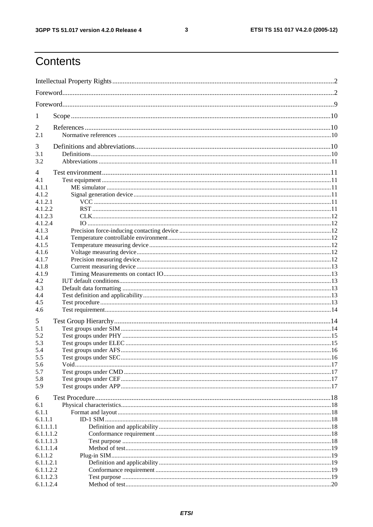$\mathbf{3}$ 

# Contents

| 1              |  |
|----------------|--|
| 2              |  |
| 2.1            |  |
| 3              |  |
| 3.1            |  |
| 3.2            |  |
| $\overline{4}$ |  |
| 4.1            |  |
| 4.1.1          |  |
| 4.1.2          |  |
| 4.1.2.1        |  |
| 4.1.2.2        |  |
| 4.1.2.3        |  |
| 4.1.2.4        |  |
| 4.1.3          |  |
| 4.1.4          |  |
| 4.1.5          |  |
| 4.1.6          |  |
| 4.1.7          |  |
| 4.1.8<br>4.1.9 |  |
| 4.2            |  |
| 4.3            |  |
| 4.4            |  |
| 4.5            |  |
| 4.6            |  |
| 5              |  |
| 5.1            |  |
| 5.2            |  |
| 5.3            |  |
| 5.4            |  |
| 5.5            |  |
| 5.6            |  |
| 5.7            |  |
| 5.8            |  |
| 5.9            |  |
| 6              |  |
| 6.1            |  |
| 6.1.1          |  |
| 6.1.1.1        |  |
| 6.1.1.1.1      |  |
| 6.1.1.1.2      |  |
| 6.1.1.1.3      |  |
| 6.1.1.1.4      |  |
| 6.1.1.2        |  |
| 6.1.1.2.1      |  |
| 6.1.1.2.2      |  |
| 6.1.1.2.3      |  |
| 6.1.1.2.4      |  |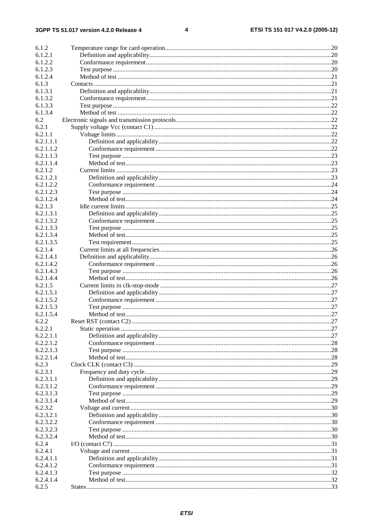#### $\overline{\mathbf{4}}$

| 6.1.2     |                         |     |
|-----------|-------------------------|-----|
| 6.1.2.1   |                         |     |
| 6.1.2.2   |                         |     |
| 6.1.2.3   |                         |     |
| 6.1.2.4   |                         |     |
| 6.1.3     |                         |     |
| 6.1.3.1   |                         |     |
| 6.1.3.2   |                         |     |
| 6.1.3.3   |                         |     |
| 6.1.3.4   |                         |     |
| 6.2       |                         |     |
| 6.2.1     |                         |     |
| 6.2.1.1   |                         |     |
| 6.2.1.1.1 |                         |     |
| 6.2.1.1.2 |                         |     |
| 6.2.1.1.3 |                         |     |
| 6.2.1.1.4 |                         |     |
| 6.2.1.2   |                         |     |
| 6.2.1.2.1 |                         |     |
| 6.2.1.2.2 |                         |     |
| 6.2.1.2.3 |                         |     |
| 6.2.1.2.4 |                         |     |
| 6.2.1.3   |                         |     |
| 6.2.1.3.1 |                         |     |
| 6.2.1.3.2 |                         |     |
| 6.2.1.3.3 |                         |     |
| 6.2.1.3.4 |                         |     |
| 6.2.1.3.5 |                         |     |
| 6.2.1.4   |                         |     |
| 6.2.1.4.1 |                         |     |
| 6.2.1.4.2 |                         |     |
| 6.2.1.4.3 |                         |     |
| 6.2.1.4.4 |                         |     |
| 6.2.1.5   |                         |     |
| 6.2.1.5.1 |                         |     |
| 6.2.1.5.2 |                         |     |
| 6.2.1.5.3 |                         |     |
| 6.2.1.5.4 |                         |     |
| 6.2.2     | Reset RST (contact C2). | .27 |
| 6.2.2.1   |                         |     |
| 6.2.2.1.1 |                         |     |
| 6.2.2.1.2 |                         |     |
| 6.2.2.1.3 |                         |     |
| 6.2.2.1.4 |                         |     |
| 6.2.3     |                         |     |
| 6.2.3.1   |                         |     |
| 6.2.3.1.1 |                         |     |
| 6.2.3.1.2 |                         |     |
| 6.2.3.1.3 |                         |     |
| 6.2.3.1.4 |                         |     |
| 6.2.3.2   |                         |     |
| 6.2.3.2.1 |                         |     |
| 6.2.3.2.2 |                         |     |
| 6.2.3.2.3 |                         |     |
| 6.2.3.2.4 |                         |     |
| 6.2.4     |                         |     |
| 6.2.4.1   |                         |     |
| 6.2.4.1.1 |                         |     |
| 6.2.4.1.2 |                         |     |
| 6.2.4.1.3 |                         |     |
| 6.2.4.1.4 |                         |     |
| 6.2.5     |                         |     |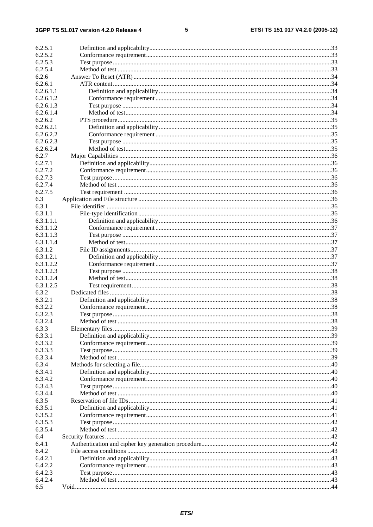#### $5\phantom{a}$

| 6.2.5.1   |  |
|-----------|--|
| 6.2.5.2   |  |
| 6.2.5.3   |  |
| 6.2.5.4   |  |
| 6.2.6     |  |
| 6.2.6.1   |  |
| 6.2.6.1.1 |  |
|           |  |
| 6.2.6.1.2 |  |
| 6.2.6.1.3 |  |
| 6.2.6.1.4 |  |
| 6.2.6.2   |  |
| 6.2.6.2.1 |  |
| 6.2.6.2.2 |  |
|           |  |
| 6.2.6.2.3 |  |
| 6.2.6.2.4 |  |
| 6.2.7     |  |
| 6.2.7.1   |  |
| 6.2.7.2   |  |
| 6.2.7.3   |  |
| 6.2.7.4   |  |
| 6.2.7.5   |  |
|           |  |
| 6.3       |  |
| 6.3.1     |  |
| 6.3.1.1   |  |
| 6.3.1.1.1 |  |
| 6.3.1.1.2 |  |
| 6.3.1.1.3 |  |
|           |  |
| 6.3.1.1.4 |  |
| 6.3.1.2   |  |
| 6.3.1.2.1 |  |
| 6.3.1.2.2 |  |
| 6.3.1.2.3 |  |
| 6.3.1.2.4 |  |
| 6.3.1.2.5 |  |
| 6.3.2     |  |
|           |  |
| 6.3.2.1   |  |
| 6.3.2.2   |  |
| 6.3.2.3   |  |
| 6.3.2.4   |  |
| 6.3.3     |  |
| 6.3.3.1   |  |
| 6.3.3.2   |  |
|           |  |
| 6.3.3.3   |  |
| 6.3.3.4   |  |
| 6.3.4     |  |
| 6.3.4.1   |  |
| 6.3.4.2   |  |
| 6.3.4.3   |  |
| 6.3.4.4   |  |
| 6.3.5     |  |
|           |  |
| 6.3.5.1   |  |
| 6.3.5.2   |  |
| 6.3.5.3   |  |
| 6.3.5.4   |  |
| 6.4       |  |
| 6.4.1     |  |
| 6.4.2     |  |
|           |  |
| 6.4.2.1   |  |
| 6.4.2.2   |  |
| 6.4.2.3   |  |
| 6.4.2.4   |  |
| 6.5       |  |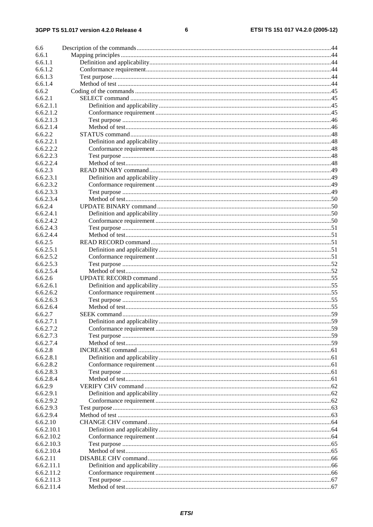#### $\bf 6$

| 6.6        |  |
|------------|--|
| 6.6.1      |  |
| 6.6.1.1    |  |
| 6.6.1.2    |  |
| 6.6.1.3    |  |
| 6.6.1.4    |  |
| 6.6.2      |  |
| 6.6.2.1    |  |
| 6.6.2.1.1  |  |
| 6.6.2.1.2  |  |
| 6.6.2.1.3  |  |
| 6.6.2.1.4  |  |
| 6.6.2.2    |  |
| 6.6.2.2.1  |  |
| 6.6.2.2.2  |  |
| 6.6.2.2.3  |  |
| 6.6.2.2.4  |  |
| 6.6.2.3    |  |
| 6.6.2.3.1  |  |
| 6.6.2.3.2  |  |
| 6.6.2.3.3  |  |
| 6.6.2.3.4  |  |
| 6.6.2.4    |  |
| 6.6.2.4.1  |  |
| 6.6.2.4.2  |  |
| 6.6.2.4.3  |  |
| 6.6.2.4.4  |  |
| 6.6.2.5    |  |
| 6.6.2.5.1  |  |
| 6.6.2.5.2  |  |
| 6.6.2.5.3  |  |
| 6.6.2.5.4  |  |
| 6.6.2.6    |  |
| 6.6.2.6.1  |  |
| 6.6.2.6.2  |  |
| 6.6.2.6.3  |  |
| 6.6.2.6.4  |  |
| 6.6.2.7    |  |
| 6.6.2.7.1  |  |
| 6.6.2.7.2  |  |
| 6.6.2.7.3  |  |
| 6.6.2.7.4  |  |
| 6.6.2.8    |  |
| 6.6.2.8.1  |  |
| 6.6.2.8.2  |  |
| 6.6.2.8.3  |  |
| 6.6.2.8.4  |  |
| 6.6.2.9    |  |
| 6.6.2.9.1  |  |
| 6.6.2.9.2  |  |
| 6.6.2.9.3  |  |
| 6.6.2.9.4  |  |
| 6.6.2.10   |  |
| 6.6.2.10.1 |  |
| 6.6.2.10.2 |  |
| 6.6.2.10.3 |  |
| 6.6.2.10.4 |  |
| 6.6.2.11   |  |
| 6.6.2.11.1 |  |
| 6.6.2.11.2 |  |
| 6.6.2.11.3 |  |
| 6.6.2.11.4 |  |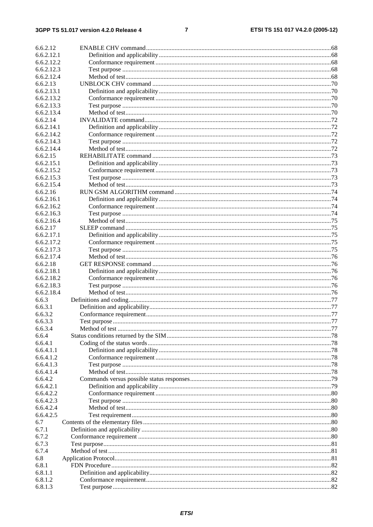#### $\overline{7}$

| 6.6.2.12   |  |
|------------|--|
| 6.6.2.12.1 |  |
| 6.6.2.12.2 |  |
| 6.6.2.12.3 |  |
| 6.6.2.12.4 |  |
| 6.6.2.13   |  |
| 6.6.2.13.1 |  |
| 6.6.2.13.2 |  |
| 6.6.2.13.3 |  |
| 6.6.2.13.4 |  |
| 6.6.2.14   |  |
| 6.6.2.14.1 |  |
| 6.6.2.14.2 |  |
| 6.6.2.14.3 |  |
| 6.6.2.14.4 |  |
| 6.6.2.15   |  |
| 6.6.2.15.1 |  |
| 6.6.2.15.2 |  |
| 6.6.2.15.3 |  |
| 6.6.2.15.4 |  |
| 6.6.2.16   |  |
| 6.6.2.16.1 |  |
| 6.6.2.16.2 |  |
| 6.6.2.16.3 |  |
| 6.6.2.16.4 |  |
| 6.6.2.17   |  |
| 6.6.2.17.1 |  |
| 6.6.2.17.2 |  |
| 6.6.2.17.3 |  |
|            |  |
| 6.6.2.17.4 |  |
| 6.6.2.18   |  |
| 6.6.2.18.1 |  |
| 6.6.2.18.2 |  |
| 6.6.2.18.3 |  |
| 6.6.2.18.4 |  |
| 6.6.3      |  |
| 6.6.3.1    |  |
| 6.6.3.2    |  |
| 6.6.3.3    |  |
| 6.6.3.4    |  |
| 6.6.4      |  |
| 6.6.4.1    |  |
| 6.6.4.1.1  |  |
| 6.6.4.1.2  |  |
| 6.6.4.1.3  |  |
| 6.6.4.1.4  |  |
| 6.6.4.2    |  |
| 6.6.4.2.1  |  |
| 6.6.4.2.2  |  |
| 6.6.4.2.3  |  |
| 6.6.4.2.4  |  |
| 6.6.4.2.5  |  |
| 6.7        |  |
| 6.7.1      |  |
| 6.7.2      |  |
| 6.7.3      |  |
| 6.7.4      |  |
| 6.8        |  |
| 6.8.1      |  |
| 6.8.1.1    |  |
| 6.8.1.2    |  |
| 6.8.1.3    |  |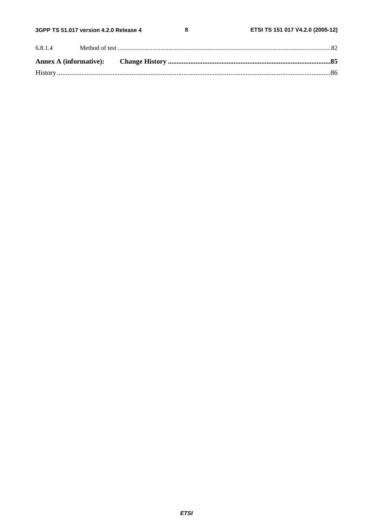$\bf 8$ 

| 6.8.1.4 |  |  |
|---------|--|--|
|         |  |  |
|         |  |  |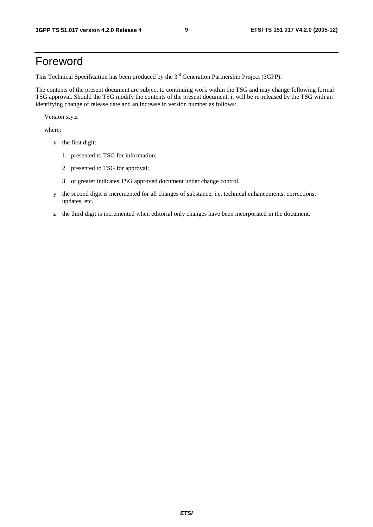# Foreword

This Technical Specification has been produced by the 3<sup>rd</sup> Generation Partnership Project (3GPP).

The contents of the present document are subject to continuing work within the TSG and may change following formal TSG approval. Should the TSG modify the contents of the present document, it will be re-released by the TSG with an identifying change of release date and an increase in version number as follows:

Version x.y.z

where:

- x the first digit:
	- 1 presented to TSG for information;
	- 2 presented to TSG for approval;
	- 3 or greater indicates TSG approved document under change control.
- y the second digit is incremented for all changes of substance, i.e. technical enhancements, corrections, updates, etc.
- z the third digit is incremented when editorial only changes have been incorporated in the document.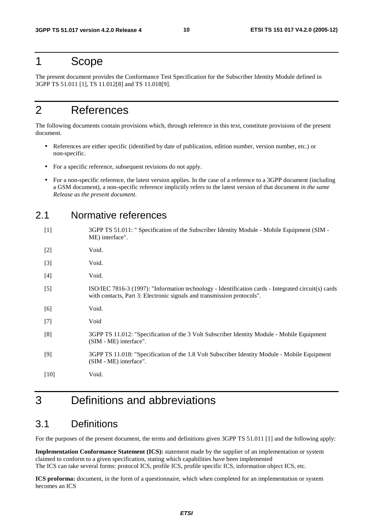# 1 Scope

The present document provides the Conformance Test Specification for the Subscriber Identity Module defined in 3GPP TS 51.011 [1], TS 11.012[8] and TS 11.018[9].

# 2 References

The following documents contain provisions which, through reference in this text, constitute provisions of the present document.

- References are either specific (identified by date of publication, edition number, version number, etc.) or non-specific.
- For a specific reference, subsequent revisions do not apply.
- For a non-specific reference, the latest version applies. In the case of a reference to a 3GPP document (including a GSM document), a non-specific reference implicitly refers to the latest version of that document *in the same Release as the present document*.

# 2.1 Normative references

| $[1]$  | 3GPP TS 51.011: " Specification of the Subscriber Identity Module - Mobile Equipment (SIM -<br>ME) interface".                                                                |
|--------|-------------------------------------------------------------------------------------------------------------------------------------------------------------------------------|
| $[2]$  | Void.                                                                                                                                                                         |
| $[3]$  | Void.                                                                                                                                                                         |
| $[4]$  | Void.                                                                                                                                                                         |
| $[5]$  | ISO/IEC 7816-3 (1997): "Information technology - Identification cards - Integrated circuit(s) cards<br>with contacts, Part 3: Electronic signals and transmission protocols". |
| [6]    | Void.                                                                                                                                                                         |
| $[7]$  | Void                                                                                                                                                                          |
| [8]    | 3GPP TS 11.012: "Specification of the 3 Volt Subscriber Identity Module - Mobile Equipment<br>(SIM - ME) interface".                                                          |
| [9]    | 3GPP TS 11.018: "Specification of the 1.8 Volt Subscriber Identity Module - Mobile Equipment<br>(SIM - ME) interface".                                                        |
| $[10]$ | Void.                                                                                                                                                                         |

# 3 Definitions and abbreviations

# 3.1 Definitions

For the purposes of the present document, the terms and definitions given 3GPP TS 51.011 [1] and the following apply:

**Implementation Conformance Statement (ICS):** statement made by the supplier of an implementation or system claimed to conform to a given specification, stating which capabilities have been implemented The ICS can take several forms: protocol ICS, profile ICS, profile specific ICS, information object ICS, etc.

**ICS proforma:** document, in the form of a questionnaire, which when completed for an implementation or system becomes an ICS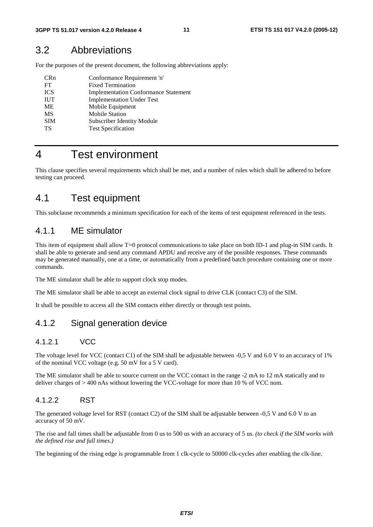# 3.2 Abbreviations

For the purposes of the present document, the following abbreviations apply:

| <b>CRn</b> | Conformance Requirement 'n'                 |
|------------|---------------------------------------------|
| FT         | <b>Fixed Termination</b>                    |
| <b>ICS</b> | <b>Implementation Conformance Statement</b> |
| <b>IUT</b> | <b>Implementation Under Test</b>            |
| ME         | Mobile Equipment                            |
| <b>MS</b>  | <b>Mobile Station</b>                       |
| <b>SIM</b> | Subscriber Identity Module                  |
| TS         | <b>Test Specification</b>                   |

# 4 Test environment

This clause specifies several requirements which shall be met, and a number of rules which shall be adhered to before testing can proceed.

# 4.1 Test equipment

This subclause recommends a minimum specification for each of the items of test equipment referenced in the tests.

### 4.1.1 ME simulator

This item of equipment shall allow T=0 protocol communications to take place on both ID-1 and plug-in SIM cards. It shall be able to generate and send any command APDU and receive any of the possible responses. These commands may be generated manually, one at a time, or automatically from a predefined batch procedure containing one or more commands.

The ME simulator shall be able to support clock stop modes.

The ME simulator shall be able to accept an external clock signal to drive CLK (contact C3) of the SIM.

It shall be possible to access all the SIM contacts either directly or through test points.

### 4.1.2 Signal generation device

### 4.1.2.1 VCC

The voltage level for VCC (contact C1) of the SIM shall be adjustable between -0,5 V and 6.0 V to an accuracy of 1% of the nominal VCC voltage (e.g. 50 mV for a 5 V card).

The ME simulator shall be able to source current on the VCC contact in the range -2 mA to 12 mA statically and to deliver charges of > 400 nAs without lowering the VCC-voltage for more than 10 % of VCC nom.

### 4.1.2.2 RST

The generated voltage level for RST (contact C2) of the SIM shall be adjustable between -0,5 V and 6.0 V to an accuracy of 50 mV.

The rise and fall times shall be adjustable from 0 us to 500 us with an accuracy of 5 us. *(to check if the SIM works with the defined rise and fall times.)*

The beginning of the rising edge is programmable from 1 clk-cycle to 50000 clk-cycles after enabling the clk-line.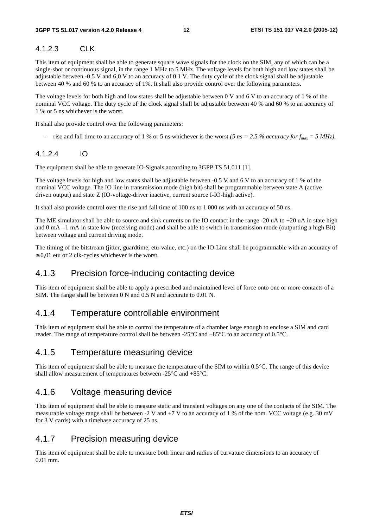### 4.1.2.3 CLK

This item of equipment shall be able to generate square wave signals for the clock on the SIM, any of which can be a single-shot or continuous signal, in the range 1 MHz to 5 MHz. The voltage levels for both high and low states shall be adjustable between -0,5 V and 6,0 V to an accuracy of 0.1 V. The duty cycle of the clock signal shall be adjustable between 40 % and 60 % to an accuracy of 1%. It shall also provide control over the following parameters.

The voltage levels for both high and low states shall be adjustable between 0 V and 6 V to an accuracy of 1 % of the nominal VCC voltage. The duty cycle of the clock signal shall be adjustable between 40 % and 60 % to an accuracy of 1 % or 5 ns whichever is the worst.

It shall also provide control over the following parameters:

rise and fall time to an accuracy of 1 % or 5 ns whichever is the worst *(5 ns = 2.5 % accuracy for*  $f_{max} = 5 \text{ MHz}$ *).* 

#### 4.1.2.4 IO

The equipment shall be able to generate IO-Signals according to 3GPP TS 51.011 [1].

The voltage levels for high and low states shall be adjustable between -0.5 V and 6 V to an accuracy of 1 % of the nominal VCC voltage. The IO line in transmission mode (high bit) shall be programmable between state A (active driven output) and state Z (IO-voltage-driver inactive, current source I-IO-high active).

It shall also provide control over the rise and fall time of 100 ns to 1 000 ns with an accuracy of 50 ns.

The ME simulator shall be able to source and sink currents on the IO contact in the range -20 uA to +20 uA in state high and 0 mA -1 mA in state low (receiving mode) and shall be able to switch in transmission mode (outputting a high Bit) between voltage and current driving mode.

The timing of the bitstream (jitter, guardtime, etu-value, etc.) on the IO-Line shall be programmable with an accuracy of  $\leq 0.01$  etu or 2 clk-cycles whichever is the worst.

### 4.1.3 Precision force-inducing contacting device

This item of equipment shall be able to apply a prescribed and maintained level of force onto one or more contacts of a SIM. The range shall be between 0 N and 0.5 N and accurate to 0.01 N.

### 4.1.4 Temperature controllable environment

This item of equipment shall be able to control the temperature of a chamber large enough to enclose a SIM and card reader. The range of temperature control shall be between -25°C and +85°C to an accuracy of 0.5°C.

### 4.1.5 Temperature measuring device

This item of equipment shall be able to measure the temperature of the SIM to within 0.5°C. The range of this device shall allow measurement of temperatures between -25°C and +85°C.

### 4.1.6 Voltage measuring device

This item of equipment shall be able to measure static and transient voltages on any one of the contacts of the SIM. The measurable voltage range shall be between -2 V and +7 V to an accuracy of 1 % of the nom. VCC voltage (e.g. 30 mV for 3 V cards) with a timebase accuracy of 25 ns.

### 4.1.7 Precision measuring device

This item of equipment shall be able to measure both linear and radius of curvature dimensions to an accuracy of 0.01 mm.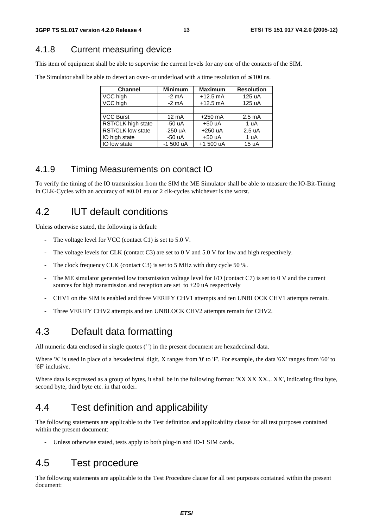# 4.1.8 Current measuring device

This item of equipment shall be able to supervise the current levels for any one of the contacts of the SIM.

The Simulator shall be able to detect an over- or underload with a time resolution of  $\leq 100$  ns.

| <b>Channel</b>           | <b>Minimum</b>  | <b>Maximum</b> | <b>Resolution</b> |
|--------------------------|-----------------|----------------|-------------------|
| VCC high                 | $-2$ mA         | $+12.5$ mA     | 125 uA            |
| VCC high                 | $-2$ mA         | $+12.5$ mA     | 125 uA            |
|                          |                 |                |                   |
| <b>VCC Burst</b>         | $12 \text{ mA}$ | $+250$ mA      | $2.5 \text{ mA}$  |
| RST/CLK high state       | $-50 uA$        | $+50 uA$       | 1 uA              |
| <b>RST/CLK low state</b> | $-250$ uA       | $+250$ uA      | 2.5 uA            |
| IO high state            | $-50 uA$        | $+50 uA$       | 1 uA              |
| IO low state             | $-1500 uA$      | +1 500 uA      | 15 uA             |

### 4.1.9 Timing Measurements on contact IO

To verify the timing of the IO transmission from the SIM the ME Simulator shall be able to measure the IO-Bit-Timing in CLK-Cycles with an accuracy of  $\leq 0.01$  etu or 2 clk-cycles whichever is the worst.

# 4.2 IUT default conditions

Unless otherwise stated, the following is default:

- The voltage level for VCC (contact C1) is set to  $5.0$  V.
- The voltage levels for CLK (contact C3) are set to 0 V and 5.0 V for low and high respectively.
- The clock frequency CLK (contact C3) is set to 5 MHz with duty cycle 50 %.
- The ME simulator generated low transmission voltage level for I/O (contact C7) is set to 0 V and the current sources for high transmission and reception are set to  $\pm 20$  uA respectively
- CHV1 on the SIM is enabled and three VERIFY CHV1 attempts and ten UNBLOCK CHV1 attempts remain.
- Three VERIFY CHV2 attempts and ten UNBLOCK CHV2 attempts remain for CHV2.

# 4.3 Default data formatting

All numeric data enclosed in single quotes (' ') in the present document are hexadecimal data.

Where 'X' is used in place of a hexadecimal digit, X ranges from '0' to 'F'. For example, the data '6X' ranges from '60' to '6F' inclusive.

Where data is expressed as a group of bytes, it shall be in the following format: 'XX XX XX... XX', indicating first byte, second byte, third byte etc. in that order.

# 4.4 Test definition and applicability

The following statements are applicable to the Test definition and applicability clause for all test purposes contained within the present document:

Unless otherwise stated, tests apply to both plug-in and ID-1 SIM cards.

# 4.5 Test procedure

The following statements are applicable to the Test Procedure clause for all test purposes contained within the present document: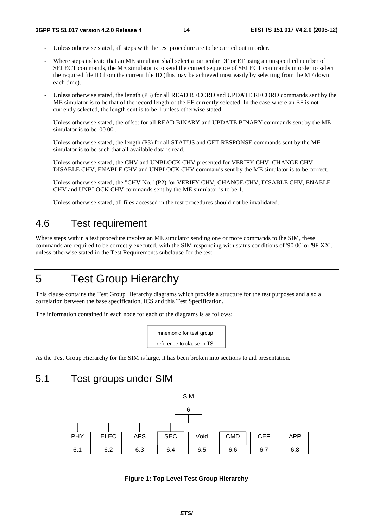- Unless otherwise stated, all steps with the test procedure are to be carried out in order.
- Where steps indicate that an ME simulator shall select a particular DF or EF using an unspecified number of SELECT commands, the ME simulator is to send the correct sequence of SELECT commands in order to select the required file ID from the current file ID (this may be achieved most easily by selecting from the MF down each time).
- Unless otherwise stated, the length (P3) for all READ RECORD and UPDATE RECORD commands sent by the ME simulator is to be that of the record length of the EF currently selected. In the case where an EF is not currently selected, the length sent is to be 1 unless otherwise stated.
- Unless otherwise stated, the offset for all READ BINARY and UPDATE BINARY commands sent by the ME simulator is to be '00 00'.
- Unless otherwise stated, the length (P3) for all STATUS and GET RESPONSE commands sent by the ME simulator is to be such that all available data is read.
- Unless otherwise stated, the CHV and UNBLOCK CHV presented for VERIFY CHV, CHANGE CHV, DISABLE CHV, ENABLE CHV and UNBLOCK CHV commands sent by the ME simulator is to be correct.
- Unless otherwise stated, the "CHV No." (P2) for VERIFY CHV, CHANGE CHV, DISABLE CHV, ENABLE CHV and UNBLOCK CHV commands sent by the ME simulator is to be 1.
- Unless otherwise stated, all files accessed in the test procedures should not be invalidated.

# 4.6 Test requirement

Where steps within a test procedure involve an ME simulator sending one or more commands to the SIM, these commands are required to be correctly executed, with the SIM responding with status conditions of '90 00' or '9F XX', unless otherwise stated in the Test Requirements subclause for the test.

# 5 Test Group Hierarchy

This clause contains the Test Group Hierarchy diagrams which provide a structure for the test purposes and also a correlation between the base specification, ICS and this Test Specification.

The information contained in each node for each of the diagrams is as follows:

mnemonic for test group reference to clause in TS

As the Test Group Hierarchy for the SIM is large, it has been broken into sections to aid presentation.

# 5.1 Test groups under SIM



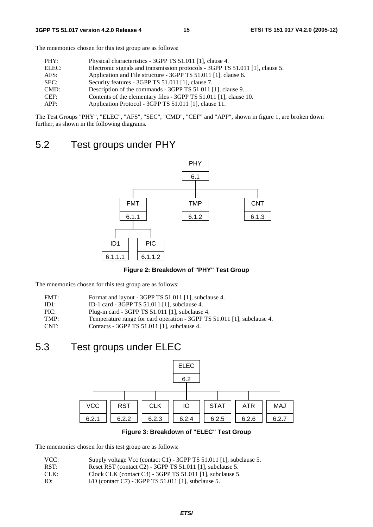The mnemonics chosen for this test group are as follows:

| PHY:  | Physical characteristics - 3GPP TS 51.011 [1], clause 4.                      |
|-------|-------------------------------------------------------------------------------|
| ELEC: | Electronic signals and transmission protocols - 3GPP TS 51.011 [1], clause 5. |
| AFS:  | Application and File structure - 3GPP TS 51.011 [1], clause 6.                |
| SEC:  | Security features - 3GPP TS 51.011 [1], clause 7.                             |
| CMD:  | Description of the commands - 3GPP TS 51.011 [1], clause 9.                   |
| CEF:  | Contents of the elementary files - 3GPP TS 51.011 [1], clause 10.             |
| APP:  | Application Protocol - 3GPP TS 51.011 [1], clause 11.                         |

The Test Groups "PHY", "ELEC", "AFS", "SEC", "CMD", "CEF" and "APP", shown in figure 1, are broken down further, as shown in the following diagrams.

# 5.2 Test groups under PHY



**Figure 2: Breakdown of "PHY" Test Group** 

The mnemonics chosen for this test group are as follows:

| FMT: |  | Format and layout - 3GPP TS 51.011 [1], subclause 4. |
|------|--|------------------------------------------------------|
|------|--|------------------------------------------------------|

- ID1: ID-1 card 3GPP TS 51.011 [1], subclause 4.
- PIC: Plug-in card 3GPP TS 51.011 [1], subclause 4.
- TMP: Temperature range for card operation 3GPP TS 51.011 [1], subclause 4.<br>CNT: Contacts 3GPP TS 51.011 [1], subclause 4.
- Contacts 3GPP TS  $51.011$  [1], subclause 4.

# 5.3 Test groups under ELEC



**Figure 3: Breakdown of "ELEC" Test Group** 

The mnemonics chosen for this test group are as follows:

| VCC: |  |  | Supply voltage Vcc (contact C1) - 3GPP TS 51.011 [1], subclause 5. |
|------|--|--|--------------------------------------------------------------------|
|------|--|--|--------------------------------------------------------------------|

- RST: Reset RST (contact C2) 3GPP TS 51.011 [1], subclause 5.
- CLK: Clock CLK (contact C3) 3GPP TS 51.011 [1], subclause 5.
- IO: I/O (contact C7) 3GPP TS 51.011 [1], subclause 5.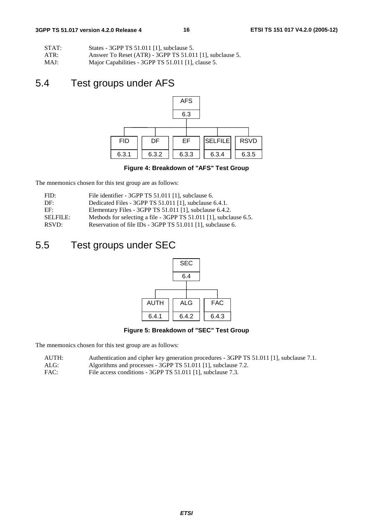| STAT: | States - 3GPP TS 51.011 [1], subclause 5.                |
|-------|----------------------------------------------------------|
| ATR:  | Answer To Reset (ATR) - 3GPP TS 51.011 [1], subclause 5. |

MAJ: Major Capabilities - 3GPP TS 51.011 [1], clause 5.

# 5.4 Test groups under AFS



**Figure 4: Breakdown of "AFS" Test Group** 

The mnemonics chosen for this test group are as follows:

| FID:            | File identifier - 3GPP TS 51.011 [1], subclause 6.                |
|-----------------|-------------------------------------------------------------------|
| DF:             | Dedicated Files - 3GPP TS 51.011 [1], subclause 6.4.1.            |
| EF.             | Elementary Files - 3GPP TS 51.011 [1], subclause 6.4.2.           |
| <b>SELFILE:</b> | Methods for selecting a file - 3GPP TS 51.011 [1], subclause 6.5. |
| RSVD:           | Reservation of file IDs - 3GPP TS 51.011 [1], subclause 6.        |

# 5.5 Test groups under SEC



**Figure 5: Breakdown of "SEC" Test Group** 

The mnemonics chosen for this test group are as follows:

- AUTH: Authentication and cipher key generation procedures 3GPP TS 51.011 [1], subclause 7.1.
- ALG: Algorithms and processes 3GPP TS 51.011 [1], subclause 7.2.
- FAC: File access conditions 3GPP TS 51.011 [1], subclause 7.3.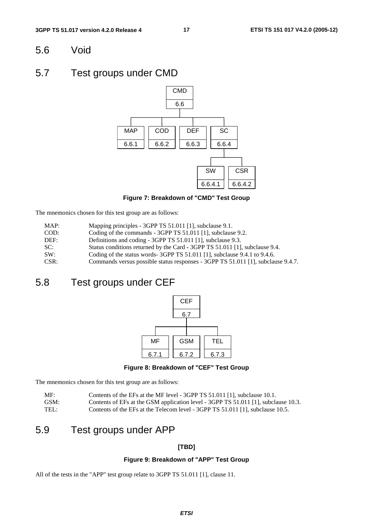### 5.6 Void

# 5.7 Test groups under CMD



**Figure 7: Breakdown of "CMD" Test Group** 

The mnemonics chosen for this test group are as follows:

| MAP: | Mapping principles - 3GPP TS 51.011 [1], subclause 9.1. |  |
|------|---------------------------------------------------------|--|
|------|---------------------------------------------------------|--|

- COD: Coding of the commands 3GPP TS 51.011 [1], subclause 9.2.
- DEF: Definitions and coding 3GPP TS 51.011 [1], subclause 9.3.
- SC: Status conditions returned by the Card 3GPP TS 51.011 [1], subclause 9.4.
- SW: Coding of the status words- 3GPP TS 51.011 [1], subclause 9.4.1 to 9.4.6.
- CSR: Commands versus possible status responses 3GPP TS 51.011 [1], subclause 9.4.7.

# 5.8 Test groups under CEF



**Figure 8: Breakdown of "CEF" Test Group** 

The mnemonics chosen for this test group are as follows:

| MF:  | Contents of the EFs at the MF level - 3GPP TS 51.011 [1], subclause 10.1.          |
|------|------------------------------------------------------------------------------------|
| GSM: | Contents of EFs at the GSM application level - 3GPP TS 51.011 [1], subclause 10.3. |
| TEL: | Contents of the EFs at the Telecom level - 3GPP TS 51.011 [1], subclause 10.5.     |

# 5.9 Test groups under APP

#### **[TBD]**

#### **Figure 9: Breakdown of "APP" Test Group**

All of the tests in the "APP" test group relate to 3GPP TS 51.011 [1], clause 11.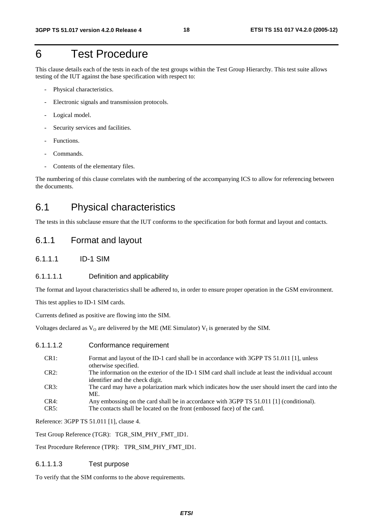# 6 Test Procedure

This clause details each of the tests in each of the test groups within the Test Group Hierarchy. This test suite allows testing of the IUT against the base specification with respect to:

- Physical characteristics.
- Electronic signals and transmission protocols.
- Logical model.
- Security services and facilities.
- Functions.
- Commands.
- Contents of the elementary files.

The numbering of this clause correlates with the numbering of the accompanying ICS to allow for referencing between the documents.

# 6.1 Physical characteristics

The tests in this subclause ensure that the IUT conforms to the specification for both format and layout and contacts.

### 6.1.1 Format and layout

6.1.1.1 ID-1 SIM

#### 6.1.1.1.1 Definition and applicability

The format and layout characteristics shall be adhered to, in order to ensure proper operation in the GSM environment.

This test applies to ID-1 SIM cards.

Currents defined as positive are flowing into the SIM.

Voltages declared as  $V_0$  are delivered by the ME (ME Simulator)  $V_1$  is generated by the SIM.

#### 6.1.1.1.2 Conformance requirement

| CR1:    | Format and layout of the ID-1 card shall be in accordance with 3GPP TS 51.011 [1], unless<br>otherwise specified.                     |
|---------|---------------------------------------------------------------------------------------------------------------------------------------|
| CR2:    | The information on the exterior of the ID-1 SIM card shall include at least the individual account<br>identifier and the check digit. |
| CR3:    | The card may have a polarization mark which indicates how the user should insert the card into the<br>ME.                             |
| $CR4$ : | Any embossing on the card shall be in accordance with 3GPP TS 51.011 [1] (conditional).                                               |
| CR5:    | The contacts shall be located on the front (embossed face) of the card.                                                               |

Reference: 3GPP TS 51.011 [1], clause 4.

Test Group Reference (TGR): TGR\_SIM\_PHY\_FMT\_ID1.

Test Procedure Reference (TPR): TPR\_SIM\_PHY\_FMT\_ID1.

#### 6.1.1.1.3 Test purpose

To verify that the SIM conforms to the above requirements.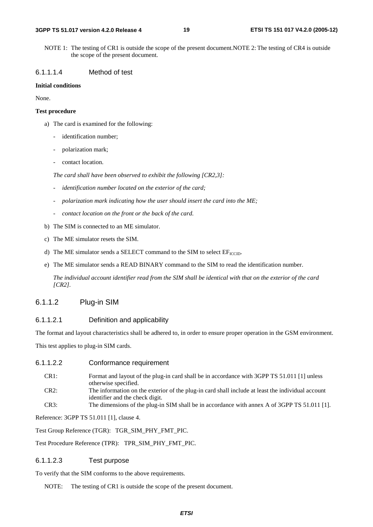NOTE 1: The testing of CR1 is outside the scope of the present document.NOTE 2: The testing of CR4 is outside the scope of the present document.

#### 6.1.1.1.4 Method of test

#### **Initial conditions**

None.

#### **Test procedure**

- a) The card is examined for the following:
	- identification number;
	- polarization mark;
	- contact location.

 *The card shall have been observed to exhibit the following [CR2,3]:* 

- *identification number located on the exterior of the card;*
- *polarization mark indicating how the user should insert the card into the ME;*
- *contact location on the front or the back of the card.*
- b) The SIM is connected to an ME simulator.
- c) The ME simulator resets the SIM.
- d) The ME simulator sends a SELECT command to the SIM to select  $EF_{\text{ICCD}}$ .
- e) The ME simulator sends a READ BINARY command to the SIM to read the identification number.

 *The individual account identifier read from the SIM shall be identical with that on the exterior of the card [CR2].* 

#### 6.1.1.2 Plug-in SIM

#### 6.1.1.2.1 Definition and applicability

The format and layout characteristics shall be adhered to, in order to ensure proper operation in the GSM environment.

This test applies to plug-in SIM cards.

#### 6.1.1.2.2 Conformance requirement

| CR <sub>1</sub> : | Format and layout of the plug-in card shall be in accordance with 3GPP TS 51.011 [1] unless |
|-------------------|---------------------------------------------------------------------------------------------|
|                   | otherwise specified.                                                                        |
|                   |                                                                                             |

- CR2: The information on the exterior of the plug-in card shall include at least the individual account identifier and the check digit.
- CR3: The dimensions of the plug-in SIM shall be in accordance with annex A of 3GPP TS 51.011 [1].

Reference: 3GPP TS 51.011 [1], clause 4.

Test Group Reference (TGR): TGR\_SIM\_PHY\_FMT\_PIC.

Test Procedure Reference (TPR): TPR\_SIM\_PHY\_FMT\_PIC.

#### 6.1.1.2.3 Test purpose

To verify that the SIM conforms to the above requirements.

NOTE: The testing of CR1 is outside the scope of the present document.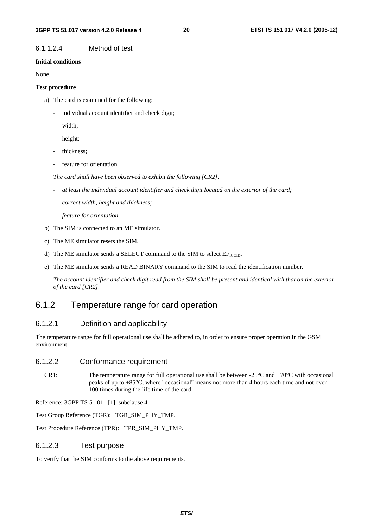#### 6.1.1.2.4 Method of test

#### **Initial conditions**

None.

#### **Test procedure**

- a) The card is examined for the following:
	- individual account identifier and check digit;
	- width;
	- height;
	- thickness;
	- feature for orientation.

 *The card shall have been observed to exhibit the following [CR2]:* 

- *at least the individual account identifier and check digit located on the exterior of the card;*
- *correct width, height and thickness;*
- *feature for orientation.*
- b) The SIM is connected to an ME simulator.
- c) The ME simulator resets the SIM.
- d) The ME simulator sends a SELECT command to the SIM to select  $EF_{\text{ICCD}}$ .
- e) The ME simulator sends a READ BINARY command to the SIM to read the identification number.

*The account identifier and check digit read from the SIM shall be present and identical with that on the exterior of the card [CR2]*.

### 6.1.2 Temperature range for card operation

#### 6.1.2.1 Definition and applicability

The temperature range for full operational use shall be adhered to, in order to ensure proper operation in the GSM environment.

#### 6.1.2.2 Conformance requirement

CR1: The temperature range for full operational use shall be between  $-25^{\circ}$ C and  $+70^{\circ}$ C with occasional peaks of up to +85°C, where "occasional" means not more than 4 hours each time and not over 100 times during the life time of the card.

Reference: 3GPP TS 51.011 [1], subclause 4.

Test Group Reference (TGR): TGR\_SIM\_PHY\_TMP.

Test Procedure Reference (TPR): TPR\_SIM\_PHY\_TMP.

#### 6.1.2.3 Test purpose

To verify that the SIM conforms to the above requirements.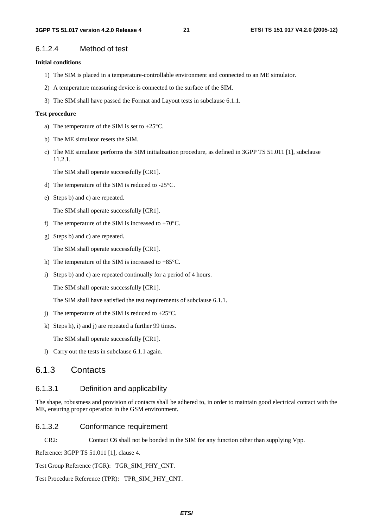#### 6.1.2.4 Method of test

#### **Initial conditions**

- 1) The SIM is placed in a temperature-controllable environment and connected to an ME simulator.
- 2) A temperature measuring device is connected to the surface of the SIM.
- 3) The SIM shall have passed the Format and Layout tests in subclause 6.1.1.

#### **Test procedure**

- a) The temperature of the SIM is set to +25°C.
- b) The ME simulator resets the SIM.
- c) The ME simulator performs the SIM initialization procedure, as defined in 3GPP TS 51.011 [1], subclause 11.2.1.

The SIM shall operate successfully [CR1].

- d) The temperature of the SIM is reduced to -25°C.
- e) Steps b) and c) are repeated.

The SIM shall operate successfully [CR1].

- f) The temperature of the SIM is increased to  $+70^{\circ}$ C.
- g) Steps b) and c) are repeated.

The SIM shall operate successfully [CR1].

- h) The temperature of the SIM is increased to  $+85^{\circ}$ C.
- i) Steps b) and c) are repeated continually for a period of 4 hours.

The SIM shall operate successfully [CR1].

The SIM shall have satisfied the test requirements of subclause 6.1.1.

- j) The temperature of the SIM is reduced to  $+25^{\circ}$ C.
- k) Steps h), i) and j) are repeated a further 99 times.

The SIM shall operate successfully [CR1].

l) Carry out the tests in subclause 6.1.1 again.

### 6.1.3 Contacts

#### 6.1.3.1 Definition and applicability

The shape, robustness and provision of contacts shall be adhered to, in order to maintain good electrical contact with the ME, ensuring proper operation in the GSM environment.

#### 6.1.3.2 Conformance requirement

CR2: Contact C6 shall not be bonded in the SIM for any function other than supplying Vpp.

Reference: 3GPP TS 51.011 [1], clause 4.

Test Group Reference (TGR): TGR\_SIM\_PHY\_CNT.

Test Procedure Reference (TPR): TPR\_SIM\_PHY\_CNT.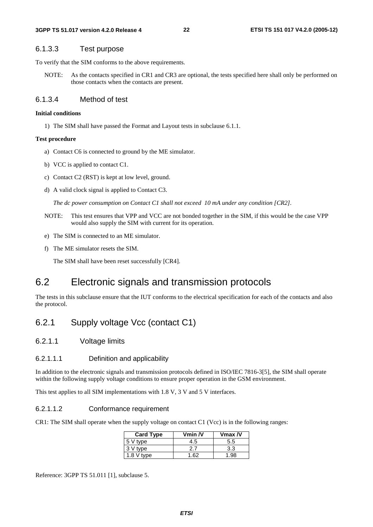#### 6.1.3.3 Test purpose

To verify that the SIM conforms to the above requirements.

NOTE: As the contacts specified in CR1 and CR3 are optional, the tests specified here shall only be performed on those contacts when the contacts are present.

#### 6.1.3.4 Method of test

#### **Initial conditions**

1) The SIM shall have passed the Format and Layout tests in subclause 6.1.1.

#### **Test procedure**

- a) Contact C6 is connected to ground by the ME simulator.
- b) VCC is applied to contact C1.
- c) Contact C2 (RST) is kept at low level, ground.
- d) A valid clock signal is applied to Contact C3.

*The dc power consumption on Contact C1 shall not exceed 10 mA under any condition [CR2].* 

- NOTE: This test ensures that VPP and VCC are not bonded together in the SIM, if this would be the case VPP would also supply the SIM with current for its operation.
- e) The SIM is connected to an ME simulator.
- f) The ME simulator resets the SIM.

The SIM shall have been reset successfully [CR4].

# 6.2 Electronic signals and transmission protocols

The tests in this subclause ensure that the IUT conforms to the electrical specification for each of the contacts and also the protocol.

### 6.2.1 Supply voltage Vcc (contact C1)

6.2.1.1 Voltage limits

#### 6.2.1.1.1 Definition and applicability

In addition to the electronic signals and transmission protocols defined in ISO/IEC 7816-3[5], the SIM shall operate within the following supply voltage conditions to ensure proper operation in the GSM environment.

This test applies to all SIM implementations with 1.8 V, 3 V and 5 V interfaces.

#### 6.2.1.1.2 Conformance requirement

CR1: The SIM shall operate when the supply voltage on contact C1 (Vcc) is in the following ranges:

| <b>Card Type</b> | Vmin $N$ | $V$ max $N$ |
|------------------|----------|-------------|
| 5 V type         | 4.5      | 5.5         |
| 3 V type         |          | 3.3         |
| $1.8V$ type      | -62      | 1.98        |

Reference: 3GPP TS 51.011 [1], subclause 5.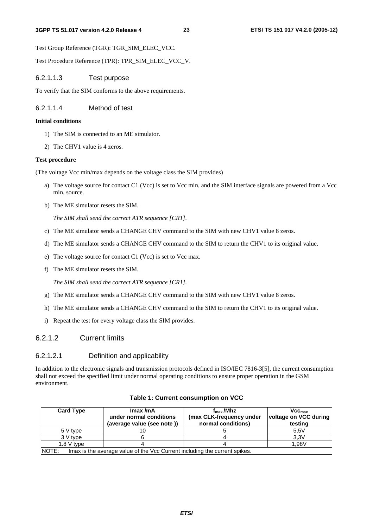Test Group Reference (TGR): TGR\_SIM\_ELEC\_VCC.

Test Procedure Reference (TPR): TPR\_SIM\_ELEC\_VCC\_V.

#### 6.2.1.1.3 Test purpose

To verify that the SIM conforms to the above requirements.

#### 6.2.1.1.4 Method of test

#### **Initial conditions**

- 1) The SIM is connected to an ME simulator.
- 2) The CHV1 value is 4 zeros.

#### **Test procedure**

(The voltage Vcc min/max depends on the voltage class the SIM provides)

- a) The voltage source for contact C1 (Vcc) is set to Vcc min, and the SIM interface signals are powered from a Vcc min, source.
- b) The ME simulator resets the SIM.

*The SIM shall send the correct ATR sequence [CR1].* 

- c) The ME simulator sends a CHANGE CHV command to the SIM with new CHV1 value 8 zeros.
- d) The ME simulator sends a CHANGE CHV command to the SIM to return the CHV1 to its original value.
- e) The voltage source for contact C1 (Vcc) is set to Vcc max.
- f) The ME simulator resets the SIM.

*The SIM shall send the correct ATR sequence [CR1].* 

- g) The ME simulator sends a CHANGE CHV command to the SIM with new CHV1 value 8 zeros.
- h) The ME simulator sends a CHANGE CHV command to the SIM to return the CHV1 to its original value.
- i) Repeat the test for every voltage class the SIM provides.

#### 6.2.1.2 Current limits

#### 6.2.1.2.1 Definition and applicability

In addition to the electronic signals and transmission protocols defined in ISO/IEC 7816-3[5], the current consumption shall not exceed the specified limit under normal operating conditions to ensure proper operation in the GSM environment.

| <b>Card Type</b>                                                                    | Imax/mA<br>under normal conditions<br>(average value (see note )) | $f_{\rm max}$ /Mhz<br>(max CLK-frequency under<br>normal conditions) | VCC <sub>max</sub><br>voltage on VCC during<br>testing |
|-------------------------------------------------------------------------------------|-------------------------------------------------------------------|----------------------------------------------------------------------|--------------------------------------------------------|
| 5 V type                                                                            |                                                                   |                                                                      | 5.5V                                                   |
| 3 V type                                                                            |                                                                   |                                                                      | 3.3V                                                   |
| $1.8V$ type                                                                         |                                                                   |                                                                      | 1.98V                                                  |
| NOTE:<br>Imax is the average value of the Vcc Current including the current spikes. |                                                                   |                                                                      |                                                        |

#### **Table 1: Current consumption on VCC**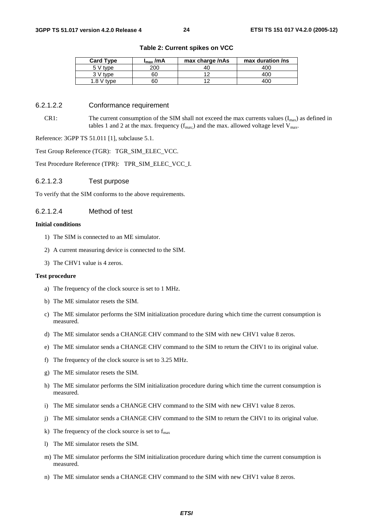| <b>Card Type</b> | $I_{\text{max}}$ /mA | max charge /nAs | max duration /ns |
|------------------|----------------------|-----------------|------------------|
| 5 V type         | 200                  | 40              | 400              |
| 3 V type         | 60                   |                 | 40C              |
| $1.8 V$ type     | 60                   |                 | 40C              |

**Table 2: Current spikes on VCC** 

#### 6.2.1.2.2 Conformance requirement

CR1: The current consumption of the SIM shall not exceed the max currents values  $(I_{max})$  as defined in tables 1 and 2 at the max. frequency  $(f_{max})$  and the max. allowed voltage level  $V_{max}$ .

Reference: 3GPP TS 51.011 [1], subclause 5.1.

Test Group Reference (TGR): TGR\_SIM\_ELEC\_VCC.

Test Procedure Reference (TPR): TPR\_SIM\_ELEC\_VCC\_I.

6.2.1.2.3 Test purpose

To verify that the SIM conforms to the above requirements.

#### 6.2.1.2.4 Method of test

#### **Initial conditions**

- 1) The SIM is connected to an ME simulator.
- 2) A current measuring device is connected to the SIM.
- 3) The CHV1 value is 4 zeros.

#### **Test procedure**

- a) The frequency of the clock source is set to 1 MHz.
- b) The ME simulator resets the SIM.
- c) The ME simulator performs the SIM initialization procedure during which time the current consumption is measured.
- d) The ME simulator sends a CHANGE CHV command to the SIM with new CHV1 value 8 zeros.
- e) The ME simulator sends a CHANGE CHV command to the SIM to return the CHV1 to its original value.
- f) The frequency of the clock source is set to 3.25 MHz.
- g) The ME simulator resets the SIM.
- h) The ME simulator performs the SIM initialization procedure during which time the current consumption is measured.
- i) The ME simulator sends a CHANGE CHV command to the SIM with new CHV1 value 8 zeros.
- j) The ME simulator sends a CHANGE CHV command to the SIM to return the CHV1 to its original value.
- k) The frequency of the clock source is set to  $f_{\text{max}}$
- l) The ME simulator resets the SIM.
- m) The ME simulator performs the SIM initialization procedure during which time the current consumption is measured.
- n) The ME simulator sends a CHANGE CHV command to the SIM with new CHV1 value 8 zeros.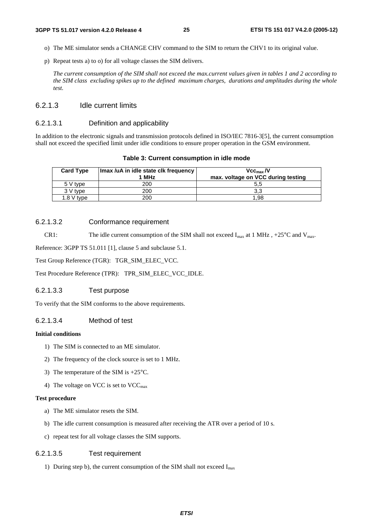- o) The ME simulator sends a CHANGE CHV command to the SIM to return the CHV1 to its original value.
- p) Repeat tests a) to o) for all voltage classes the SIM delivers.

 *The current consumption of the SIM shall not exceed the max.current values given in tables 1 and 2 according to the SIM class excluding spikes up to the defined maximum charges, durations and amplitudes during the whole test.* 

#### 6.2.1.3 Idle current limits

#### 6.2.1.3.1 Definition and applicability

In addition to the electronic signals and transmission protocols defined in ISO/IEC 7816-3[5], the current consumption shall not exceed the specified limit under idle conditions to ensure proper operation in the GSM environment.

| Table 3: Current consumption in idle mode |  |
|-------------------------------------------|--|
|-------------------------------------------|--|

| <b>Card Type</b> | Imax /uA in idle state clk frequency | $Vec_{max}$ /V                     |
|------------------|--------------------------------------|------------------------------------|
|                  | 1 MHz                                | max. voltage on VCC during testing |
| 5 V type         | 200                                  | 5.5                                |
| 3 V type         | 200                                  |                                    |
| $1.8V$ type      | 200                                  | 1.98                               |

#### 6.2.1.3.2 Conformance requirement

CR1: The idle current consumption of the SIM shall not exceed  $I_{\text{max}}$  at 1 MHz, +25°C and  $V_{\text{max}}$ .

Reference: 3GPP TS 51.011 [1], clause 5 and subclause 5.1.

Test Group Reference (TGR): TGR\_SIM\_ELEC\_VCC.

Test Procedure Reference (TPR): TPR\_SIM\_ELEC\_VCC\_IDLE.

#### 6.2.1.3.3 Test purpose

To verify that the SIM conforms to the above requirements.

#### 6.2.1.3.4 Method of test

#### **Initial conditions**

- 1) The SIM is connected to an ME simulator.
- 2) The frequency of the clock source is set to 1 MHz.
- 3) The temperature of the SIM is +25°C.
- 4) The voltage on VCC is set to  $VCC_{\text{max}}$

#### **Test procedure**

- a) The ME simulator resets the SIM.
- b) The idle current consumption is measured after receiving the ATR over a period of 10 s.
- c) repeat test for all voltage classes the SIM supports.

#### 6.2.1.3.5 Test requirement

1) During step b), the current consumption of the SIM shall not exceed  $I_{max}$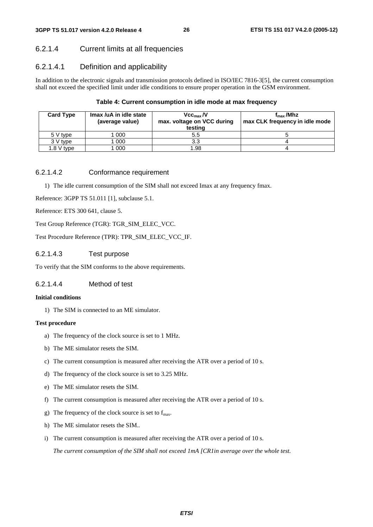### 6.2.1.4 Current limits at all frequencies

### 6.2.1.4.1 Definition and applicability

In addition to the electronic signals and transmission protocols defined in ISO/IEC 7816-3[5], the current consumption shall not exceed the specified limit under idle conditions to ensure proper operation in the GSM environment.

#### **Table 4: Current consumption in idle mode at max frequency**

| <b>Card Type</b> | Imax /uA in idle state<br>(average value) | $Vec_{max}$ /V<br>max. voltage on VCC during<br>testing | $f_{\rm max}$ /Mhz<br>max CLK frequency in idle mode |
|------------------|-------------------------------------------|---------------------------------------------------------|------------------------------------------------------|
| 5 V type         | 000                                       | 5.5                                                     |                                                      |
| 3 V type         | 000                                       | 3.3                                                     |                                                      |
| $1.8 V$ type     | 000                                       | 1.98                                                    |                                                      |

#### 6.2.1.4.2 Conformance requirement

1) The idle current consumption of the SIM shall not exceed Imax at any frequency fmax.

Reference: 3GPP TS 51.011 [1], subclause 5.1.

Reference: ETS 300 641, clause 5.

Test Group Reference (TGR): TGR\_SIM\_ELEC\_VCC.

Test Procedure Reference (TPR): TPR\_SIM\_ELEC\_VCC\_IF.

#### 6.2.1.4.3 Test purpose

To verify that the SIM conforms to the above requirements.

#### 6.2.1.4.4 Method of test

#### **Initial conditions**

1) The SIM is connected to an ME simulator.

#### **Test procedure**

- a) The frequency of the clock source is set to 1 MHz.
- b) The ME simulator resets the SIM.
- c) The current consumption is measured after receiving the ATR over a period of 10 s.
- d) The frequency of the clock source is set to 3.25 MHz.
- e) The ME simulator resets the SIM.
- f) The current consumption is measured after receiving the ATR over a period of 10 s.
- g) The frequency of the clock source is set to  $f_{\text{max}}$ .
- h) The ME simulator resets the SIM.*.*
- i) The current consumption is measured after receiving the ATR over a period of 10 s.

 *The current consumption of the SIM shall not exceed 1mA [CR1in average over the whole test.*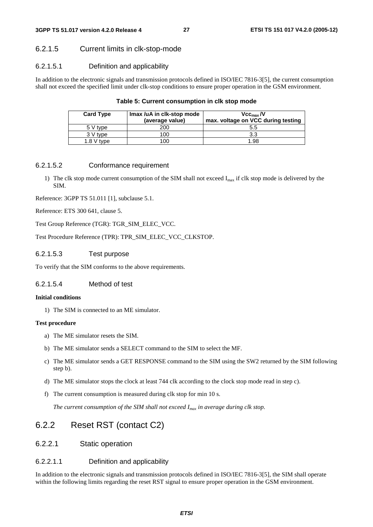### 6.2.1.5 Current limits in clk-stop-mode

#### 6.2.1.5.1 Definition and applicability

In addition to the electronic signals and transmission protocols defined in ISO/IEC 7816-3[5], the current consumption shall not exceed the specified limit under clk-stop conditions to ensure proper operation in the GSM environment.

|  |  | Table 5: Current consumption in clk stop mode |  |  |
|--|--|-----------------------------------------------|--|--|
|--|--|-----------------------------------------------|--|--|

| <b>Card Type</b> | Imax /uA in clk-stop mode<br>(average value) | Vcc <sub>max</sub> /V<br>max. voltage on VCC during testing |
|------------------|----------------------------------------------|-------------------------------------------------------------|
| 5 V type         | 200                                          | 5.5                                                         |
| 3 V type         | 100                                          | 3.3                                                         |
| $1.8 V$ type     | 100                                          | 1.98                                                        |

#### 6.2.1.5.2 Conformance requirement

1) The clk stop mode current consumption of the SIM shall not exceed  $I_{max}$  if clk stop mode is delivered by the SIM.

Reference: 3GPP TS 51.011 [1], subclause 5.1.

Reference: ETS 300 641, clause 5.

Test Group Reference (TGR): TGR\_SIM\_ELEC\_VCC.

Test Procedure Reference (TPR): TPR\_SIM\_ELEC\_VCC\_CLKSTOP.

6.2.1.5.3 Test purpose

To verify that the SIM conforms to the above requirements.

#### 6.2.1.5.4 Method of test

#### **Initial conditions**

1) The SIM is connected to an ME simulator.

#### **Test procedure**

- a) The ME simulator resets the SIM.
- b) The ME simulator sends a SELECT command to the SIM to select the MF.
- c) The ME simulator sends a GET RESPONSE command to the SIM using the SW2 returned by the SIM following step b).
- d) The ME simulator stops the clock at least 744 clk according to the clock stop mode read in step c).
- f) The current consumption is measured during clk stop for min 10 s.

 *The current consumption of the SIM shall not exceed Imax in average during clk stop.*

# 6.2.2 Reset RST (contact C2)

#### 6.2.2.1 Static operation

#### 6.2.2.1.1 Definition and applicability

In addition to the electronic signals and transmission protocols defined in ISO/IEC 7816-3[5], the SIM shall operate within the following limits regarding the reset RST signal to ensure proper operation in the GSM environment.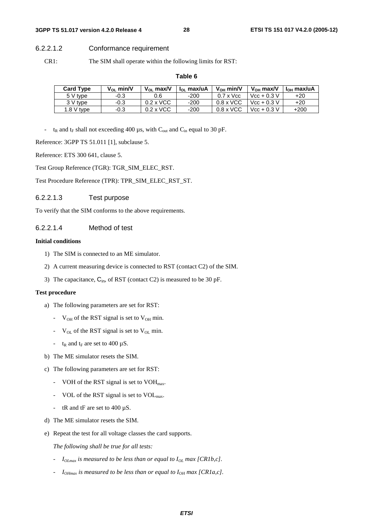#### **3GPP TS 51.017 version 4.2.0 Release 4 ETSI TS 151 017 V4.2.0 (2005-12)**

#### 6.2.2.1.2 Conformance requirement

CR1: The SIM shall operate within the following limits for RST:

#### **Table 6**

| <b>Card Type</b> | $V_{\Omega}$ min/V | $V_{01}$ max/V   | l <sub>oi</sub> max/uA | $V_{OH}$ min/V   | $V_{\Omega H}$ max/V | I <sub>он</sub> max/uA |
|------------------|--------------------|------------------|------------------------|------------------|----------------------|------------------------|
| 5 V type         | -0.3               | 0.6              | $-200$                 | $0.7 \times$ Vcc | $Vec + 0.3 V$        | $+20$                  |
| 3 V type         | -0.3               | $0.2 \times$ VCC | $-200$                 | $0.8 \times$ VCC | $Vec + 0.3 V$        | $+20$                  |
| $1.8$ V type     | $-0.3$             | $0.2 \times$ VCC | $-200$                 | $0.8 \times$ VCC | $Vec + 0.3 V$        | $+200$                 |

-  $t_R$  and  $t_F$  shall not exceeding 400  $\mu$ s, with C<sub>out</sub> and C<sub>in</sub> equal to 30 pF.

Reference: 3GPP TS 51.011 [1], subclause 5.

Reference: ETS 300 641, clause 5.

Test Group Reference (TGR): TGR\_SIM\_ELEC\_RST.

Test Procedure Reference (TPR): TPR\_SIM\_ELEC\_RST\_ST.

#### 6.2.2.1.3 Test purpose

To verify that the SIM conforms to the above requirements.

#### 6.2.2.1.4 Method of test

#### **Initial conditions**

- 1) The SIM is connected to an ME simulator.
- 2) A current measuring device is connected to RST (contact C2) of the SIM.
- 3) The capacitance,  $C_{in}$ , of RST (contact C2) is measured to be 30 pF.

#### **Test procedure**

- a) The following parameters are set for RST:
	- $V_{OH}$  of the RST signal is set to  $V_{OH}$  min.
	- $V_{OL}$  of the RST signal is set to  $V_{OL}$  min.
	- $t_R$  and  $t_F$  are set to 400  $\mu$ S.
- b) The ME simulator resets the SIM.
- c) The following parameters are set for RST:
	- VOH of the RST signal is set to  $VOH<sub>max</sub>$ .
	- VOL of the RST signal is set to VOL<sub>max</sub>.
	- tR and tF are set to  $400 \mu S$ .
- d) The ME simulator resets the SIM.
- e) Repeat the test for all voltage classes the card supports.

 *The following shall be true for all tests:* 

- *- I<sub>OLmax</sub>* is measured to be less than or equal to I<sub>OL</sub> max [CR1b,c].
- $I_{OHmax}$  is measured to be less than or equal to  $I_{OH}$  max [CR1a,c].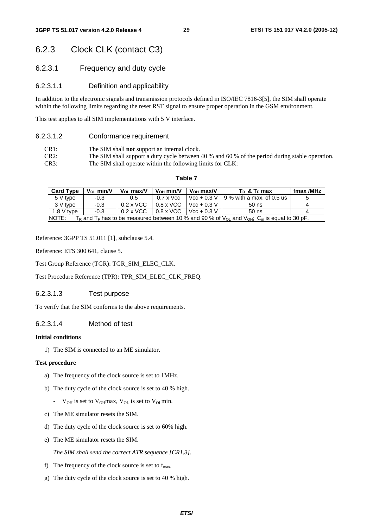# 6.2.3 Clock CLK (contact C3)

6.2.3.1 Frequency and duty cycle

#### 6.2.3.1.1 Definition and applicability

In addition to the electronic signals and transmission protocols defined in ISO/IEC 7816-3[5], the SIM shall operate within the following limits regarding the reset RST signal to ensure proper operation in the GSM environment.

This test applies to all SIM implementations with 5 V interface.

#### 6.2.3.1.2 Conformance requirement

- CR1: The SIM shall **not** support an internal clock.
- CR2: The SIM shall support a duty cycle between 40 % and 60 % of the period during stable operation. CR3: The SIM shall operate within the following limits for CLK:

#### **Table 7**

| <b>Card Type</b> | $V_{01}$ min/V | $V_{\Omega}$ max/V | $V_{OH}$ min/V   | $V_{\text{OH}}$ max/V | $T_R$ & $T_F$ max                                                                                                                                      | fmax /MHz |
|------------------|----------------|--------------------|------------------|-----------------------|--------------------------------------------------------------------------------------------------------------------------------------------------------|-----------|
| 5 V type         | $-0.3$         | 0.5                | $0.7 \times$ Vcc | $Vec + 0.3 V$         | l 9 % with a max, of 0.5 us                                                                                                                            |           |
| 3 V type         | $-0.3$         | $0.2 \times$ VCC   | $0.8 \times$ VCC | $Vec + 0.3 V$         | $50$ ns                                                                                                                                                | Д         |
| 1.8 V tvpe       | $-0.3$         | $0.2 \times$ VCC   | $0.8 \times$ VCC | $Vcc + 0.3 V$         | $50$ ns                                                                                                                                                | 4         |
| INOTE:           |                |                    |                  |                       | T <sub>R</sub> and T <sub>F</sub> has to be measured between 10 % and 90 % of V <sub>OL</sub> and V <sub>OH</sub> ; C <sub>in</sub> is equal to 30 pF. |           |

Reference: 3GPP TS 51.011 [1], subclause 5.4.

Reference: ETS 300 641, clause 5.

Test Group Reference (TGR): TGR\_SIM\_ELEC\_CLK.

Test Procedure Reference (TPR): TPR\_SIM\_ELEC\_CLK\_FREQ.

#### 6.2.3.1.3 Test purpose

To verify that the SIM conforms to the above requirements.

#### 6.2.3.1.4 Method of test

#### **Initial conditions**

1) The SIM is connected to an ME simulator.

#### **Test procedure**

- a) The frequency of the clock source is set to 1MHz.
- b) The duty cycle of the clock source is set to 40 % high.
	- $V_{OH}$  is set to  $V_{OH}$  max,  $V_{OH}$  is set to  $V_{OH}$  min.
- c) The ME simulator resets the SIM.
- d) The duty cycle of the clock source is set to 60% high.
- e) The ME simulator resets the SIM.

 *The SIM shall send the correct ATR sequence [CR1,3].* 

- f) The frequency of the clock source is set to  $f_{\text{max}}$ .
- g) The duty cycle of the clock source is set to 40 % high.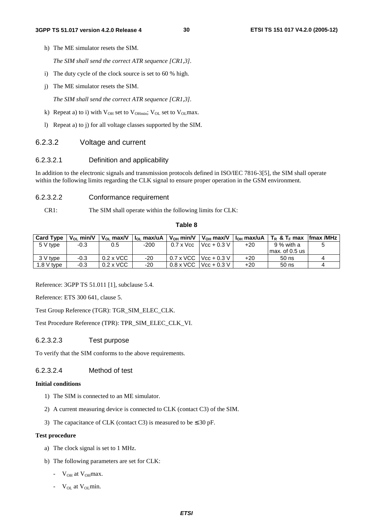h) The ME simulator resets the SIM.

 *The SIM shall send the correct ATR sequence [CR1,3].* 

- i) The duty cycle of the clock source is set to 60 % high.
- j) The ME simulator resets the SIM.

 *The SIM shall send the correct ATR sequence [CR1,3].* 

- k) Repeat a) to i) with  $V_{OH}$  set to  $V_{OH}$  set to  $V_{OL}$  set to  $V_{OL}$  max.
- l) Repeat a) to j) for all voltage classes supported by the SIM.

#### 6.2.3.2 Voltage and current

#### 6.2.3.2.1 Definition and applicability

In addition to the electronic signals and transmission protocols defined in ISO/IEC 7816-3[5], the SIM shall operate within the following limits regarding the CLK signal to ensure proper operation in the GSM environment.

#### 6.2.3.2.2 Conformance requirement

#### CR1: The SIM shall operate within the following limits for CLK:

#### **Table 8**

| <b>Card Type</b> | $V_{\Omega}$ min/V | $V_{\Omega}$ max/V | $\vert$ $\vert$ <sub>o</sub> max/uA $\vert$ |                  |               |       | V <sub>OH</sub> min/V   V <sub>OH</sub> max/V   I <sub>OH</sub> max/uA   T <sub>R</sub> & T <sub>F</sub> max | <b>fmax /MHz</b> |
|------------------|--------------------|--------------------|---------------------------------------------|------------------|---------------|-------|--------------------------------------------------------------------------------------------------------------|------------------|
| 5 V type         | $-0.3$             | 0.5                | $-200$                                      | $0.7 \times$ Vcc | $Vcc + 0.3 V$ | $+20$ | 9 % with a                                                                                                   |                  |
|                  |                    |                    |                                             |                  |               |       | l max. of 0.5 us                                                                                             |                  |
| 3 V tvpe         | $-0.3$             | $0.2 \times$ VCC   | -20                                         | $0.7 \times$ VCC | $Vcc + 0.3 V$ | $+20$ | $50$ ns                                                                                                      |                  |
| $1.8$ V type     | $-0.3$             | $0.2 \times$ VCC   | $-20$                                       | $0.8 \times$ VCC | $Vcc + 0.3 V$ | $+20$ | $50$ ns                                                                                                      |                  |

Reference: 3GPP TS 51.011 [1], subclause 5.4.

Reference: ETS 300 641, clause 5.

Test Group Reference (TGR): TGR\_SIM\_ELEC\_CLK.

Test Procedure Reference (TPR): TPR\_SIM\_ELEC\_CLK\_VI.

#### 6.2.3.2.3 Test purpose

To verify that the SIM conforms to the above requirements.

#### 6.2.3.2.4 Method of test

#### **Initial conditions**

- 1) The SIM is connected to an ME simulator.
- 2) A current measuring device is connected to CLK (contact C3) of the SIM.
- 3) The capacitance of CLK (contact C3) is measured to be  $\leq$  30 pF.

#### **Test procedure**

- a) The clock signal is set to 1 MHz.
- b) The following parameters are set for CLK:
	- $V_{OH}$  at  $V_{OH}$  max.
	- $V_{OL}$  at  $V_{OL}$  min.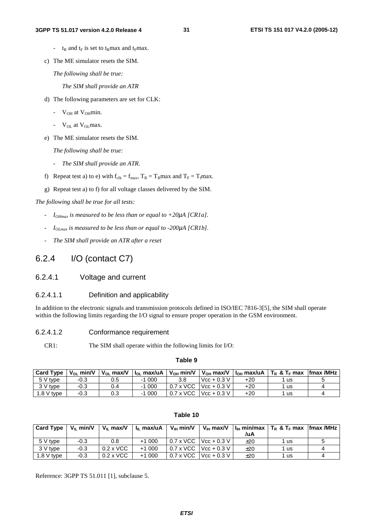- $t_R$  and  $t_F$  is set to  $t_R$ max and  $t_F$ max.
- c) The ME simulator resets the SIM.

 *The following shall be true:* 

*The SIM shall provide an ATR* 

- d) The following parameters are set for CLK:
	- $V_{OH}$  at  $V_{OH}$ min.
	- $V_{OL}$  at  $V_{OL}$  max.
- e) The ME simulator resets the SIM.

 *The following shall be true:* 

- *The SIM shall provide an ATR.*
- f) Repeat test a) to e) with  $f_{clk} = f_{max}$ ,  $T_R = T_R$ max and  $T_F = T_f$ max.
- g) Repeat test a) to f) for all voltage classes delivered by the SIM.

*The following shall be true for all tests:* 

- *IOHmax is measured to be less than or equal to +20*µ*A [CR1a].*
- *IOLmax is measured to be less than or equal to -200*µ*A [CR1b].*
- *The SIM shall provide an ATR after a reset*

### 6.2.4 I/O (contact C7)

- 6.2.4.1 Voltage and current
- 6.2.4.1.1 Definition and applicability

In addition to the electronic signals and transmission protocols defined in ISO/IEC 7816-3[5], the SIM shall operate within the following limits regarding the I/O signal to ensure proper operation in the GSM environment.

- 6.2.4.1.2 Conformance requirement
	- CR1: The SIM shall operate within the following limits for I/O:

#### **Table 9**

| <b>Card Type</b> | $V_{\Omega}$ min/V | $V_{\Omega}$ max/V | $\vert$ $\vert$ <sub>o</sub> max/uA $\vert$ |                  | V <sub>OH</sub> min/V   V <sub>OH</sub> max/V |       | $\vert$ $\vert$ <sub>OH</sub> max/uA $\vert$ T <sub>R</sub> & T <sub>F</sub> max | lfmax /MHz |
|------------------|--------------------|--------------------|---------------------------------------------|------------------|-----------------------------------------------|-------|----------------------------------------------------------------------------------|------------|
| 5 V type         | $-0.3$             | 0.5                | 000                                         | 3.8              | $Vcc + 0.3 V$                                 | $+20$ | <b>us</b>                                                                        |            |
| 3 V type         | $-0.3$             |                    | -1 000                                      |                  | $0.7 \times$ VCC Vcc + 0.3 V                  | $+20$ | <b>us</b>                                                                        |            |
| 1.8 $V$ type     | $-0.3$             | 0.3                | -1 000                                      | $0.7 \times$ VCC | $Vcc + 0.3 V$                                 | +20   | us                                                                               |            |

| <b>Card Type I</b> | $V_{\parallel}$ min/V | $V_{II}$ max/V   | $I_{II}$ max/uA | $V_{\text{III}}$ min/V | $V_{IH}$ max/V                        |     | $\vert \vert_{\rm H}$ min/max $\vert$ T <sub>R</sub> & T <sub>F</sub> max $\vert$ fmax /MHz $\vert$ |  |
|--------------------|-----------------------|------------------|-----------------|------------------------|---------------------------------------|-----|-----------------------------------------------------------------------------------------------------|--|
|                    |                       |                  |                 |                        |                                       | /uA |                                                                                                     |  |
| 5 V type           | $-0.3$                | 0.8              | $+1000$         |                        | $0.7 \times$ VCC Vcc + 0.3 V          | ±20 | 1 us                                                                                                |  |
| 3 V tvpe           | -0.3                  | $0.2 \times$ VCC | $+1000$         |                        | $0.7 \times$ VCC Vcc + 0.3 V          | ±20 | 1 us                                                                                                |  |
| $1.8$ V type       | -0.3                  | $0.2 \times$ VCC | $+1000$         |                        | $0.7 \times \text{VCC}$   Vcc + 0.3 V | ±20 | 1 us                                                                                                |  |

#### **Table 10**

Reference: 3GPP TS 51.011 [1], subclause 5.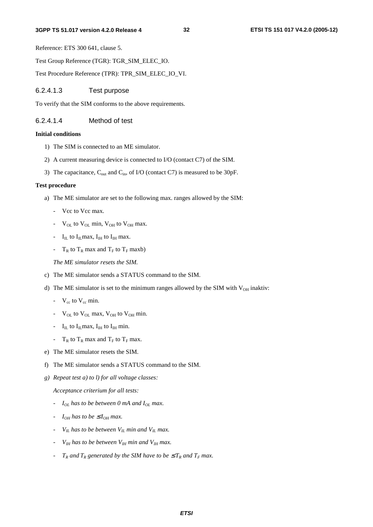#### **3GPP TS 51.017 version 4.2.0 Release 4 ETSI TS 151 017 V4.2.0 (2005-12)**

**32** 

Reference: ETS 300 641, clause 5.

Test Group Reference (TGR): TGR\_SIM\_ELEC\_IO.

Test Procedure Reference (TPR): TPR\_SIM\_ELEC\_IO\_VI.

#### 6.2.4.1.3 Test purpose

To verify that the SIM conforms to the above requirements.

#### 6.2.4.1.4 Method of test

#### **Initial conditions**

- 1) The SIM is connected to an ME simulator.
- 2) A current measuring device is connected to I/O (contact C7) of the SIM.
- 3) The capacitance,  $C_{out}$  and  $C_{in}$ , of I/O (contact C7) is measured to be 30pF.

#### **Test procedure**

- a) The ME simulator are set to the following max. ranges allowed by the SIM:
	- Vcc to Vcc max.
	- $V_{\text{OL}}$  to  $V_{\text{OL}}$  min,  $V_{\text{OH}}$  to  $V_{\text{OH}}$  max.
	- $I_{IL}$  to  $I_{IL}$  max,  $I_{IH}$  to  $I_{IH}$  max.
	- $T_R$  to  $T_R$  max and  $T_F$  to  $T_F$  maxb)
	- *The ME simulator resets the SIM.*
- c) The ME simulator sends a STATUS command to the SIM.
- d) The ME simulator is set to the minimum ranges allowed by the SIM with  $V_{OH}$  inaktiv:
	- $V_{cc}$  to  $V_{cc}$  min.
	- $V_{OL}$  to  $V_{OL}$  max,  $V_{OH}$  to  $V_{OH}$  min.
	- $I_{IL}$  to  $I_{IL}$  max,  $I_{IH}$  to  $I_{IH}$  min.
	- $T_R$  to  $T_R$  max and  $T_F$  to  $T_F$  max.
- e) The ME simulator resets the SIM.
- f) The ME simulator sends a STATUS command to the SIM.
- *g) Repeat test a) to l) for all voltage classes:*

 *Acceptance criterium for all tests:* 

- *- I<sub>OL</sub>* has to be between 0 mA and I<sub>OL</sub> max.
- *-*  $I_{OH}$  has to be  $\leq I_{OH}$  max.
- *-*  $V_{IL}$  has to be between  $V_{IL}$  min and  $V_{IL}$  max.
- *VIH has to be between VIH min and VIH max.*
- *-*  $T_R$  and  $T_R$  generated by the SIM have to be  $\leq T_R$  and  $T_F$  max.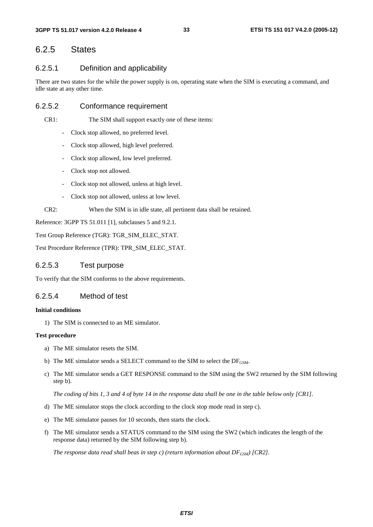### 6.2.5 States

### 6.2.5.1 Definition and applicability

There are two states for the while the power supply is on, operating state when the SIM is executing a command, and idle state at any other time.

### 6.2.5.2 Conformance requirement

CR1: The SIM shall support exactly one of these items:

- Clock stop allowed, no preferred level.
- Clock stop allowed, high level preferred.
- Clock stop allowed, low level preferred.
- Clock stop not allowed.
- Clock stop not allowed, unless at high level.
- Clock stop not allowed, unless at low level.
- CR2: When the SIM is in idle state, all pertinent data shall be retained.

Reference: 3GPP TS 51.011 [1], subclauses 5 and 9.2.1.

Test Group Reference (TGR): TGR\_SIM\_ELEC\_STAT.

Test Procedure Reference (TPR): TPR\_SIM\_ELEC\_STAT.

### 6.2.5.3 Test purpose

To verify that the SIM conforms to the above requirements.

### 6.2.5.4 Method of test

#### **Initial conditions**

1) The SIM is connected to an ME simulator.

#### **Test procedure**

- a) The ME simulator resets the SIM.
- b) The ME simulator sends a SELECT command to the SIM to select the  $DF_{\text{GSM}}$ .
- c) The ME simulator sends a GET RESPONSE command to the SIM using the SW2 returned by the SIM following step b).

 *The coding of bits 1, 3 and 4 of byte 14 in the response data shall be one in the table below only [CR1].* 

- d) The ME simulator stops the clock according to the clock stop mode read in step c).
- e) The ME simulator pauses for 10 seconds, then starts the clock.
- f) The ME simulator sends a STATUS command to the SIM using the SW2 (which indicates the length of the response data) returned by the SIM following step b).

*The response data read shall beas in step c) (return information about*  $DF_{GSM}$ *) [CR2].*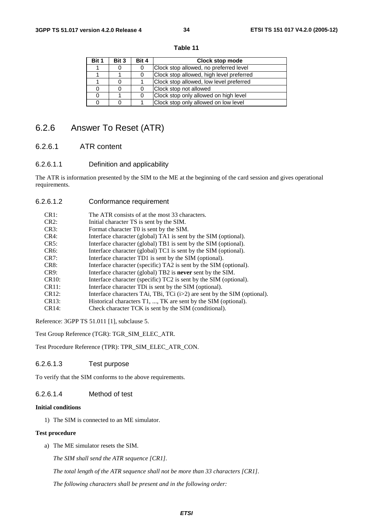| Bit 1 | Bit 3 | Bit 4 | Clock stop mode                          |
|-------|-------|-------|------------------------------------------|
|       |       | 0     | Clock stop allowed, no preferred level   |
|       |       | 0     | Clock stop allowed, high level preferred |
|       |       |       | Clock stop allowed, low level preferred  |
|       |       | 0     | Clock stop not allowed                   |
|       |       | 0     | Clock stop only allowed on high level    |
|       | 0     |       | Clock stop only allowed on low level     |

**Table 11** 

# 6.2.6 Answer To Reset (ATR)

#### 6.2.6.1 ATR content

#### 6.2.6.1.1 Definition and applicability

The ATR is information presented by the SIM to the ME at the beginning of the card session and gives operational requirements.

6.2.6.1.2 Conformance requirement

| CR1:               | The ATR consists of at the most 33 characters.                             |
|--------------------|----------------------------------------------------------------------------|
| CR2:               | Initial character TS is sent by the SIM.                                   |
| CR3:               | Format character TO is sent by the SIM.                                    |
| CR4:               | Interface character (global) TA1 is sent by the SIM (optional).            |
| CR5:               | Interface character (global) TB1 is sent by the SIM (optional).            |
| $CR6$ :            | Interface character (global) TC1 is sent by the SIM (optional).            |
| CR7:               | Interface character TD1 is sent by the SIM (optional).                     |
| CR8:               | Interface character (specific) TA2 is sent by the SIM (optional).          |
| CR9:               | Interface character (global) TB2 is <b>never</b> sent by the SIM.          |
| CR <sub>10</sub> : | Interface character (specific) TC2 is sent by the SIM (optional).          |
| CR11:              | Interface character TDi is sent by the SIM (optional).                     |
| CR12:              | Interface characters TAi, TBi, TCi $(i>2)$ are sent by the SIM (optional). |
| CR13:              | Historical characters T1, , TK are sent by the SIM (optional).             |
| CR14:              | Check character TCK is sent by the SIM (conditional).                      |

Reference: 3GPP TS 51.011 [1], subclause 5.

Test Group Reference (TGR): TGR\_SIM\_ELEC\_ATR.

Test Procedure Reference (TPR): TPR\_SIM\_ELEC\_ATR\_CON.

#### 6.2.6.1.3 Test purpose

To verify that the SIM conforms to the above requirements.

#### 6.2.6.1.4 Method of test

#### **Initial conditions**

1) The SIM is connected to an ME simulator.

#### **Test procedure**

a) The ME simulator resets the SIM.

*The SIM shall send the ATR sequence [CR1].* 

 *The total length of the ATR sequence shall not be more than 33 characters [CR1].* 

 *The following characters shall be present and in the following order:*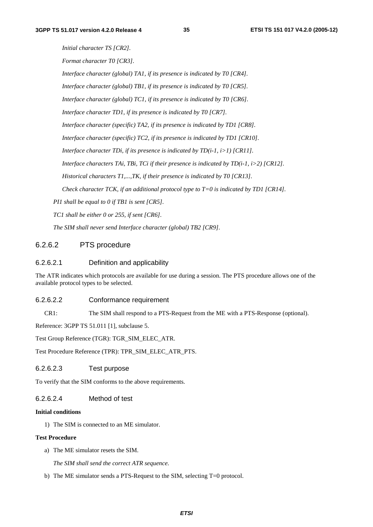*Initial character TS [CR2]. Format character T0 [CR3]. Interface character (global) TA1, if its presence is indicated by T0 [CR4]. Interface character (global) TB1, if its presence is indicated by T0 [CR5]. Interface character (global) TC1, if its presence is indicated by T0 [CR6]. Interface character TD1, if its presence is indicated by T0 [CR7]. Interface character (specific) TA2, if its presence is indicated by TD1 [CR8]. Interface character (specific) TC2, if its presence is indicated by TD1 [CR10]. Interface character TDi, if its presence is indicated by TD(i-1, i>1) [CR11]. Interface characters TAi, TBi, TCi if their presence is indicated by TD(i-1, i>2) [CR12]. Historical characters T1,...,TK, if their presence is indicated by T0 [CR13]. Check character TCK, if an additional protocol type to T=0 is indicated by TD1 [CR14]. PI1 shall be equal to 0 if TB1 is sent [CR5]. TC1 shall be either 0 or 255, if sent [CR6].* 

#### 6.2.6.2 PTS procedure

#### 6.2.6.2.1 Definition and applicability

 *The SIM shall never send Interface character (global) TB2 [CR9].* 

The ATR indicates which protocols are available for use during a session. The PTS procedure allows one of the available protocol types to be selected.

#### 6.2.6.2.2 Conformance requirement

CR1: The SIM shall respond to a PTS-Request from the ME with a PTS-Response (optional).

Reference: 3GPP TS 51.011 [1], subclause 5.

Test Group Reference (TGR): TGR\_SIM\_ELEC\_ATR.

Test Procedure Reference (TPR): TPR\_SIM\_ELEC\_ATR\_PTS.

#### 6.2.6.2.3 Test purpose

To verify that the SIM conforms to the above requirements.

#### 6.2.6.2.4 Method of test

#### **Initial conditions**

1) The SIM is connected to an ME simulator.

#### **Test Procedure**

a) The ME simulator resets the SIM.

 *The SIM shall send the correct ATR sequence.* 

b) The ME simulator sends a PTS-Request to the SIM, selecting T=0 protocol.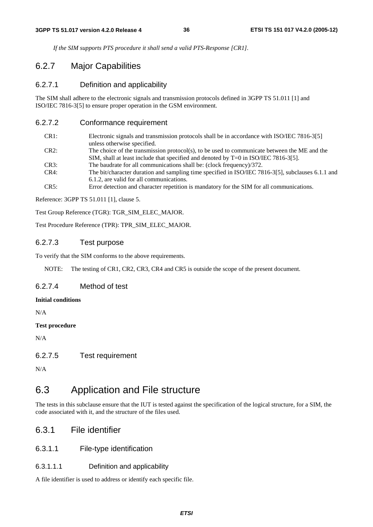*If the SIM supports PTS procedure it shall send a valid PTS-Response [CR1].* 

# 6.2.7 Major Capabilities

## 6.2.7.1 Definition and applicability

The SIM shall adhere to the electronic signals and transmission protocols defined in 3GPP TS 51.011 [1] and ISO/IEC 7816-3[5] to ensure proper operation in the GSM environment.

## 6.2.7.2 Conformance requirement

| CR1: | Electronic signals and transmission protocols shall be in accordance with ISO/IEC 7816-3[5]       |
|------|---------------------------------------------------------------------------------------------------|
|      | unless otherwise specified.                                                                       |
| CR2: | The choice of the transmission protocol(s), to be used to communicate between the ME and the      |
|      | SIM, shall at least include that specified and denoted by $T=0$ in ISO/IEC 7816-3[5].             |
| CR3: | The baudrate for all communications shall be: (clock frequency)/372.                              |
| CR4: | The bit/character duration and sampling time specified in ISO/IEC 7816-3[5], subclauses 6.1.1 and |
|      | 6.1.2, are valid for all communications.                                                          |
| CR5: | Error detection and character repetition is mandatory for the SIM for all communications.         |

Reference: 3GPP TS 51.011 [1], clause 5.

Test Group Reference (TGR): TGR\_SIM\_ELEC\_MAJOR.

Test Procedure Reference (TPR): TPR\_SIM\_ELEC\_MAJOR.

## 6.2.7.3 Test purpose

To verify that the SIM conforms to the above requirements.

NOTE: The testing of CR1, CR2, CR3, CR4 and CR5 is outside the scope of the present document.

# 6.2.7.4 Method of test

## **Initial conditions**

N/A

#### **Test procedure**

N/A

6.2.7.5 Test requirement

N/A

# 6.3 Application and File structure

The tests in this subclause ensure that the IUT is tested against the specification of the logical structure, for a SIM, the code associated with it, and the structure of the files used.

# 6.3.1 File identifier

## 6.3.1.1 File-type identification

#### 6.3.1.1.1 Definition and applicability

A file identifier is used to address or identify each specific file.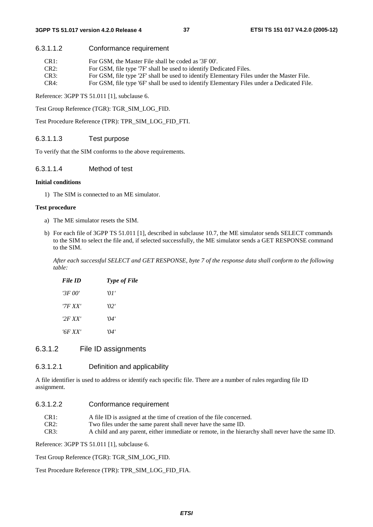#### 6.3.1.1.2 Conformance requirement

| CR <sub>1</sub> : | For GSM, the Master File shall be coded as '3F 00'. |  |
|-------------------|-----------------------------------------------------|--|
|                   |                                                     |  |

- CR2: For GSM, file type '7F' shall be used to identify Dedicated Files.
- CR3: For GSM, file type '2F' shall be used to identify Elementary Files under the Master File.
- CR4: For GSM, file type '6F' shall be used to identify Elementary Files under a Dedicated File.

Reference: 3GPP TS 51.011 [1], subclause 6.

Test Group Reference (TGR): TGR\_SIM\_LOG\_FID.

Test Procedure Reference (TPR): TPR\_SIM\_LOG\_FID\_FTI.

#### 6.3.1.1.3 Test purpose

To verify that the SIM conforms to the above requirements.

### 6.3.1.1.4 Method of test

#### **Initial conditions**

1) The SIM is connected to an ME simulator.

#### **Test procedure**

- a) The ME simulator resets the SIM.
- b) For each file of 3GPP TS 51.011 [1], described in subclause 10.7, the ME simulator sends SELECT commands to the SIM to select the file and, if selected successfully, the ME simulator sends a GET RESPONSE command to the SIM.

 *After each successful SELECT and GET RESPONSE, byte 7 of the response data shall conform to the following table:* 

| File ID | <b>Type of File</b> |
|---------|---------------------|
| '3F 00' | 'O I                |
| '7F XX' | '02'                |
| '2F XX' | '04'                |
| '6F XX' | '04'                |

## 6.3.1.2 File ID assignments

#### 6.3.1.2.1 Definition and applicability

A file identifier is used to address or identify each specific file. There are a number of rules regarding file ID assignment.

#### 6.3.1.2.2 Conformance requirement

CR1: A file ID is assigned at the time of creation of the file concerned.

CR2: Two files under the same parent shall never have the same ID.

CR3: A child and any parent, either immediate or remote, in the hierarchy shall never have the same ID.

Reference: 3GPP TS 51.011 [1], subclause 6.

Test Group Reference (TGR): TGR\_SIM\_LOG\_FID.

Test Procedure Reference (TPR): TPR\_SIM\_LOG\_FID\_FIA.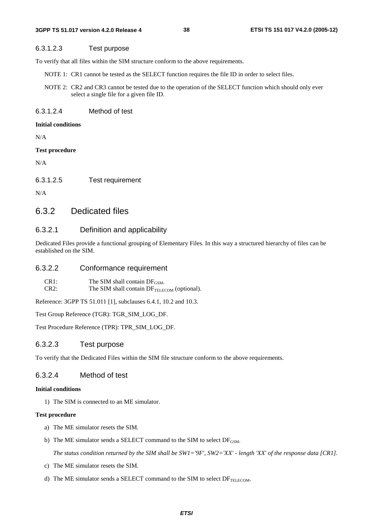#### 6.3.1.2.3 Test purpose

To verify that all files within the SIM structure conform to the above requirements.

- NOTE 1: CR1 cannot be tested as the SELECT function requires the file ID in order to select files.
- NOTE 2: CR2 and CR3 cannot be tested due to the operation of the SELECT function which should only ever select a single file for a given file ID.

#### 6.3.1.2.4 Method of test

#### **Initial conditions**

N/A

#### **Test procedure**

N/A

6.3.1.2.5 Test requirement

N/A

# 6.3.2 Dedicated files

## 6.3.2.1 Definition and applicability

Dedicated Files provide a functional grouping of Elementary Files. In this way a structured hierarchy of files can be established on the SIM.

## 6.3.2.2 Conformance requirement

| CR <sub>1</sub> : | The SIM shall contain $DF_{GSM}$ .                      |
|-------------------|---------------------------------------------------------|
| CR2:              | The SIM shall contain DF <sub>TELECOM</sub> (optional). |

Reference: 3GPP TS 51.011 [1], subclauses 6.4.1, 10.2 and 10.3.

Test Group Reference (TGR): TGR\_SIM\_LOG\_DF.

Test Procedure Reference (TPR): TPR\_SIM\_LOG\_DF.

## 6.3.2.3 Test purpose

To verify that the Dedicated Files within the SIM file structure conform to the above requirements.

## 6.3.2.4 Method of test

## **Initial conditions**

1) The SIM is connected to an ME simulator.

#### **Test procedure**

- a) The ME simulator resets the SIM.
- b) The ME simulator sends a SELECT command to the SIM to select  $DF_{\text{GSM}}$ .

*The status condition returned by the SIM shall be SW1='9F', SW2='XX' - length 'XX' of the response data [CR1].* 

- c) The ME simulator resets the SIM.
- d) The ME simulator sends a SELECT command to the SIM to select  $DF_{TELECOM}$ .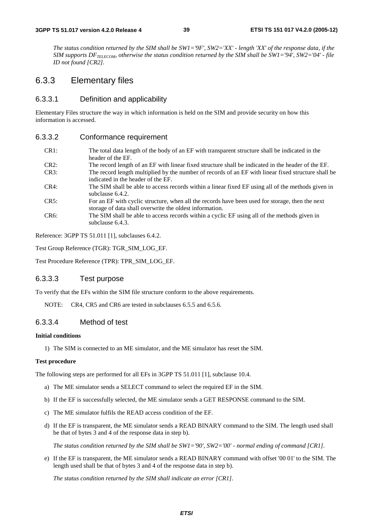*The status condition returned by the SIM shall be SW1='9F', SW2='XX' - length 'XX' of the response data, if the SIM supports DF<sub>TELECOM</sub>, otherwise the status condition returned by the SIM shall be SW1='94', SW2='04' - file ID not found [CR2].* 

# 6.3.3 Elementary files

## 6.3.3.1 Definition and applicability

Elementary Files structure the way in which information is held on the SIM and provide security on how this information is accessed.

#### 6.3.3.2 Conformance requirement

- CR1: The total data length of the body of an EF with transparent structure shall be indicated in the header of the EF.
- CR2: The record length of an EF with linear fixed structure shall be indicated in the header of the EF. CR3: The record length multiplied by the number of records of an EF with linear fixed structure shall be
- indicated in the header of the EF.
- CR4: The SIM shall be able to access records within a linear fixed EF using all of the methods given in subclause 6.4.2.
- CR5: For an EF with cyclic structure, when all the records have been used for storage, then the next storage of data shall overwrite the oldest information.
- CR6: The SIM shall be able to access records within a cyclic EF using all of the methods given in subclause 6.4.3.

Reference: 3GPP TS 51.011 [1], subclauses 6.4.2.

Test Group Reference (TGR): TGR\_SIM\_LOG\_EF.

Test Procedure Reference (TPR): TPR\_SIM\_LOG\_EF.

## 6.3.3.3 Test purpose

To verify that the EFs within the SIM file structure conform to the above requirements.

NOTE: CR4, CR5 and CR6 are tested in subclauses 6.5.5 and 6.5.6.

## 6.3.3.4 Method of test

#### **Initial conditions**

1) The SIM is connected to an ME simulator, and the ME simulator has reset the SIM.

#### **Test procedure**

The following steps are performed for all EFs in 3GPP TS 51.011 [1], subclause 10.4.

- a) The ME simulator sends a SELECT command to select the required EF in the SIM.
- b) If the EF is successfully selected, the ME simulator sends a GET RESPONSE command to the SIM.
- c) The ME simulator fulfils the READ access condition of the EF.
- d) If the EF is transparent, the ME simulator sends a READ BINARY command to the SIM. The length used shall be that of bytes 3 and 4 of the response data in step b).

 *The status condition returned by the SIM shall be SW1='90', SW2='00' - normal ending of command [CR1].* 

e) If the EF is transparent, the ME simulator sends a READ BINARY command with offset '00 01' to the SIM. The length used shall be that of bytes 3 and 4 of the response data in step b).

*The status condition returned by the SIM shall indicate an error [CR1].*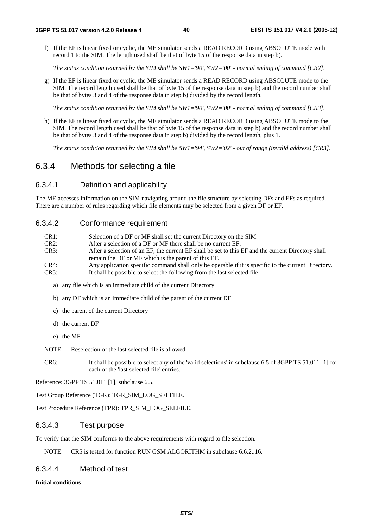f) If the EF is linear fixed or cyclic, the ME simulator sends a READ RECORD using ABSOLUTE mode with record 1 to the SIM. The length used shall be that of byte 15 of the response data in step b).

 *The status condition returned by the SIM shall be SW1='90', SW2='00' - normal ending of command [CR2].* 

g) If the EF is linear fixed or cyclic, the ME simulator sends a READ RECORD using ABSOLUTE mode to the SIM. The record length used shall be that of byte 15 of the response data in step b) and the record number shall be that of bytes 3 and 4 of the response data in step b) divided by the record length.

 *The status condition returned by the SIM shall be SW1='90', SW2='00' - normal ending of command [CR3].* 

h) If the EF is linear fixed or cyclic, the ME simulator sends a READ RECORD using ABSOLUTE mode to the SIM. The record length used shall be that of byte 15 of the response data in step b) and the record number shall be that of bytes 3 and 4 of the response data in step b) divided by the record length, plus 1.

*The status condition returned by the SIM shall be SW1='94', SW2='02' - out of range (invalid address) [CR3].* 

# 6.3.4 Methods for selecting a file

## 6.3.4.1 Definition and applicability

The ME accesses information on the SIM navigating around the file structure by selecting DFs and EFs as required. There are a number of rules regarding which file elements may be selected from a given DF or EF.

#### 6.3.4.2 Conformance requirement

| CR1: | Selection of a DF or MF shall set the current Directory on the SIM.                                 |
|------|-----------------------------------------------------------------------------------------------------|
| CR2: | After a selection of a DF or MF there shall be no current EF.                                       |
| CR3: | After a selection of an EF, the current EF shall be set to this EF and the current Directory shall  |
|      | remain the DF or MF which is the parent of this EF.                                                 |
| CR4: | Any application specific command shall only be operable if it is specific to the current Directory. |
| CR5: | It shall be possible to select the following from the last selected file:                           |

- a) any file which is an immediate child of the current Directory
- b) any DF which is an immediate child of the parent of the current DF
- c) the parent of the current Directory
- d) the current DF
- e) the MF

NOTE: Reselection of the last selected file is allowed.

CR6: It shall be possible to select any of the 'valid selections' in subclause 6.5 of 3GPP TS 51.011 [1] for each of the 'last selected file' entries.

Reference: 3GPP TS 51.011 [1], subclause 6.5.

Test Group Reference (TGR): TGR\_SIM\_LOG\_SELFILE.

Test Procedure Reference (TPR): TPR\_SIM\_LOG\_SELFILE.

## 6.3.4.3 Test purpose

To verify that the SIM conforms to the above requirements with regard to file selection.

NOTE: CR5 is tested for function RUN GSM ALGORITHM in subclause 6.6.2..16.

## 6.3.4.4 Method of test

#### **Initial conditions**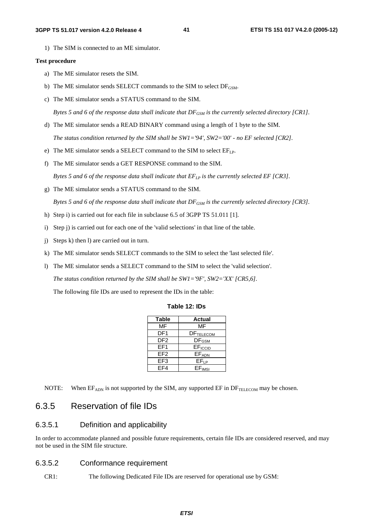1) The SIM is connected to an ME simulator.

#### **Test procedure**

- a) The ME simulator resets the SIM.
- b) The ME simulator sends SELECT commands to the SIM to select  $DF_{GSM}$ .
- c) The ME simulator sends a STATUS command to the SIM.

*Bytes 5 and 6 of the response data shall indicate that*  $DF_{GSM}$  *is the currently selected directory [CR1].* 

- d) The ME simulator sends a READ BINARY command using a length of 1 byte to the SIM.  *The status condition returned by the SIM shall be SW1='94', SW2='00' - no EF selected [CR2].*
- e) The ME simulator sends a SELECT command to the SIM to select  $EF_{LP}$ .
- f) The ME simulator sends a GET RESPONSE command to the SIM.

*Bytes 5 and 6 of the response data shall indicate that*  $E_{LP}$  *is the currently selected EF [CR3].* 

g) The ME simulator sends a STATUS command to the SIM.

*Bytes 5 and 6 of the response data shall indicate that*  $DF_{GSM}$  *is the currently selected directory [CR3].* 

- h) Step i) is carried out for each file in subclause 6.5 of 3GPP TS 51.011 [1].
- i) Step j) is carried out for each one of the 'valid selections' in that line of the table.
- j) Steps k) then l) are carried out in turn.
- k) The ME simulator sends SELECT commands to the SIM to select the 'last selected file'.
- l) The ME simulator sends a SELECT command to the SIM to select the 'valid selection'.

 *The status condition returned by the SIM shall be SW1='9F', SW2='XX' [CR5,6].* 

The following file IDs are used to represent the IDs in the table:

| Table 12: IDs |  |  |
|---------------|--|--|
|---------------|--|--|

| <b>Table</b>    | Actual              |
|-----------------|---------------------|
| МF              | MF                  |
| DF <sub>1</sub> | <b>DFTELECOM</b>    |
| DF2             | <b>DF</b> GSM       |
| FF <sub>1</sub> | EF <sub>ICCID</sub> |
| FF <sub>2</sub> | EFADN               |
| EF3             | $EF_{LP}$           |
| FF4             | EFIMSI              |

NOTE: When  $EF_{ADN}$  is not supported by the SIM, any supported  $EF$  in  $DF_{TELECOM}$  may be chosen.

# 6.3.5 Reservation of file IDs

## 6.3.5.1 Definition and applicability

In order to accommodate planned and possible future requirements, certain file IDs are considered reserved, and may not be used in the SIM file structure.

## 6.3.5.2 Conformance requirement

CR1: The following Dedicated File IDs are reserved for operational use by GSM: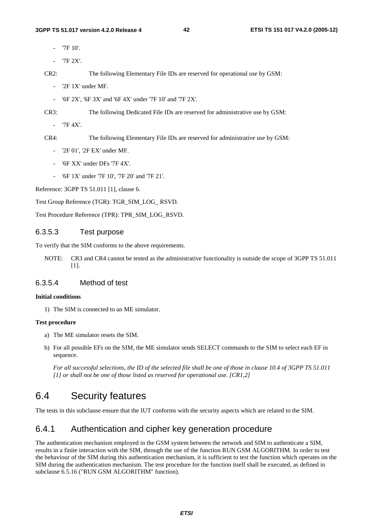- '7F 10'.
- '7F 2X'.

CR2: The following Elementary File IDs are reserved for operational use by GSM:

- '2F 1X' under MF.
- '6F 2X', '6F 3X' and '6F 4X' under '7F 10' and '7F 2X'.

CR3: The following Dedicated File IDs are reserved for administrative use by GSM:

- '7F 4X'.

CR4: The following Elementary File IDs are reserved for administrative use by GSM:

- '2F 01', '2F EX' under MF.
- '6F XX' under DFs '7F 4X'.
- '6F 1X' under '7F 10', '7F 20' and '7F 21'.

Reference: 3GPP TS 51.011 [1], clause 6.

Test Group Reference (TGR): TGR\_SIM\_LOG\_ RSVD.

Test Procedure Reference (TPR): TPR\_SIM\_LOG\_RSVD.

## 6.3.5.3 Test purpose

To verify that the SIM conforms to the above requirements.

NOTE: CR3 and CR4 cannot be tested as the administrative functionality is outside the scope of 3GPP TS 51.011 [1].

## 6.3.5.4 Method of test

#### **Initial conditions**

1) The SIM is connected to an ME simulator.

#### **Test procedure**

- a) The ME simulator resets the SIM.
- b) For all possible EFs on the SIM, the ME simulator sends SELECT commands to the SIM to select each EF in sequence.

 *For all successful selections, the ID of the selected file shall be one of those in clause 10.4 of 3GPP TS 51.011 [1] or shall not be one of those listed as reserved for operational use. [CR1,2]* 

# 6.4 Security features

The tests in this subclause ensure that the IUT conforms with the security aspects which are related to the SIM.

# 6.4.1 Authentication and cipher key generation procedure

The authentication mechanism employed in the GSM system between the network and SIM to authenticate a SIM, results in a finite interaction with the SIM, through the use of the function RUN GSM ALGORITHM. In order to test the behaviour of the SIM during this authentication mechanism, it is sufficient to test the function which operates on the SIM during the authentication mechanism. The test procedure for the function itself shall be executed, as defined in subclause 6.5.16 ("RUN GSM ALGORITHM" function).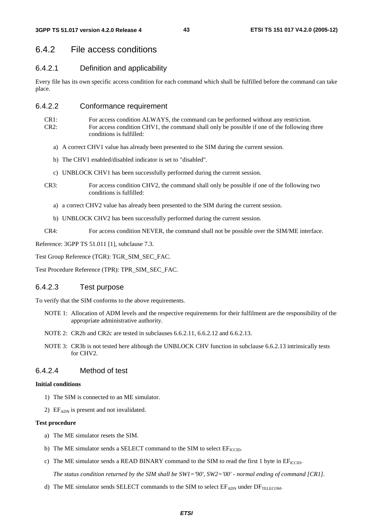# 6.4.2 File access conditions

## 6.4.2.1 Definition and applicability

Every file has its own specific access condition for each command which shall be fulfilled before the command can take place.

## 6.4.2.2 Conformance requirement

- CR1: For access condition ALWAYS, the command can be performed without any restriction. CR2: For access condition CHV1, the command shall only be possible if one of the following three conditions is fulfilled:
	- a) A correct CHV1 value has already been presented to the SIM during the current session.
	- b) The CHV1 enabled/disabled indicator is set to "disabled".
	- c) UNBLOCK CHV1 has been successfully performed during the current session.
- CR3: For access condition CHV2, the command shall only be possible if one of the following two conditions is fulfilled:
	- a) a correct CHV2 value has already been presented to the SIM during the current session.
	- b) UNBLOCK CHV2 has been successfully performed during the current session.
- CR4: For access condition NEVER, the command shall not be possible over the SIM/ME interface.

Reference: 3GPP TS 51.011 [1], subclause 7.3.

Test Group Reference (TGR): TGR\_SIM\_SEC\_FAC.

Test Procedure Reference (TPR): TPR\_SIM\_SEC\_FAC.

## 6.4.2.3 Test purpose

To verify that the SIM conforms to the above requirements.

- NOTE 1: Allocation of ADM levels and the respective requirements for their fulfilment are the responsibility of the appropriate administrative authority.
- NOTE 2: CR2b and CR2c are tested in subclauses 6.6.2.11, 6.6.2.12 and 6.6.2.13.
- NOTE 3: CR3b is not tested here although the UNBLOCK CHV function in subclause 6.6.2.13 intrinsically tests for CHV2.

## 6.4.2.4 Method of test

#### **Initial conditions**

- 1) The SIM is connected to an ME simulator.
- 2) EF<sub>ADN</sub> is present and not invalidated.

#### **Test procedure**

- a) The ME simulator resets the SIM.
- b) The ME simulator sends a SELECT command to the SIM to select  $EF_{\text{ICCD}}$ .
- c) The ME simulator sends a READ BINARY command to the SIM to read the first 1 byte in  $EF_{\text{ICCD}}$ .

 *The status condition returned by the SIM shall be SW1='90', SW2='00' - normal ending of command [CR1].* 

d) The ME simulator sends SELECT commands to the SIM to select  $EF_{\text{ADN}}$  under  $DF_{\text{TELECOM}}$ .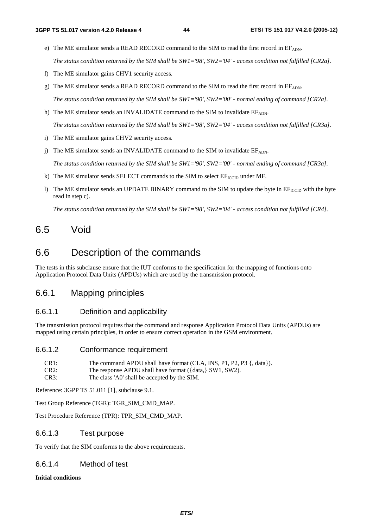- e) The ME simulator sends a READ RECORD command to the SIM to read the first record in EFADN.  *The status condition returned by the SIM shall be SW1='98', SW2='04' - access condition not fulfilled [CR2a].*
- f) The ME simulator gains CHV1 security access.
- g) The ME simulator sends a READ RECORD command to the SIM to read the first record in  $EF_{ADN}$ .

 *The status condition returned by the SIM shall be SW1='90', SW2='00' - normal ending of command [CR2a].* 

h) The ME simulator sends an INVALIDATE command to the SIM to invalidate  $EF_{ADN}$ .

 *The status condition returned by the SIM shall be SW1='98', SW2='04' - access condition not fulfilled [CR3a].* 

- i) The ME simulator gains CHV2 security access.
- j) The ME simulator sends an INVALIDATE command to the SIM to invalidate  $EF_{ADN}$ .

 *The status condition returned by the SIM shall be SW1='90', SW2='00' - normal ending of command [CR3a].* 

- k) The ME simulator sends SELECT commands to the SIM to select  $EF_{\text{ICCD}}$  under MF.
- l) The ME simulator sends an UPDATE BINARY command to the SIM to update the byte in  $E_{\text{ICCID}}$  with the byte read in step c).

 *The status condition returned by the SIM shall be SW1='98', SW2='04' - access condition not fulfilled [CR4].* 

# 6.5 Void

# 6.6 Description of the commands

The tests in this subclause ensure that the IUT conforms to the specification for the mapping of functions onto Application Protocol Data Units (APDUs) which are used by the transmission protocol.

# 6.6.1 Mapping principles

## 6.6.1.1 Definition and applicability

The transmission protocol requires that the command and response Application Protocol Data Units (APDUs) are mapped using certain principles, in order to ensure correct operation in the GSM environment.

#### 6.6.1.2 Conformance requirement

| CR <sub>1</sub> : | The command APDU shall have format (CLA, INS, P1, P2, P3 $\{$ , data $\}$ ). |
|-------------------|------------------------------------------------------------------------------|
| CR2:              | The response APDU shall have format ({data,} SW1, SW2).                      |
| CR3:              | The class 'A0' shall be accepted by the SIM.                                 |

Reference: 3GPP TS 51.011 [1], subclause 9.1.

Test Group Reference (TGR): TGR\_SIM\_CMD\_MAP.

Test Procedure Reference (TPR): TPR\_SIM\_CMD\_MAP.

## 6.6.1.3 Test purpose

To verify that the SIM conforms to the above requirements.

## 6.6.1.4 Method of test

**Initial conditions**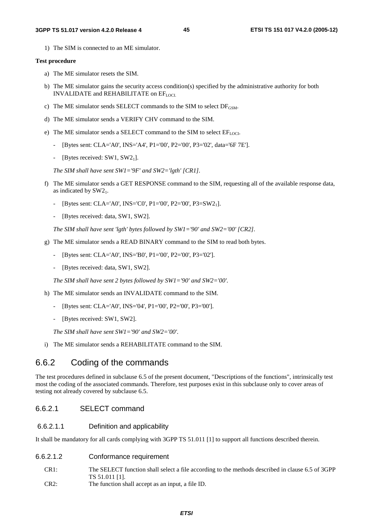1) The SIM is connected to an ME simulator.

#### **Test procedure**

- a) The ME simulator resets the SIM.
- b) The ME simulator gains the security access condition(s) specified by the administrative authority for both INVALIDATE and REHABILITATE on EFLOCI.
- c) The ME simulator sends SELECT commands to the SIM to select  $DF_{GSM}$ .
- d) The ME simulator sends a VERIFY CHV command to the SIM.
- e) The ME simulator sends a SELECT command to the SIM to select  $EF_{LOCI}$ .
	- [Bytes sent: CLA='A0', INS='A4', P1='00', P2='00', P3='02', data='6F 7E'].
	- [Bytes received:  $SW1$ ,  $SW2<sub>1</sub>$ ].

 *The SIM shall have sent SW1='9F' and SW2='lgth' [CR1].* 

- f) The ME simulator sends a GET RESPONSE command to the SIM, requesting all of the available response data, as indicated by  $SW2<sub>1</sub>$ .
	- [Bytes sent: CLA='A0', INS='C0', P1='00', P2='00', P3=SW21].
	- [Bytes received: data, SW1, SW2].

 *The SIM shall have sent 'lgth' bytes followed by SW1='90' and SW2='00' [CR2].* 

- g) The ME simulator sends a READ BINARY command to the SIM to read both bytes.
	- [Bytes sent: CLA='A0', INS='B0', P1='00', P2='00', P3='02'].
	- [Bytes received: data, SW1, SW2].

 *The SIM shall have sent 2 bytes followed by SW1='90' and SW2='00'.* 

- h) The ME simulator sends an INVALIDATE command to the SIM.
	- [Bytes sent: CLA='A0', INS='04', P1='00', P2='00', P3='00'].
	- [Bytes received: SW1, SW2].

 *The SIM shall have sent SW1='90' and SW2='00'.* 

i) The ME simulator sends a REHABILITATE command to the SIM.

# 6.6.2 Coding of the commands

The test procedures defined in subclause 6.5 of the present document, "Descriptions of the functions", intrinsically test most the coding of the associated commands. Therefore, test purposes exist in this subclause only to cover areas of testing not already covered by subclause 6.5.

## 6.6.2.1 SELECT command

#### 6.6.2.1.1 Definition and applicability

It shall be mandatory for all cards complying with 3GPP TS 51.011 [1] to support all functions described therein.

## 6.6.2.1.2 Conformance requirement

- CR1: The SELECT function shall select a file according to the methods described in clause 6.5 of 3GPP TS 51.011 [1].
- CR2: The function shall accept as an input, a file ID.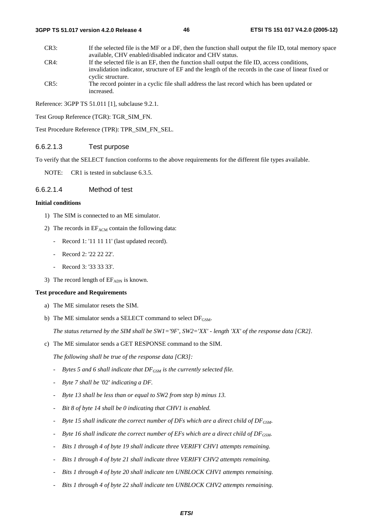#### **3GPP TS 51.017 version 4.2.0 Release 4 ETSI TS 151 017 V4.2.0 (2005-12)**

**46** 

CR3: If the selected file is the MF or a DF, then the function shall output the file ID, total memory space available, CHV enabled/disabled indicator and CHV status. CR4: If the selected file is an EF, then the function shall output the file ID, access conditions, invalidation indicator, structure of EF and the length of the records in the case of linear fixed or cyclic structure. CR5: The record pointer in a cyclic file shall address the last record which has been updated or increased.

Reference: 3GPP TS 51.011 [1], subclause 9.2.1.

Test Group Reference (TGR): TGR\_SIM\_FN.

Test Procedure Reference (TPR): TPR\_SIM\_FN\_SEL.

# 6.6.2.1.3 Test purpose

To verify that the SELECT function conforms to the above requirements for the different file types available.

NOTE: CR1 is tested in subclause 6.3.5.

## 6.6.2.1.4 Method of test

## **Initial conditions**

- 1) The SIM is connected to an ME simulator.
- 2) The records in  $EF_{ACM}$  contain the following data:
	- Record 1: '11 11 11' (last updated record).
	- Record 2: '22 22 22'.
	- Record 3: '33 33 33'.
- 3) The record length of  $EF_{ADN}$  is known.

#### **Test procedure and Requirements**

- a) The ME simulator resets the SIM.
- b) The ME simulator sends a SELECT command to select  $DF_{GSM}$ .

*The status returned by the SIM shall be SW1='9F', SW2='XX' - length 'XX' of the response data [CR2].* 

c) The ME simulator sends a GET RESPONSE command to the SIM.

 *The following shall be true of the response data [CR3]:* 

- *-* Bytes 5 and 6 shall indicate that DF<sub>GSM</sub> is the currently selected file.
- *Byte 7 shall be '02' indicating a DF.*
- *Byte 13 shall be less than or equal to SW2 from step b) minus 13.*
- *Bit 8 of byte 14 shall be 0 indicating that CHV1 is enabled.*
- <sup>-</sup> Byte 15 shall indicate the correct number of DFs which are a direct child of DF<sub>GSM</sub>.
- *Byte 16 shall indicate the correct number of EFs which are a direct child of DF<sub>GSM</sub>.*
- *Bits 1 through 4 of byte 19 shall indicate three VERIFY CHV1 attempts remaining.*
- *Bits 1 through 4 of byte 21 shall indicate three VERIFY CHV2 attempts remaining.*
- *Bits 1 through 4 of byte 20 shall indicate ten UNBLOCK CHV1 attempts remaining.*
- Bits 1 through 4 of byte 22 shall indicate ten UNBLOCK CHV2 attempts remaining.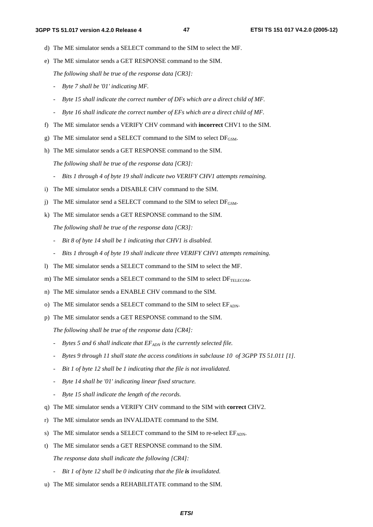- d) The ME simulator sends a SELECT command to the SIM to select the MF.
- e) The ME simulator sends a GET RESPONSE command to the SIM.

 *The following shall be true of the response data [CR3]:* 

- *Byte 7 shall be '01' indicating MF.*
- *Byte 15 shall indicate the correct number of DFs which are a direct child of MF.*
- *Byte 16 shall indicate the correct number of EFs which are a direct child of MF.*
- f) The ME simulator sends a VERIFY CHV command with **incorrect** CHV1 to the SIM.
- g) The ME simulator send a SELECT command to the SIM to select  $DF_{GSM}$ .
- h) The ME simulator sends a GET RESPONSE command to the SIM.

 *The following shall be true of the response data [CR3]:* 

- *Bits 1 through 4 of byte 19 shall indicate two VERIFY CHV1 attempts remaining.*
- i) The ME simulator sends a DISABLE CHV command to the SIM.
- j) The ME simulator send a SELECT command to the SIM to select  $DF_{GSM}$ .
- k) The ME simulator sends a GET RESPONSE command to the SIM.

 *The following shall be true of the response data [CR3]:* 

- *Bit 8 of byte 14 shall be 1 indicating that CHV1 is disabled.*
- *Bits 1 through 4 of byte 19 shall indicate three VERIFY CHV1 attempts remaining.*
- l) The ME simulator sends a SELECT command to the SIM to select the MF.
- m) The ME simulator sends a SELECT command to the SIM to select  $DF_{\text{TEI ECOM}}$ .
- n) The ME simulator sends a ENABLE CHV command to the SIM.
- o) The ME simulator sends a SELECT command to the SIM to select EF<sub>ADN</sub>.
- p) The ME simulator sends a GET RESPONSE command to the SIM.

 *The following shall be true of the response data [CR4]:* 

- <sup>-</sup> Bytes 5 and 6 shall indicate that  $EF_{ADN}$  is the currently selected file.
- *Bytes 9 through 11 shall state the access conditions in subclause 10 of 3GPP TS 51.011 [1].*
- *Bit 1 of byte 12 shall be 1 indicating that the file is not invalidated.*
- *Byte 14 shall be '01' indicating linear fixed structure.*
- *Byte 15 shall indicate the length of the records.*
- q) The ME simulator sends a VERIFY CHV command to the SIM with **correct** CHV2.
- r) The ME simulator sends an INVALIDATE command to the SIM.
- s) The ME simulator sends a SELECT command to the SIM to re-select  $E_{ADN}$ .
- t) The ME simulator sends a GET RESPONSE command to the SIM.

 *The response data shall indicate the following [CR4]:* 

- *Bit 1 of byte 12 shall be 0 indicating that the file is invalidated.*
- u) The ME simulator sends a REHABILITATE command to the SIM.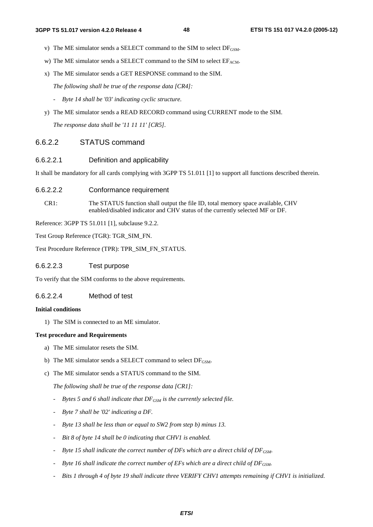- v) The ME simulator sends a SELECT command to the SIM to select  $DF_{\text{GSM}}$ .
- w) The ME simulator sends a SELECT command to the SIM to select  $EF_{ACM}$ .
- x) The ME simulator sends a GET RESPONSE command to the SIM.
	- *The following shall be true of the response data [CR4]:*
	- *Byte 14 shall be '03' indicating cyclic structure.*
- y) The ME simulator sends a READ RECORD command using CURRENT mode to the SIM.

 *The response data shall be '11 11 11' [CR5].* 

## 6.6.2.2 STATUS command

#### 6.6.2.2.1 Definition and applicability

It shall be mandatory for all cards complying with 3GPP TS 51.011 [1] to support all functions described therein.

- 6.6.2.2.2 Conformance requirement
	- CR1: The STATUS function shall output the file ID, total memory space available, CHV enabled/disabled indicator and CHV status of the currently selected MF or DF.

Reference: 3GPP TS 51.011 [1], subclause 9.2.2.

Test Group Reference (TGR): TGR\_SIM\_FN.

Test Procedure Reference (TPR): TPR\_SIM\_FN\_STATUS.

6.6.2.2.3 Test purpose

To verify that the SIM conforms to the above requirements.

## 6.6.2.2.4 Method of test

#### **Initial conditions**

1) The SIM is connected to an ME simulator.

#### **Test procedure and Requirements**

- a) The ME simulator resets the SIM.
- b) The ME simulator sends a SELECT command to select  $DF_{\text{GSM}}$ .
- c) The ME simulator sends a STATUS command to the SIM.

 *The following shall be true of the response data [CR1]:* 

- <sup>-</sup> Bytes 5 and 6 shall indicate that DF<sub>GSM</sub> is the currently selected file.
- *Byte 7 shall be '02' indicating a DF.*
- *Byte 13 shall be less than or equal to SW2 from step b) minus 13.*
- *Bit 8 of byte 14 shall be 0 indicating that CHV1 is enabled.*
- <sup>-</sup> Byte 15 shall indicate the correct number of DFs which are a direct child of DF<sub>GSM</sub>.
- <sup>-</sup> Byte 16 shall indicate the correct number of EFs which are a direct child of DF<sub>GSM</sub>.
- *Bits 1 through 4 of byte 19 shall indicate three VERIFY CHV1 attempts remaining if CHV1 is initialized.*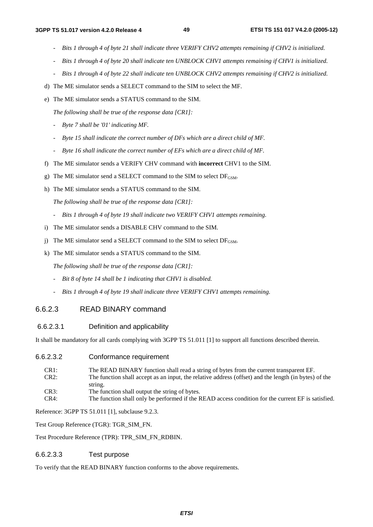- *Bits 1 through 4 of byte 21 shall indicate three VERIFY CHV2 attempts remaining if CHV2 is initialized.*
- *Bits 1 through 4 of byte 20 shall indicate ten UNBLOCK CHV1 attempts remaining if CHV1 is initialized.*
- *Bits 1 through 4 of byte 22 shall indicate ten UNBLOCK CHV2 attempts remaining if CHV2 is initialized.*
- d) The ME simulator sends a SELECT command to the SIM to select the MF.
- e) The ME simulator sends a STATUS command to the SIM.

 *The following shall be true of the response data [CR1]:* 

- *Byte 7 shall be '01' indicating MF.*
- *Byte 15 shall indicate the correct number of DFs which are a direct child of MF.*
- *Byte 16 shall indicate the correct number of EFs which are a direct child of MF.*
- f) The ME simulator sends a VERIFY CHV command with **incorrect** CHV1 to the SIM.
- g) The ME simulator send a SELECT command to the SIM to select  $DF_{GSM}$ .
- h) The ME simulator sends a STATUS command to the SIM.

 *The following shall be true of the response data [CR1]:* 

- *Bits 1 through 4 of byte 19 shall indicate two VERIFY CHV1 attempts remaining.*
- i) The ME simulator sends a DISABLE CHV command to the SIM.
- j) The ME simulator send a SELECT command to the SIM to select  $DF_{GSM}$ .
- k) The ME simulator sends a STATUS command to the SIM.

 *The following shall be true of the response data [CR1]:* 

- *Bit 8 of byte 14 shall be 1 indicating that CHV1 is disabled.*
- *Bits 1 through 4 of byte 19 shall indicate three VERIFY CHV1 attempts remaining.*

## 6.6.2.3 READ BINARY command

#### 6.6.2.3.1 Definition and applicability

It shall be mandatory for all cards complying with 3GPP TS 51.011 [1] to support all functions described therein.

#### 6.6.2.3.2 Conformance requirement

| CR <sub>1</sub> : | The READ BINARY function shall read a string of bytes from the current transparent EF.                                                                          |
|-------------------|-----------------------------------------------------------------------------------------------------------------------------------------------------------------|
| CR2:              | The function shall accept as an input, the relative address (offset) and the length (in bytes) of the                                                           |
| CR3:<br>CR4:      | string.<br>The function shall output the string of bytes.<br>The function shall only be performed if the READ access condition for the current EF is satisfied. |

Reference: 3GPP TS 51.011 [1], subclause 9.2.3.

Test Group Reference (TGR): TGR\_SIM\_FN.

Test Procedure Reference (TPR): TPR\_SIM\_FN\_RDBIN.

#### 6.6.2.3.3 Test purpose

To verify that the READ BINARY function conforms to the above requirements.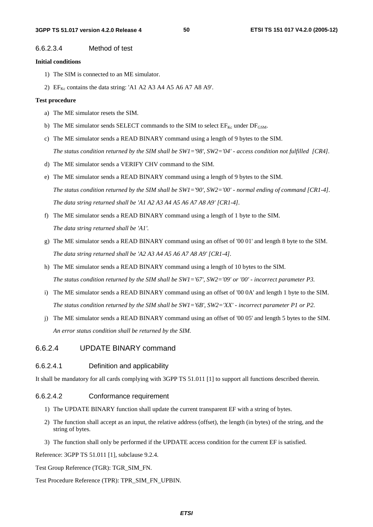#### 6.6.2.3.4 Method of test

#### **Initial conditions**

- 1) The SIM is connected to an ME simulator.
- 2)  $EF_{Kc}$  contains the data string: 'A1 A2 A3 A4 A5 A6 A7 A8 A9'.

#### **Test procedure**

- a) The ME simulator resets the SIM.
- b) The ME simulator sends SELECT commands to the SIM to select  $EF_{Kc}$  under  $DF_{GSM}$ .
- c) The ME simulator sends a READ BINARY command using a length of 9 bytes to the SIM. *The status condition returned by the SIM shall be SW1='98', SW2='04' - access condition not fulfilled [CR4].*
- d) The ME simulator sends a VERIFY CHV command to the SIM.
- e) The ME simulator sends a READ BINARY command using a length of 9 bytes to the SIM.  *The status condition returned by the SIM shall be SW1='90', SW2='00' - normal ending of command [CR1-4]. The data string returned shall be 'A1 A2 A3 A4 A5 A6 A7 A8 A9' [CR1-4].*
- f) The ME simulator sends a READ BINARY command using a length of 1 byte to the SIM.  *The data string returned shall be 'A1'.*
- g) The ME simulator sends a READ BINARY command using an offset of '00 01' and length 8 byte to the SIM.  *The data string returned shall be 'A2 A3 A4 A5 A6 A7 A8 A9' [CR1-4].*
- h) The ME simulator sends a READ BINARY command using a length of 10 bytes to the SIM.  *The status condition returned by the SIM shall be SW1='67', SW2='09' or '00' - incorrect parameter P3.*
- i) The ME simulator sends a READ BINARY command using an offset of '00 0A' and length 1 byte to the SIM.  *The status condition returned by the SIM shall be SW1='6B', SW2='XX' - incorrect parameter P1 or P2.*
- j) The ME simulator sends a READ BINARY command using an offset of '00 05' and length 5 bytes to the SIM.  *An error status condition shall be returned by the SIM.*

## 6.6.2.4 UPDATE BINARY command

### 6.6.2.4.1 Definition and applicability

It shall be mandatory for all cards complying with 3GPP TS 51.011 [1] to support all functions described therein.

## 6.6.2.4.2 Conformance requirement

- 1) The UPDATE BINARY function shall update the current transparent EF with a string of bytes.
- 2) The function shall accept as an input, the relative address (offset), the length (in bytes) of the string, and the string of bytes.
- 3) The function shall only be performed if the UPDATE access condition for the current EF is satisfied.

Reference: 3GPP TS 51.011 [1], subclause 9.2.4.

Test Group Reference (TGR): TGR\_SIM\_FN.

Test Procedure Reference (TPR): TPR\_SIM\_FN\_UPBIN.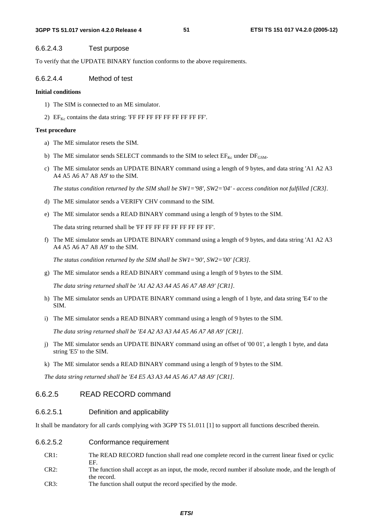#### 6.6.2.4.3 Test purpose

To verify that the UPDATE BINARY function conforms to the above requirements.

## 6.6.2.4.4 Method of test

#### **Initial conditions**

- 1) The SIM is connected to an ME simulator.
- 2)  $EF_{Kc}$  contains the data string: 'FF FF FF FF FF FF FF FF FF'.

#### **Test procedure**

- a) The ME simulator resets the SIM.
- b) The ME simulator sends SELECT commands to the SIM to select  $EF_{Kc}$  under  $DF_{GSM}$ .
- c) The ME simulator sends an UPDATE BINARY command using a length of 9 bytes, and data string 'A1 A2 A3 A4 A5 A6 A7 A8 A9' to the SIM.

 *The status condition returned by the SIM shall be SW1='98', SW2='04' - access condition not fulfilled [CR3].* 

- d) The ME simulator sends a VERIFY CHV command to the SIM.
- e) The ME simulator sends a READ BINARY command using a length of 9 bytes to the SIM.

The data string returned shall be 'FF FF FF FF FF FF FF FF FF'.

f) The ME simulator sends an UPDATE BINARY command using a length of 9 bytes, and data string 'A1 A2 A3 A4 A5 A6 A7 A8 A9' to the SIM.

 *The status condition returned by the SIM shall be SW1='90', SW2='00' [CR3].* 

g) The ME simulator sends a READ BINARY command using a length of 9 bytes to the SIM.

*The data string returned shall be 'A1 A2 A3 A4 A5 A6 A7 A8 A9' [CR1].* 

- h) The ME simulator sends an UPDATE BINARY command using a length of 1 byte, and data string 'E4' to the SIM.
- i) The ME simulator sends a READ BINARY command using a length of 9 bytes to the SIM.

 *The data string returned shall be 'E4 A2 A3 A3 A4 A5 A6 A7 A8 A9' [CR1].* 

- j) The ME simulator sends an UPDATE BINARY command using an offset of '00 01', a length 1 byte, and data string 'E5' to the SIM.
- k) The ME simulator sends a READ BINARY command using a length of 9 bytes to the SIM.

 *The data string returned shall be 'E4 E5 A3 A3 A4 A5 A6 A7 A8 A9' [CR1].*

# 6.6.2.5 READ RECORD command

## 6.6.2.5.1 Definition and applicability

It shall be mandatory for all cards complying with 3GPP TS 51.011 [1] to support all functions described therein.

- 6.6.2.5.2 Conformance requirement
	- CR1: The READ RECORD function shall read one complete record in the current linear fixed or cyclic EF.
	- CR2: The function shall accept as an input, the mode, record number if absolute mode, and the length of the record.
	- CR3: The function shall output the record specified by the mode.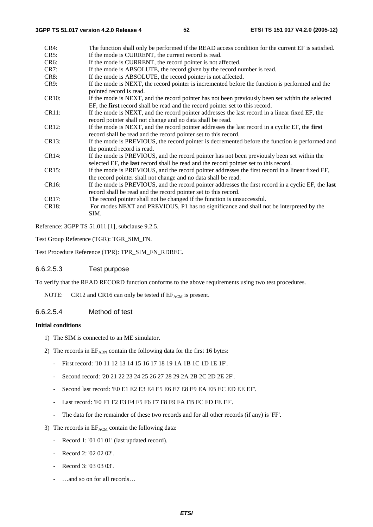| $CR4$ :            | The function shall only be performed if the READ access condition for the current EF is satisfied.         |
|--------------------|------------------------------------------------------------------------------------------------------------|
| CR5:               | If the mode is CURRENT, the current record is read.                                                        |
| CR <sub>6</sub> :  | If the mode is CURRENT, the record pointer is not affected.                                                |
| CR7:               | If the mode is ABSOLUTE, the record given by the record number is read.                                    |
| CR <sub>8</sub> :  | If the mode is ABSOLUTE, the record pointer is not affected.                                               |
| CR9:               | If the mode is NEXT, the record pointer is incremented before the function is performed and the            |
|                    | pointed record is read.                                                                                    |
| <b>CR10:</b>       | If the mode is NEXT, and the record pointer has not been previously been set within the selected           |
|                    | EF, the first record shall be read and the record pointer set to this record.                              |
| CR11:              | If the mode is NEXT, and the record pointer addresses the last record in a linear fixed EF, the            |
|                    | record pointer shall not change and no data shall be read.                                                 |
| CR12:              | If the mode is NEXT, and the record pointer addresses the last record in a cyclic EF, the first            |
|                    | record shall be read and the record pointer set to this record.                                            |
| CR13:              | If the mode is PREVIOUS, the record pointer is decremented before the function is performed and            |
|                    | the pointed record is read.                                                                                |
| CR14:              | If the mode is PREVIOUS, and the record pointer has not been previously been set within the                |
|                    | selected EF, the last record shall be read and the record pointer set to this record.                      |
| CR15:              | If the mode is PREVIOUS, and the record pointer addresses the first record in a linear fixed EF,           |
|                    | the record pointer shall not change and no data shall be read.                                             |
| CR <sub>16</sub> : | If the mode is PREVIOUS, and the record pointer addresses the first record in a cyclic EF, the <b>last</b> |
|                    | record shall be read and the record pointer set to this record.                                            |
| CR17:              | The record pointer shall not be changed if the function is unsuccessful.                                   |
| CR18:              | For modes NEXT and PREVIOUS, P1 has no significance and shall not be interpreted by the                    |
|                    | SIM.                                                                                                       |

Reference: 3GPP TS 51.011 [1], subclause 9.2.5.

Test Group Reference (TGR): TGR\_SIM\_FN.

Test Procedure Reference (TPR): TPR\_SIM\_FN\_RDREC.

#### 6.6.2.5.3 Test purpose

To verify that the READ RECORD function conforms to the above requirements using two test procedures.

NOTE: CR12 and CR16 can only be tested if  $EF_{ACM}$  is present.

## 6.6.2.5.4 Method of test

## **Initial conditions**

- 1) The SIM is connected to an ME simulator.
- 2) The records in  $EF_{\text{ADM}}$  contain the following data for the first 16 bytes:
	- First record: '10 11 12 13 14 15 16 17 18 19 1A 1B 1C 1D 1E 1F'.
	- Second record: '20 21 22 23 24 25 26 27 28 29 2A 2B 2C 2D 2E 2F'.
	- Second last record: 'E0 E1 E2 E3 E4 E5 E6 E7 E8 E9 EA EB EC ED EE EF'.
	- Last record: 'F0 F1 F2 F3 F4 F5 F6 F7 F8 F9 FA FB FC FD FE FF'.
	- The data for the remainder of these two records and for all other records (if any) is 'FF'.
- 3) The records in  $EF_{ACM}$  contain the following data:
	- Record 1: '01 01 01' (last updated record).
	- Record 2: '02 02 02'.
	- Record 3: '03 03 03'.
	- ...and so on for all records...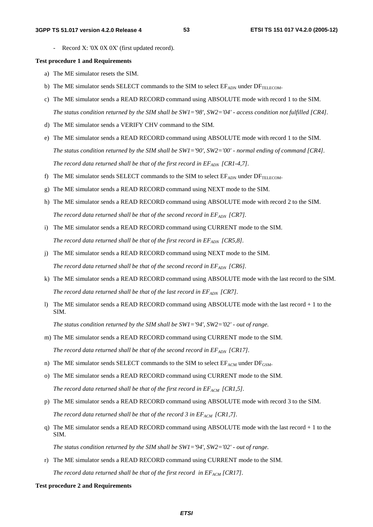Record X: '0X 0X 0X' (first updated record).

#### **Test procedure 1 and Requirements**

- a) The ME simulator resets the SIM.
- b) The ME simulator sends SELECT commands to the SIM to select  $EF_{ADN}$  under  $DF_{TELECOM}$ .
- c) The ME simulator sends a READ RECORD command using ABSOLUTE mode with record 1 to the SIM. *The status condition returned by the SIM shall be SW1='98', SW2='04' - access condition not fulfilled [CR4].*
- d) The ME simulator sends a VERIFY CHV command to the SIM.
- e) The ME simulator sends a READ RECORD command using ABSOLUTE mode with record 1 to the SIM. *The status condition returned by the SIM shall be SW1='90', SW2='00' - normal ending of command [CR4]. The record data returned shall be that of the first record in*  $EF_{ADN}$  *[CR1-4,7].*
- f) The ME simulator sends SELECT commands to the SIM to select  $E_{\text{ADN}}$  under  $D_{\text{TELECOM}}$ .
- g) The ME simulator sends a READ RECORD command using NEXT mode to the SIM.
- h) The ME simulator sends a READ RECORD command using ABSOLUTE mode with record 2 to the SIM. The record data returned shall be that of the second record in EF<sub>ADN</sub> [CR7].
- i) The ME simulator sends a READ RECORD command using CURRENT mode to the SIM. The record data returned shall be that of the first record in  $EF_{ADN}$  [CR5,8].
- j) The ME simulator sends a READ RECORD command using NEXT mode to the SIM. The record data returned shall be that of the second record in EF<sub>ADN</sub> [CR6].
- k) The ME simulator sends a READ RECORD command using ABSOLUTE mode with the last record to the SIM. The record data returned shall be that of the last record in  $EF_{ADN}$  [CR7].
- l) The ME simulator sends a READ RECORD command using ABSOLUTE mode with the last record + 1 to the SIM.

*The status condition returned by the SIM shall be SW1='94', SW2='02' - out of range.* 

- m) The ME simulator sends a READ RECORD command using CURRENT mode to the SIM. *The record data returned shall be that of the second record in*  $EF_{ADN}$  *[CR17].*
- n) The ME simulator sends SELECT commands to the SIM to select  $E_{ACM}$  under  $DF_{GSM}$ .
- o) The ME simulator sends a READ RECORD command using CURRENT mode to the SIM. The record data returned shall be that of the first record in  $EF_{ACM}$  [CR1,5].
- p) The ME simulator sends a READ RECORD command using ABSOLUTE mode with record 3 to the SIM. The record data returned shall be that of the record 3 in  $EF_{ACM}$  [CR1,7].
- q) The ME simulator sends a READ RECORD command using ABSOLUTE mode with the last record + 1 to the SIM.

*The status condition returned by the SIM shall be SW1='94', SW2='02' - out of range.* 

r) The ME simulator sends a READ RECORD command using CURRENT mode to the SIM.

The record data returned shall be that of the first record in  $EF_{ACM}$  [CR17].

#### **Test procedure 2 and Requirements**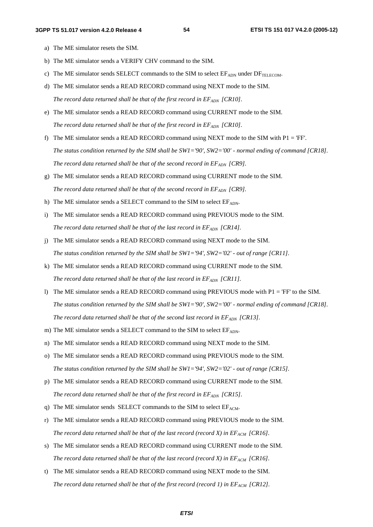- a) The ME simulator resets the SIM.
- b) The ME simulator sends a VERIFY CHV command to the SIM.
- c) The ME simulator sends SELECT commands to the SIM to select  $E_{\text{ADN}}$  under  $DF_{\text{TELECOM}}$ .
- d) The ME simulator sends a READ RECORD command using NEXT mode to the SIM. The record data returned shall be that of the first record in  $EF_{ADM}$  [CR10].
- e) The ME simulator sends a READ RECORD command using CURRENT mode to the SIM. *The record data returned shall be that of the first record in*  $EF_{ADM}$  *[CR10].*
- f) The ME simulator sends a READ RECORD command using NEXT mode to the SIM with  $P1 = 'FF'.$ *The status condition returned by the SIM shall be SW1='90', SW2='00' - normal ending of command [CR18]. The record data returned shall be that of the second record in*  $EF_{ADN}$  *[CR9].*
- g) The ME simulator sends a READ RECORD command using CURRENT mode to the SIM. *The record data returned shall be that of the second record in*  $EF_{ADN}$  *[CR9].*
- h) The ME simulator sends a SELECT command to the SIM to select  $EF_{ADN}$ .
- i) The ME simulator sends a READ RECORD command using PREVIOUS mode to the SIM. The record data returned shall be that of the last record in  $EF_{ADN}$  [CR14].
- j) The ME simulator sends a READ RECORD command using NEXT mode to the SIM. *The status condition returned by the SIM shall be SW1='94', SW2='02' - out of range [CR11].*
- k) The ME simulator sends a READ RECORD command using CURRENT mode to the SIM. The record data returned shall be that of the last record in  $EF_{ADM}$  [CR11].
- l) The ME simulator sends a READ RECORD command using PREVIOUS mode with  $P1 = 'FF'$  to the SIM. *The status condition returned by the SIM shall be SW1='90', SW2='00' - normal ending of command [CR18]. The record data returned shall be that of the second last record in*  $EF_{ADN}$  *[CR13].*
- m) The ME simulator sends a SELECT command to the SIM to select  $EF_{ADN}$ .
- n) The ME simulator sends a READ RECORD command using NEXT mode to the SIM.
- o) The ME simulator sends a READ RECORD command using PREVIOUS mode to the SIM. *The status condition returned by the SIM shall be SW1='94', SW2='02' - out of range [CR15].*
- p) The ME simulator sends a READ RECORD command using CURRENT mode to the SIM. The record data returned shall be that of the first record in  $EF_{ADN}$  [CR15].
- q) The ME simulator sends SELECT commands to the SIM to select  $EF_{ACM}$ .
- r) The ME simulator sends a READ RECORD command using PREVIOUS mode to the SIM. *The record data returned shall be that of the last record (record X) in*  $EF_{ACM}$  *[CR16].*
- s) The ME simulator sends a READ RECORD command using CURRENT mode to the SIM. The record data returned shall be that of the last record (record X) in  $EF_{ACM}$  [CR16].
- t) The ME simulator sends a READ RECORD command using NEXT mode to the SIM. *The record data returned shall be that of the first record (record 1) in*  $EF_{ACM}$  *[CR12].*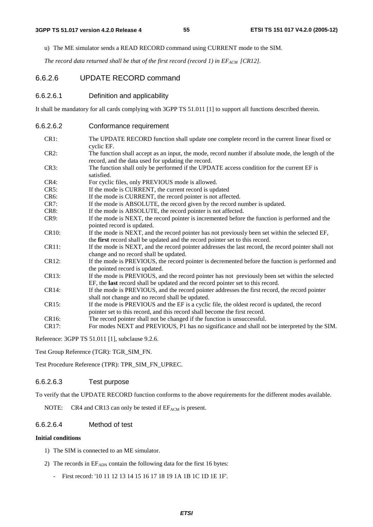u) The ME simulator sends a READ RECORD command using CURRENT mode to the SIM.

The record data returned shall be that of the first record (record 1) in  $EF_{ACM}$  [CR12].

## 6.6.2.6 UPDATE RECORD command

#### 6.6.2.6.1 Definition and applicability

It shall be mandatory for all cards complying with 3GPP TS 51.011 [1] to support all functions described therein.

6.6.2.6.2 Conformance requirement

| CR1:              | The UPDATE RECORD function shall update one complete record in the current linear fixed or<br>cyclic EF. |
|-------------------|----------------------------------------------------------------------------------------------------------|
| $CR2$ :           | The function shall accept as an input, the mode, record number if absolute mode, the length of the       |
|                   | record, and the data used for updating the record.                                                       |
| CR3:              | The function shall only be performed if the UPDATE access condition for the current EF is                |
|                   | satisfied.                                                                                               |
| CR4:              | For cyclic files, only PREVIOUS mode is allowed.                                                         |
| CR5:              | If the mode is CURRENT, the current record is updated                                                    |
| CR <sub>6</sub> : | If the mode is CURRENT, the record pointer is not affected.                                              |
| CR7:              | If the mode is ABSOLUTE, the record given by the record number is updated.                               |
| CR8:              | If the mode is ABSOLUTE, the record pointer is not affected.                                             |
| CR9:              | If the mode is NEXT, the record pointer is incremented before the function is performed and the          |
|                   | pointed record is updated.                                                                               |
| CR10:             | If the mode is NEXT, and the record pointer has not previously been set within the selected EF,          |
|                   | the first record shall be updated and the record pointer set to this record.                             |
| CR11:             | If the mode is NEXT, and the record pointer addresses the last record, the record pointer shall not      |
|                   | change and no record shall be updated.                                                                   |
| CR12:             | If the mode is PREVIOUS, the record pointer is decremented before the function is performed and          |
|                   | the pointed record is updated.                                                                           |
| CR13:             | If the mode is PREVIOUS, and the record pointer has not previously been set within the selected          |
|                   | EF, the last record shall be updated and the record pointer set to this record.                          |
| CR14:             | If the mode is PREVIOUS, and the record pointer addresses the first record, the record pointer           |
|                   | shall not change and no record shall be updated.                                                         |
| CR15:             | If the mode is PREVIOUS and the EF is a cyclic file, the oldest record is updated, the record            |
|                   | pointer set to this record, and this record shall become the first record.                               |
| CR16:             | The record pointer shall not be changed if the function is unsuccessful.                                 |
| CR17:             | For modes NEXT and PREVIOUS, P1 has no significance and shall not be interpreted by the SIM.             |
|                   |                                                                                                          |

Reference: 3GPP TS 51.011 [1], subclause 9.2.6.

Test Group Reference (TGR): TGR\_SIM\_FN.

Test Procedure Reference (TPR): TPR\_SIM\_FN\_UPREC.

#### 6.6.2.6.3 Test purpose

To verify that the UPDATE RECORD function conforms to the above requirements for the different modes available.

NOTE: CR4 and CR13 can only be tested if  $EF_{ACM}$  is present.

## 6.6.2.6.4 Method of test

## **Initial conditions**

- 1) The SIM is connected to an ME simulator.
- 2) The records in  $EF<sub>ADN</sub>$  contain the following data for the first 16 bytes:
	- First record: '10 11 12 13 14 15 16 17 18 19 1A 1B 1C 1D 1E 1F'.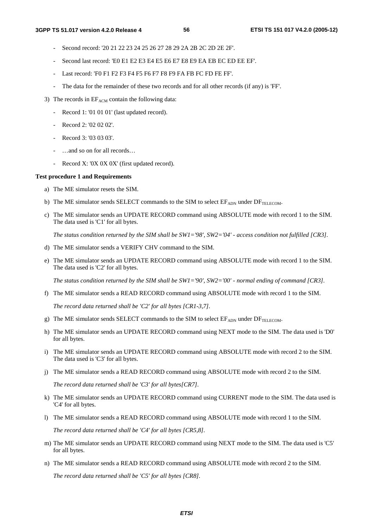- Second record: '20 21 22 23 24 25 26 27 28 29 2A 2B 2C 2D 2E 2F'.
- Second last record: 'E0 E1 E2 E3 E4 E5 E6 E7 E8 E9 EA EB EC ED EE EF'.
- Last record: 'F0 F1 F2 F3 F4 F5 F6 F7 F8 F9 FA FB FC FD FE FF'.
- The data for the remainder of these two records and for all other records (if any) is 'FF'.
- 3) The records in  $EF_{ACM}$  contain the following data:
	- Record 1: '01 01 01' (last updated record).
	- Record 2: '02 02 02'.
	- Record 3: '03 03 03'.
	- ...and so on for all records...
	- Record X: '0X 0X 0X' (first updated record).

#### **Test procedure 1 and Requirements**

- a) The ME simulator resets the SIM.
- b) The ME simulator sends SELECT commands to the SIM to select  $EF_{ADN}$  under  $DF_{TELECOM}$ .
- c) The ME simulator sends an UPDATE RECORD command using ABSOLUTE mode with record 1 to the SIM. The data used is 'C1' for all bytes.

*The status condition returned by the SIM shall be SW1='98', SW2='04' - access condition not fulfilled [CR3].* 

- d) The ME simulator sends a VERIFY CHV command to the SIM.
- e) The ME simulator sends an UPDATE RECORD command using ABSOLUTE mode with record 1 to the SIM. The data used is 'C2' for all bytes.

*The status condition returned by the SIM shall be SW1='90', SW2='00' - normal ending of command [CR3].* 

f) The ME simulator sends a READ RECORD command using ABSOLUTE mode with record 1 to the SIM.

*The record data returned shall be 'C2' for all bytes [CR1-3,7].* 

- g) The ME simulator sends SELECT commands to the SIM to select  $EF_{ADN}$  under  $DF_{TELECOM}$ .
- h) The ME simulator sends an UPDATE RECORD command using NEXT mode to the SIM. The data used is 'D0' for all bytes.
- i) The ME simulator sends an UPDATE RECORD command using ABSOLUTE mode with record 2 to the SIM. The data used is 'C3' for all bytes.
- j) The ME simulator sends a READ RECORD command using ABSOLUTE mode with record 2 to the SIM.

*The record data returned shall be 'C3' for all bytes[CR7].* 

- k) The ME simulator sends an UPDATE RECORD command using CURRENT mode to the SIM. The data used is 'C4' for all bytes.
- l) The ME simulator sends a READ RECORD command using ABSOLUTE mode with record 1 to the SIM.

*The record data returned shall be 'C4' for all bytes [CR5,8].* 

- m) The ME simulator sends an UPDATE RECORD command using NEXT mode to the SIM. The data used is 'C5' for all bytes.
- n) The ME simulator sends a READ RECORD command using ABSOLUTE mode with record 2 to the SIM.

*The record data returned shall be 'C5' for all bytes [CR8].*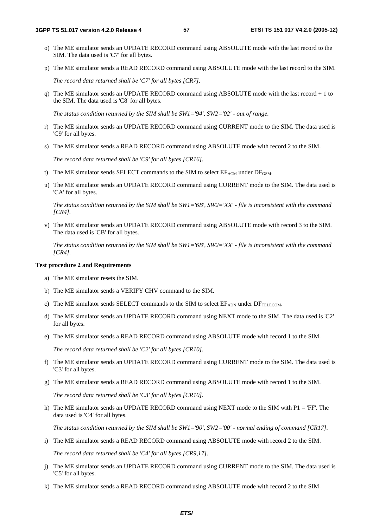- o) The ME simulator sends an UPDATE RECORD command using ABSOLUTE mode with the last record to the SIM. The data used is 'C7' for all bytes.
- p) The ME simulator sends a READ RECORD command using ABSOLUTE mode with the last record to the SIM.

*The record data returned shall be 'C7' for all bytes [CR7].* 

q) The ME simulator sends an UPDATE RECORD command using ABSOLUTE mode with the last record + 1 to the SIM. The data used is 'C8' for all bytes.

*The status condition returned by the SIM shall be SW1='94', SW2='02' - out of range.* 

- r) The ME simulator sends an UPDATE RECORD command using CURRENT mode to the SIM. The data used is 'C9' for all bytes.
- s) The ME simulator sends a READ RECORD command using ABSOLUTE mode with record 2 to the SIM.

*The record data returned shall be 'C9' for all bytes [CR16].* 

- t) The ME simulator sends SELECT commands to the SIM to select  $EF_{ACM}$  under  $DF_{GSM}$ .
- u) The ME simulator sends an UPDATE RECORD command using CURRENT mode to the SIM. The data used is 'CA' for all bytes.

*The status condition returned by the SIM shall be SW1='6B', SW2='XX' - file is inconsistent with the command [CR4].* 

v) The ME simulator sends an UPDATE RECORD command using ABSOLUTE mode with record 3 to the SIM. The data used is 'CB' for all bytes.

*The status condition returned by the SIM shall be SW1='6B', SW2='XX' - file is inconsistent with the command [CR4].* 

#### **Test procedure 2 and Requirements**

- a) The ME simulator resets the SIM.
- b) The ME simulator sends a VERIFY CHV command to the SIM.
- c) The ME simulator sends SELECT commands to the SIM to select  $E_{\text{ADN}}$  under  $DF_{\text{TELECOM}}$ .
- d) The ME simulator sends an UPDATE RECORD command using NEXT mode to the SIM. The data used is 'C2' for all bytes.
- e) The ME simulator sends a READ RECORD command using ABSOLUTE mode with record 1 to the SIM.

*The record data returned shall be 'C2' for all bytes [CR10].* 

- f) The ME simulator sends an UPDATE RECORD command using CURRENT mode to the SIM. The data used is 'C3' for all bytes.
- g) The ME simulator sends a READ RECORD command using ABSOLUTE mode with record 1 to the SIM.

*The record data returned shall be 'C3' for all bytes [CR10].* 

h) The ME simulator sends an UPDATE RECORD command using NEXT mode to the SIM with  $PI = 'FF'$ . The data used is 'C4' for all bytes.

*The status condition returned by the SIM shall be SW1='90', SW2='00' - normal ending of command [CR17].* 

i) The ME simulator sends a READ RECORD command using ABSOLUTE mode with record 2 to the SIM.

*The record data returned shall be 'C4' for all bytes [CR9,17].* 

- j) The ME simulator sends an UPDATE RECORD command using CURRENT mode to the SIM. The data used is 'C5' for all bytes.
- k) The ME simulator sends a READ RECORD command using ABSOLUTE mode with record 2 to the SIM.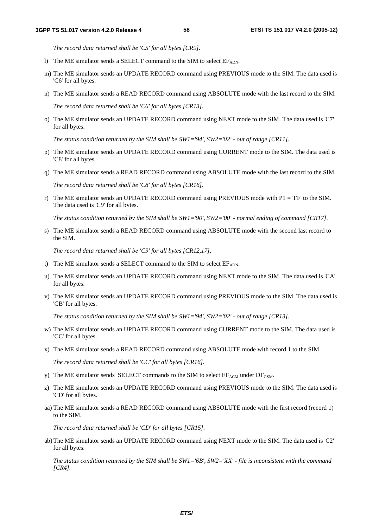*The record data returned shall be 'C5' for all bytes [CR9].* 

- l) The ME simulator sends a SELECT command to the SIM to select  $EF_{ADN}$ .
- m) The ME simulator sends an UPDATE RECORD command using PREVIOUS mode to the SIM. The data used is 'C6' for all bytes.
- n) The ME simulator sends a READ RECORD command using ABSOLUTE mode with the last record to the SIM.

*The record data returned shall be 'C6' for all bytes [CR13].* 

o) The ME simulator sends an UPDATE RECORD command using NEXT mode to the SIM. The data used is 'C7' for all bytes.

*The status condition returned by the SIM shall be SW1='94', SW2='02' - out of range [CR11].* 

- p) The ME simulator sends an UPDATE RECORD command using CURRENT mode to the SIM. The data used is 'C8' for all bytes.
- q) The ME simulator sends a READ RECORD command using ABSOLUTE mode with the last record to the SIM.

*The record data returned shall be 'C8' for all bytes [CR16].* 

r) The ME simulator sends an UPDATE RECORD command using PREVIOUS mode with  $P1 = 'FF'$  to the SIM. The data used is 'C9' for all bytes.

*The status condition returned by the SIM shall be SW1='90', SW2='00' - normal ending of command [CR17].* 

s) The ME simulator sends a READ RECORD command using ABSOLUTE mode with the second last record to the SIM.

*The record data returned shall be 'C9' for all bytes [CR12,17].* 

- t) The ME simulator sends a SELECT command to the SIM to select  $EF_{ADN}$ .
- u) The ME simulator sends an UPDATE RECORD command using NEXT mode to the SIM. The data used is 'CA' for all bytes.
- v) The ME simulator sends an UPDATE RECORD command using PREVIOUS mode to the SIM. The data used is 'CB' for all bytes.

*The status condition returned by the SIM shall be SW1='94', SW2='02' - out of range [CR13].* 

- w) The ME simulator sends an UPDATE RECORD command using CURRENT mode to the SIM. The data used is 'CC' for all bytes.
- x) The ME simulator sends a READ RECORD command using ABSOLUTE mode with record 1 to the SIM.

*The record data returned shall be 'CC' for all bytes [CR16].* 

- y) The ME simulator sends SELECT commands to the SIM to select  $EF_{ACM}$  under  $DF_{GSM}$ .
- z) The ME simulator sends an UPDATE RECORD command using PREVIOUS mode to the SIM. The data used is 'CD' for all bytes.
- aa) The ME simulator sends a READ RECORD command using ABSOLUTE mode with the first record (record 1) to the SIM.

*The record data returned shall be 'CD' for all bytes [CR15].* 

ab) The ME simulator sends an UPDATE RECORD command using NEXT mode to the SIM. The data used is 'C2' for all bytes.

 *The status condition returned by the SIM shall be SW1='6B', SW2='XX' - file is inconsistent with the command [CR4].*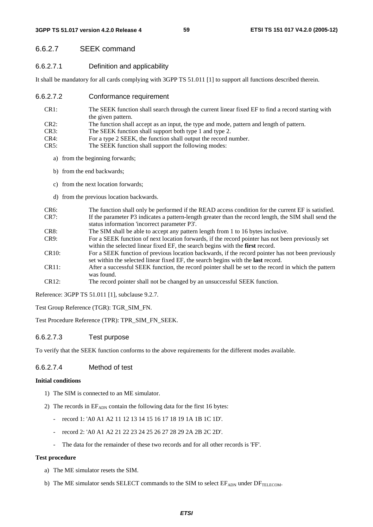# 6.6.2.7 SEEK command

# 6.6.2.7.1 Definition and applicability

It shall be mandatory for all cards complying with 3GPP TS 51.011 [1] to support all functions described therein.

# 6.6.2.7.2 Conformance requirement

- CR1: The SEEK function shall search through the current linear fixed EF to find a record starting with the given pattern.
- CR2: The function shall accept as an input, the type and mode, pattern and length of pattern.
- CR3: The SEEK function shall support both type 1 and type 2.
- CR4: For a type 2 SEEK, the function shall output the record number.
- CR5: The SEEK function shall support the following modes:
	- a) from the beginning forwards;
	- b) from the end backwards;
	- c) from the next location forwards;
	- d) from the previous location backwards.
- CR6: The function shall only be performed if the READ access condition for the current EF is satisfied. CR7: If the parameter P3 indicates a pattern-length greater than the record length, the SIM shall send the status information 'incorrect parameter P3'.
- CR8: The SIM shall be able to accept any pattern length from 1 to 16 bytes inclusive.

CR9: For a SEEK function of next location forwards, if the record pointer has not been previously set within the selected linear fixed EF, the search begins with the **first** record.

- CR10: For a SEEK function of previous location backwards, if the record pointer has not been previously set within the selected linear fixed EF, the search begins with the **last** record.
- CR11: After a successful SEEK function, the record pointer shall be set to the record in which the pattern was found.
- CR12: The record pointer shall not be changed by an unsuccessful SEEK function.

Reference: 3GPP TS 51.011 [1], subclause 9.2.7.

Test Group Reference (TGR): TGR\_SIM\_FN.

Test Procedure Reference (TPR): TPR\_SIM\_FN\_SEEK.

# 6.6.2.7.3 Test purpose

To verify that the SEEK function conforms to the above requirements for the different modes available.

# 6.6.2.7.4 Method of test

## **Initial conditions**

- 1) The SIM is connected to an ME simulator.
- 2) The records in  $EF_{ADN}$  contain the following data for the first 16 bytes:
	- record 1: 'A0 A1 A2 11 12 13 14 15 16 17 18 19 1A 1B 1C 1D'.
	- record 2: 'A0 A1 A2 21 22 23 24 25 26 27 28 29 2A 2B 2C 2D'.
	- The data for the remainder of these two records and for all other records is 'FF'.

## **Test procedure**

- a) The ME simulator resets the SIM.
- b) The ME simulator sends SELECT commands to the SIM to select  $E_{\text{ADN}}$  under  $DF_{\text{TELECOM}}$ .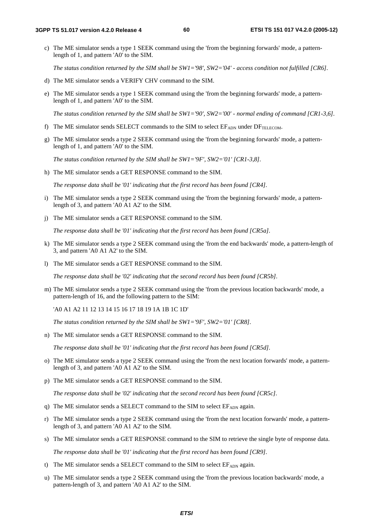c) The ME simulator sends a type 1 SEEK command using the 'from the beginning forwards' mode, a patternlength of 1, and pattern 'A0' to the SIM.

*The status condition returned by the SIM shall be SW1='98', SW2='04' - access condition not fulfilled [CR6].* 

- d) The ME simulator sends a VERIFY CHV command to the SIM.
- e) The ME simulator sends a type 1 SEEK command using the 'from the beginning forwards' mode, a patternlength of 1, and pattern 'A0' to the SIM.

*The status condition returned by the SIM shall be SW1='90', SW2='00' - normal ending of command [CR1-3,6].* 

- f) The ME simulator sends SELECT commands to the SIM to select  $E_{\text{ADN}}$  under  $DF_{\text{TELECOM}}$ .
- g) The ME simulator sends a type 2 SEEK command using the 'from the beginning forwards' mode, a patternlength of 1, and pattern 'A0' to the SIM.

*The status condition returned by the SIM shall be SW1='9F', SW2='01' [CR1-3,8].* 

h) The ME simulator sends a GET RESPONSE command to the SIM.

 *The response data shall be '01' indicating that the first record has been found [CR4].* 

- i) The ME simulator sends a type 2 SEEK command using the 'from the beginning forwards' mode, a patternlength of 3, and pattern 'A0 A1 A2' to the SIM.
- j) The ME simulator sends a GET RESPONSE command to the SIM.

 *The response data shall be '01' indicating that the first record has been found [CR5a].* 

- k) The ME simulator sends a type 2 SEEK command using the 'from the end backwards' mode, a pattern-length of 3, and pattern 'A0 A1 A2' to the SIM.
- l) The ME simulator sends a GET RESPONSE command to the SIM.

 *The response data shall be '02' indicating that the second record has been found [CR5b].* 

m) The ME simulator sends a type 2 SEEK command using the 'from the previous location backwards' mode, a pattern-length of 16, and the following pattern to the SIM:

'A0 A1 A2 11 12 13 14 15 16 17 18 19 1A 1B 1C 1D'

*The status condition returned by the SIM shall be SW1='9F', SW2='01' [CR8].* 

n) The ME simulator sends a GET RESPONSE command to the SIM.

 *The response data shall be '01' indicating that the first record has been found [CR5d].* 

- o) The ME simulator sends a type 2 SEEK command using the 'from the next location forwards' mode, a patternlength of 3, and pattern 'A0 A1 A2' to the SIM.
- p) The ME simulator sends a GET RESPONSE command to the SIM.

 *The response data shall be '02' indicating that the second record has been found [CR5c].* 

- q) The ME simulator sends a SELECT command to the SIM to select  $EF_{ADN}$  again.
- r) The ME simulator sends a type 2 SEEK command using the 'from the next location forwards' mode, a patternlength of 3, and pattern 'A0 A1 A2' to the SIM.
- s) The ME simulator sends a GET RESPONSE command to the SIM to retrieve the single byte of response data.

 *The response data shall be '01' indicating that the first record has been found [CR9].* 

- t) The ME simulator sends a SELECT command to the SIM to select  $EF_{ADN}$  again.
- u) The ME simulator sends a type 2 SEEK command using the 'from the previous location backwards' mode, a pattern-length of 3, and pattern 'A0 A1 A2' to the SIM.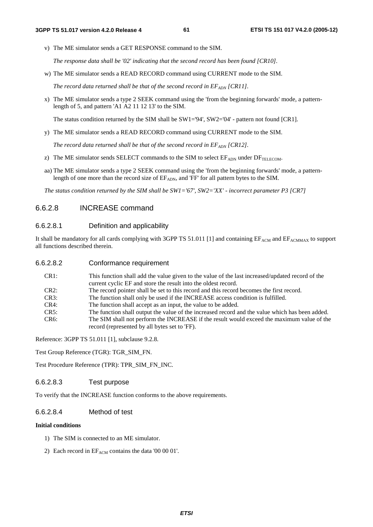v) The ME simulator sends a GET RESPONSE command to the SIM.

 *The response data shall be '02' indicating that the second record has been found [CR10].* 

w) The ME simulator sends a READ RECORD command using CURRENT mode to the SIM.

*The record data returned shall be that of the second record in*  $EF_{ADN}$  *[CR11].* 

x) The ME simulator sends a type 2 SEEK command using the 'from the beginning forwards' mode, a patternlength of 5, and pattern 'A1 A2 11 12 13' to the SIM.

The status condition returned by the SIM shall be SW1='94', SW2='04' - pattern not found [CR1].

y) The ME simulator sends a READ RECORD command using CURRENT mode to the SIM.

The record data returned shall be that of the second record in  $EF_{ADN}$  [CR12].

- z) The ME simulator sends SELECT commands to the SIM to select  $EF_{\text{ADN}}$  under  $DF_{\text{TELECOM}}$ .
- aa) The ME simulator sends a type 2 SEEK command using the 'from the beginning forwards' mode, a patternlength of one more than the record size of  $E_{ADN}$ , and 'FF' for all pattern bytes to the SIM.

 *The status condition returned by the SIM shall be SW1='67', SW2='XX' - incorrect parameter P3 [CR7]*

## 6.6.2.8 INCREASE command

#### 6.6.2.8.1 Definition and applicability

It shall be mandatory for all cards complying with 3GPP TS 51.011 [1] and containing  $EF_{ACM}$  and  $EF_{ACMMAX}$  to support all functions described therein.

| 6.6.2.8.2 | Conformance requirement                                                                                                                                            |
|-----------|--------------------------------------------------------------------------------------------------------------------------------------------------------------------|
| CR1:      | This function shall add the value given to the value of the last increased/updated record of the<br>current cyclic EF and store the result into the oldest record. |
| CR2:      | The record pointer shall be set to this record and this record becomes the first record.                                                                           |
| CR3:      | The function shall only be used if the INCREASE access condition is fulfilled.                                                                                     |
| CR4:      | The function shall accept as an input, the value to be added.                                                                                                      |
| CR5:      | The function shall output the value of the increased record and the value which has been added.                                                                    |
| CR6:      | The SIM shall not perform the INCREASE if the result would exceed the maximum value of the                                                                         |
|           | record (represented by all bytes set to 'FF).                                                                                                                      |

Reference: 3GPP TS 51.011 [1], subclause 9.2.8.

Test Group Reference (TGR): TGR\_SIM\_FN.

Test Procedure Reference (TPR): TPR\_SIM\_FN\_INC.

#### 6.6.2.8.3 Test purpose

To verify that the INCREASE function conforms to the above requirements.

## 6.6.2.8.4 Method of test

#### **Initial conditions**

- 1) The SIM is connected to an ME simulator.
- 2) Each record in  $EF_{ACM}$  contains the data '00 00 01'.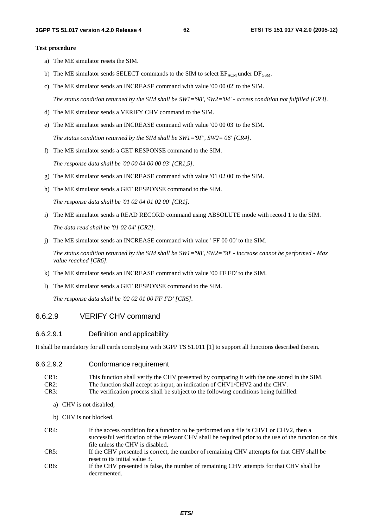#### **Test procedure**

- a) The ME simulator resets the SIM.
- b) The ME simulator sends SELECT commands to the SIM to select  $EF_{ACM}$  under  $DF_{GSM}$ .
- c) The ME simulator sends an INCREASE command with value '00 00 02' to the SIM.

 *The status condition returned by the SIM shall be SW1='98', SW2='04' - access condition not fulfilled [CR3].* 

- d) The ME simulator sends a VERIFY CHV command to the SIM.
- e) The ME simulator sends an INCREASE command with value '00 00 03' to the SIM.

*The status condition returned by the SIM shall be SW1='9F', SW2='06' [CR4].* 

f) The ME simulator sends a GET RESPONSE command to the SIM.

 *The response data shall be '00 00 04 00 00 03' [CR1,5].* 

- g) The ME simulator sends an INCREASE command with value '01 02 00' to the SIM.
- h) The ME simulator sends a GET RESPONSE command to the SIM.

 *The response data shall be '01 02 04 01 02 00' [CR1].* 

- i) The ME simulator sends a READ RECORD command using ABSOLUTE mode with record 1 to the SIM.  *The data read shall be '01 02 04' [CR2].*
- j) The ME simulator sends an INCREASE command with value ' FF 00 00' to the SIM.

 *The status condition returned by the SIM shall be SW1='98', SW2='50' - increase cannot be performed - Max value reached [CR6].* 

- k) The ME simulator sends an INCREASE command with value '00 FF FD' to the SIM.
- l) The ME simulator sends a GET RESPONSE command to the SIM.

 *The response data shall be '02 02 01 00 FF FD' [CR5].* 

## 6.6.2.9 VERIFY CHV command

#### 6.6.2.9.1 Definition and applicability

It shall be mandatory for all cards complying with 3GPP TS 51.011 [1] to support all functions described therein.

#### 6.6.2.9.2 Conformance requirement

decremented.

| CR1: | This function shall verify the CHV presented by comparing it with the one stored in the SIM. |
|------|----------------------------------------------------------------------------------------------|
| CR2: | The function shall accept as input, an indication of CHV1/CHV2 and the CHV.                  |
| CR3: | The verification process shall be subject to the following conditions being fulfilled:       |

- a) CHV is not disabled;
- b) CHV is not blocked.
- CR4: If the access condition for a function to be performed on a file is CHV1 or CHV2, then a successful verification of the relevant CHV shall be required prior to the use of the function on this file unless the CHV is disabled. CR5: If the CHV presented is correct, the number of remaining CHV attempts for that CHV shall be reset to its initial value 3. CR6: If the CHV presented is false, the number of remaining CHV attempts for that CHV shall be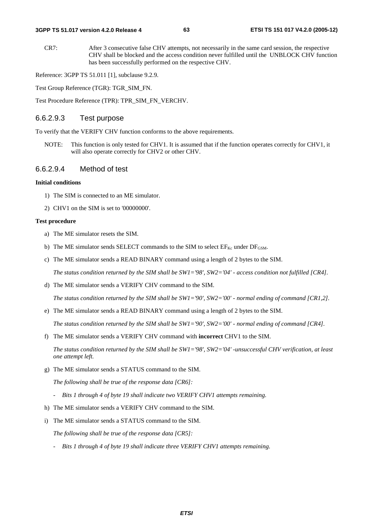CR7: After 3 consecutive false CHV attempts, not necessarily in the same card session, the respective CHV shall be blocked and the access condition never fulfilled until the UNBLOCK CHV function has been successfully performed on the respective CHV.

Reference: 3GPP TS 51.011 [1], subclause 9.2.9.

Test Group Reference (TGR): TGR\_SIM\_FN.

Test Procedure Reference (TPR): TPR\_SIM\_FN\_VERCHV.

#### 6.6.2.9.3 Test purpose

To verify that the VERIFY CHV function conforms to the above requirements.

NOTE: This function is only tested for CHV1. It is assumed that if the function operates correctly for CHV1, it will also operate correctly for CHV2 or other CHV.

#### 6.6.2.9.4 Method of test

#### **Initial conditions**

- 1) The SIM is connected to an ME simulator.
- 2) CHV1 on the SIM is set to '00000000'.

#### **Test procedure**

- a) The ME simulator resets the SIM.
- b) The ME simulator sends SELECT commands to the SIM to select  $EF_{Kc}$  under  $DF_{GSM}$ .
- c) The ME simulator sends a READ BINARY command using a length of 2 bytes to the SIM.

 *The status condition returned by the SIM shall be SW1='98', SW2='04' - access condition not fulfilled [CR4].* 

d) The ME simulator sends a VERIFY CHV command to the SIM.

 *The status condition returned by the SIM shall be SW1='90', SW2='00' - normal ending of command [CR1,2].* 

e) The ME simulator sends a READ BINARY command using a length of 2 bytes to the SIM.

 *The status condition returned by the SIM shall be SW1='90', SW2='00' - normal ending of command [CR4].* 

f) The ME simulator sends a VERIFY CHV command with **incorrect** CHV1 to the SIM.

 *The status condition returned by the SIM shall be SW1='98', SW2='04' -unsuccessful CHV verification, at least one attempt left.* 

g) The ME simulator sends a STATUS command to the SIM.

 *The following shall be true of the response data [CR6]:* 

- *Bits 1 through 4 of byte 19 shall indicate two VERIFY CHV1 attempts remaining.*
- h) The ME simulator sends a VERIFY CHV command to the SIM.
- i) The ME simulator sends a STATUS command to the SIM.

 *The following shall be true of the response data [CR5]:* 

 *- Bits 1 through 4 of byte 19 shall indicate three VERIFY CHV1 attempts remaining.*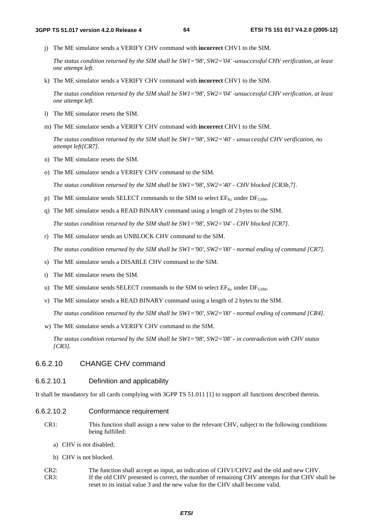j) The ME simulator sends a VERIFY CHV command with **incorrect** CHV1 to the SIM.

 *The status condition returned by the SIM shall be SW1='98', SW2='04' -unsuccessful CHV verification, at least one attempt left.* 

k) The ME simulator sends a VERIFY CHV command with **incorrect** CHV1 to the SIM.

 *The status condition returned by the SIM shall be SW1='98', SW2='04' -unsuccessful CHV verification, at least one attempt left.* 

- l) The ME simulator resets the SIM.
- m) The ME simulator sends a VERIFY CHV command with **incorrect** CHV1 to the SIM.

 *The status condition returned by the SIM shall be SW1='98', SW2='40' - unsuccessful CHV verification, no attempt left[CR7].* 

- n) The ME simulator resets the SIM.
- o) The ME simulator sends a VERIFY CHV command to the SIM.

 *The status condition returned by the SIM shall be SW1='98', SW2='40' - CHV blocked [CR3b,7].* 

- p) The ME simulator sends SELECT commands to the SIM to select  $EF_{Kc}$  under  $DF_{GSM}$ .
- q) The ME simulator sends a READ BINARY command using a length of 2 bytes to the SIM.

 *The status condition returned by the SIM shall be SW1='98', SW2='04' - CHV blocked [CR7].* 

r) The ME simulator sends an UNBLOCK CHV command to the SIM.

 *The status condition returned by the SIM shall be SW1='90', SW2='00' - normal ending of command [CR7].* 

- s) The ME simulator sends a DISABLE CHV command to the SIM.
- t) The ME simulator resets the SIM.
- u) The ME simulator sends SELECT commands to the SIM to select  $EF_{Kc}$  under  $DF_{GSM}$ .
- v) The ME simulator sends a READ BINARY command using a length of 2 bytes to the SIM.

 *The status condition returned by the SIM shall be SW1='90', SW2='00' - normal ending of command [CR4].* 

w) The ME simulator sends a VERIFY CHV command to the SIM.

 *The status condition returned by the SIM shall be SW1='98', SW2='08' - in contradiction with CHV status [CR3].* 

# 6.6.2.10 CHANGE CHV command

## 6.6.2.10.1 Definition and applicability

It shall be mandatory for all cards complying with 3GPP TS 51.011 [1] to support all functions described therein.

## 6.6.2.10.2 Conformance requirement

- CR1: This function shall assign a new value to the relevant CHV, subject to the following conditions being fulfilled:
	- a) CHV is not disabled;
	- b) CHV is not blocked.
- CR2: The function shall accept as input, an indication of CHV1/CHV2 and the old and new CHV. CR3: If the old CHV presented is correct, the number of remaining CHV attempts for that CHV shall be reset to its initial value 3 and the new value for the CHV shall become valid.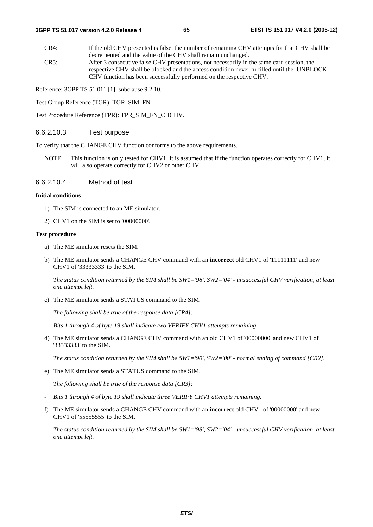CR4: If the old CHV presented is false, the number of remaining CHV attempts for that CHV shall be decremented and the value of the CHV shall remain unchanged. CR5: After 3 consecutive false CHV presentations, not necessarily in the same card session, the respective CHV shall be blocked and the access condition never fulfilled until the UNBLOCK CHV function has been successfully performed on the respective CHV.

Reference: 3GPP TS 51.011 [1], subclause 9.2.10.

Test Group Reference (TGR): TGR\_SIM\_FN.

Test Procedure Reference (TPR): TPR\_SIM\_FN\_CHCHV.

## 6.6.2.10.3 Test purpose

To verify that the CHANGE CHV function conforms to the above requirements.

NOTE: This function is only tested for CHV1. It is assumed that if the function operates correctly for CHV1, it will also operate correctly for CHV2 or other CHV.

#### 6.6.2.10.4 Method of test

#### **Initial conditions**

- 1) The SIM is connected to an ME simulator.
- 2) CHV1 on the SIM is set to '00000000'.

#### **Test procedure**

- a) The ME simulator resets the SIM.
- b) The ME simulator sends a CHANGE CHV command with an **incorrect** old CHV1 of '11111111' and new CHV1 of '33333333' to the SIM.

 *The status condition returned by the SIM shall be SW1='98', SW2='04' - unsuccessful CHV verification, at least one attempt left.* 

c) The ME simulator sends a STATUS command to the SIM.

 *The following shall be true of the response data [CR4]:* 

- *Bits 1 through 4 of byte 19 shall indicate two VERIFY CHV1 attempts remaining.*
- d) The ME simulator sends a CHANGE CHV command with an old CHV1 of '00000000' and new CHV1 of '33333333' to the SIM.

 *The status condition returned by the SIM shall be SW1='90', SW2='00' - normal ending of command [CR2].* 

e) The ME simulator sends a STATUS command to the SIM.

 *The following shall be true of the response data [CR3]:* 

- *Bits 1 through 4 of byte 19 shall indicate three VERIFY CHV1 attempts remaining.*
- f) The ME simulator sends a CHANGE CHV command with an **incorrect** old CHV1 of '00000000' and new CHV1 of '55555555' to the SIM.

 *The status condition returned by the SIM shall be SW1='98', SW2='04' - unsuccessful CHV verification, at least one attempt left.*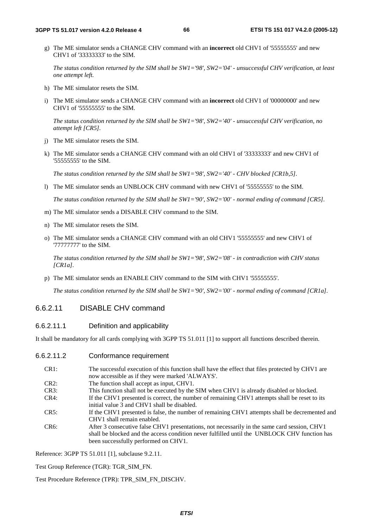g) The ME simulator sends a CHANGE CHV command with an **incorrect** old CHV1 of '55555555' and new CHV1 of '33333333' to the SIM.

 *The status condition returned by the SIM shall be SW1='98', SW2='04' - unsuccessful CHV verification, at least one attempt left.* 

- h) The ME simulator resets the SIM.
- i) The ME simulator sends a CHANGE CHV command with an **incorrect** old CHV1 of '00000000' and new CHV1 of '55555555' to the SIM.

 *The status condition returned by the SIM shall be SW1='98', SW2='40' - unsuccessful CHV verification, no attempt left [CR5].* 

- j) The ME simulator resets the SIM.
- k) The ME simulator sends a CHANGE CHV command with an old CHV1 of '33333333' and new CHV1 of '55555555' to the SIM.

 *The status condition returned by the SIM shall be SW1='98', SW2='40' - CHV blocked [CR1b,5].* 

l) The ME simulator sends an UNBLOCK CHV command with new CHV1 of '55555555' to the SIM.

 *The status condition returned by the SIM shall be SW1='90', SW2='00' - normal ending of command [CR5].* 

- m) The ME simulator sends a DISABLE CHV command to the SIM.
- n) The ME simulator resets the SIM.
- o) The ME simulator sends a CHANGE CHV command with an old CHV1 '55555555' and new CHV1 of '77777777' to the SIM.

 *The status condition returned by the SIM shall be SW1='98', SW2='08' - in contradiction with CHV status [CR1a].* 

p) The ME simulator sends an ENABLE CHV command to the SIM with CHV1 '55555555'.

 *The status condition returned by the SIM shall be SW1='90', SW2='00' - normal ending of command [CR1a].* 

# 6.6.2.11 DISABLE CHV command

## 6.6.2.11.1 Definition and applicability

It shall be mandatory for all cards complying with 3GPP TS 51.011 [1] to support all functions described therein.

| 6.6.2.11.2 | Conformance requirement |
|------------|-------------------------|
|            |                         |

| CR1:              | The successful execution of this function shall have the effect that files protected by CHV1 are |
|-------------------|--------------------------------------------------------------------------------------------------|
|                   | now accessible as if they were marked 'ALWAYS'.                                                  |
|                   |                                                                                                  |
| CR2:              | The function shall accept as input, CHV1.                                                        |
| CR3:              | This function shall not be executed by the SIM when CHV1 is already disabled or blocked.         |
| $CR4$ :           | If the CHV1 presented is correct, the number of remaining CHV1 attempts shall be reset to its    |
|                   | initial value 3 and CHV1 shall be disabled.                                                      |
| CR5:              | If the CHV1 presented is false, the number of remaining CHV1 attempts shall be decremented and   |
|                   | CHV1 shall remain enabled.                                                                       |
| CR <sub>6</sub> : | After 3 consecutive false CHV1 presentations, not necessarily in the same card session, CHV1     |
|                   | shall be blocked and the access condition never fulfilled until the UNBLOCK CHV function has     |
|                   | been successfully performed on CHV1.                                                             |

Reference: 3GPP TS 51.011 [1], subclause 9.2.11.

Test Group Reference (TGR): TGR\_SIM\_FN.

Test Procedure Reference (TPR): TPR\_SIM\_FN\_DISCHV.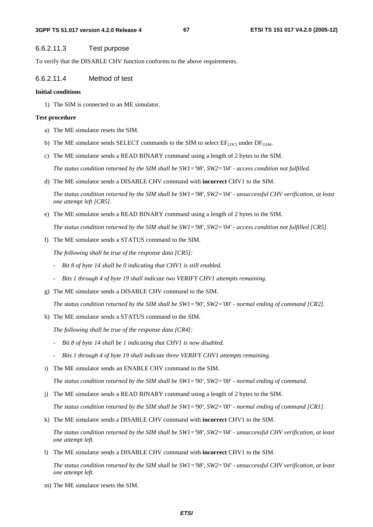## 6.6.2.11.3 Test purpose

To verify that the DISABLE CHV function conforms to the above requirements.

## 6.6.2.11.4 Method of test

#### **Initial conditions**

1) The SIM is connected to an ME simulator.

#### **Test procedure**

- a) The ME simulator resets the SIM.
- b) The ME simulator sends SELECT commands to the SIM to select  $EF_{\text{LOC}}$  under  $DF_{\text{GSM}}$ .
- c) The ME simulator sends a READ BINARY command using a length of 2 bytes to the SIM.

 *The status condition returned by the SIM shall be SW1='98', SW2='04' - access condition not fulfilled.* 

d) The ME simulator sends a DISABLE CHV command with **incorrect** CHV1 to the SIM.

 *The status condition returned by the SIM shall be SW1='98', SW2='04' - unsuccessful CHV verification, at least one attempt left [CR5].* 

e) The ME simulator sends a READ BINARY command using a length of 2 bytes to the SIM.

 *The status condition returned by the SIM shall be SW1='98', SW2='04' - access condition not fulfilled [CR5].* 

f) The ME simulator sends a STATUS command to the SIM.

 *The following shall be true of the response data [CR5]:* 

- *Bit 8 of byte 14 shall be 0 indicating that CHV1 is still enabled.*
- *Bits 1 through 4 of byte 19 shall indicate two VERIFY CHV1 attempts remaining.*
- g) The ME simulator sends a DISABLE CHV command to the SIM.

 *The status condition returned by the SIM shall be SW1='90', SW2='00' - normal ending of command [CR2].* 

h) The ME simulator sends a STATUS command to the SIM.

 *The following shall be true of the response data [CR4]:* 

- *Bit 8 of byte 14 shall be 1 indicating that CHV1 is now disabled.*
- *Bits 1 through 4 of byte 19 shall indicate three VERIFY CHV1 attempts remaining.*
- i) The ME simulator sends an ENABLE CHV command to the SIM.

 *The status condition returned by the SIM shall be SW1='90', SW2='00' - normal ending of command.* 

j) The ME simulator sends a READ BINARY command using a length of 2 bytes to the SIM.

 *The status condition returned by the SIM shall be SW1='90', SW2='00' - normal ending of command [CR1].* 

k) The ME simulator sends a DISABLE CHV command with **incorrect** CHV1 to the SIM.

 *The status condition returned by the SIM shall be SW1='98', SW2='04' - unsuccessful CHV verification, at least one attempt left.* 

l) The ME simulator sends a DISABLE CHV command with **incorrect** CHV1 to the SIM.

 *The status condition returned by the SIM shall be SW1='98', SW2='04' - unsuccessful CHV verification, at least one attempt left.* 

m) The ME simulator resets the SIM.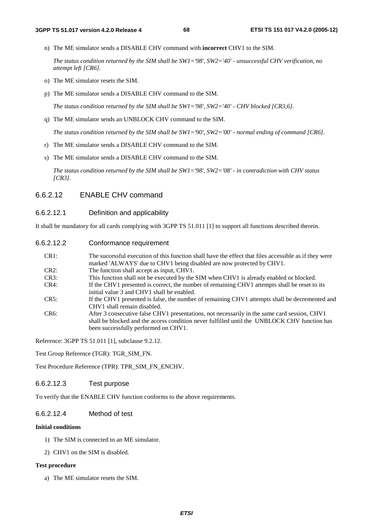n) The ME simulator sends a DISABLE CHV command with **incorrect** CHV1 to the SIM.

 *The status condition returned by the SIM shall be SW1='98', SW2='40' - unsuccessful CHV verification, no attempt left [CR6].* 

- o) The ME simulator resets the SIM.
- p) The ME simulator sends a DISABLE CHV command to the SIM.

 *The status condition returned by the SIM shall be SW1='98', SW2='40' - CHV blocked [CR3,6].* 

q) The ME simulator sends an UNBLOCK CHV command to the SIM.

 *The status condition returned by the SIM shall be SW1='90', SW2='00' - normal ending of command [CR6].* 

- r) The ME simulator sends a DISABLE CHV command to the SIM.
- s) The ME simulator sends a DISABLE CHV command to the SIM.

 *The status condition returned by the SIM shall be SW1='98', SW2='08' - in contradiction with CHV status [CR3].* 

## 6.6.2.12 ENABLE CHV command

### 6.6.2.12.1 Definition and applicability

It shall be mandatory for all cards complying with 3GPP TS 51.011 [1] to support all functions described therein.

6.6.2.12.2 Conformance requirement

| CR1:    | The successful execution of this function shall have the effect that files accessible as if they were<br>marked 'ALWAYS' due to CHV1 being disabled are now protected by CHV1.                                                       |
|---------|--------------------------------------------------------------------------------------------------------------------------------------------------------------------------------------------------------------------------------------|
| CR2:    | The function shall accept as input, CHV1.                                                                                                                                                                                            |
| CR3:    | This function shall not be executed by the SIM when CHV1 is already enabled or blocked.                                                                                                                                              |
| CR4:    | If the CHV1 presented is correct, the number of remaining CHV1 attempts shall be reset to its<br>initial value 3 and CHV1 shall be enabled.                                                                                          |
| CR5:    | If the CHV1 presented is false, the number of remaining CHV1 attempts shall be decremented and<br>CHV1 shall remain disabled.                                                                                                        |
| $CR6$ : | After 3 consecutive false CHV1 presentations, not necessarily in the same card session, CHV1<br>shall be blocked and the access condition never fulfilled until the UNBLOCK CHV function has<br>been successfully performed on CHV1. |

Reference: 3GPP TS 51.011 [1], subclause 9.2.12.

Test Group Reference (TGR): TGR\_SIM\_FN.

Test Procedure Reference (TPR): TPR\_SIM\_FN\_ENCHV.

## 6.6.2.12.3 Test purpose

To verify that the ENABLE CHV function conforms to the above requirements.

## 6.6.2.12.4 Method of test

#### **Initial conditions**

- 1) The SIM is connected to an ME simulator.
- 2) CHV1 on the SIM is disabled.

#### **Test procedure**

a) The ME simulator resets the SIM.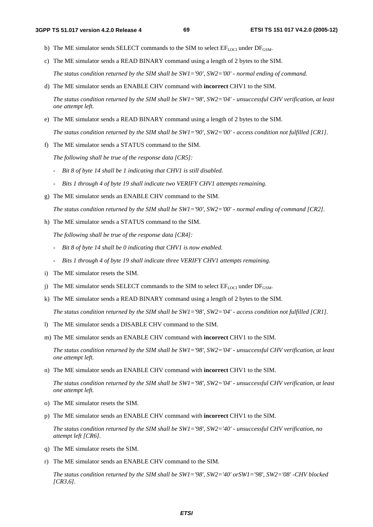- b) The ME simulator sends SELECT commands to the SIM to select  $EF_{\text{LOCI}}$  under  $DF_{\text{GSM}}$ .
- c) The ME simulator sends a READ BINARY command using a length of 2 bytes to the SIM.

 *The status condition returned by the SIM shall be SW1='90', SW2='00' - normal ending of command.* 

d) The ME simulator sends an ENABLE CHV command with **incorrect** CHV1 to the SIM.

 *The status condition returned by the SIM shall be SW1='98', SW2='04' - unsuccessful CHV verification, at least one attempt left.* 

e) The ME simulator sends a READ BINARY command using a length of 2 bytes to the SIM.

 *The status condition returned by the SIM shall be SW1='90', SW2='00' - access condition not fulfilled [CR1].* 

f) The ME simulator sends a STATUS command to the SIM.

 *The following shall be true of the response data [CR5]:* 

- *Bit 8 of byte 14 shall be 1 indicating that CHV1 is still disabled.*
- *Bits 1 through 4 of byte 19 shall indicate two VERIFY CHV1 attempts remaining.*
- g) The ME simulator sends an ENABLE CHV command to the SIM.

 *The status condition returned by the SIM shall be SW1='90', SW2='00' - normal ending of command [CR2].* 

h) The ME simulator sends a STATUS command to the SIM.

 *The following shall be true of the response data [CR4]:* 

- *Bit 8 of byte 14 shall be 0 indicating that CHV1 is now enabled.*
- *Bits 1 through 4 of byte 19 shall indicate three VERIFY CHV1 attempts remaining.*
- i) The ME simulator resets the SIM.
- j) The ME simulator sends SELECT commands to the SIM to select  $EF_{\text{LOCI}}$  under  $DF_{\text{GSM}}$ .
- k) The ME simulator sends a READ BINARY command using a length of 2 bytes to the SIM.

 *The status condition returned by the SIM shall be SW1='98', SW2='04' - access condition not fulfilled [CR1].* 

- l) The ME simulator sends a DISABLE CHV command to the SIM.
- m) The ME simulator sends an ENABLE CHV command with **incorrect** CHV1 to the SIM.

 *The status condition returned by the SIM shall be SW1='98', SW2='04' - unsuccessful CHV verification, at least one attempt left.* 

n) The ME simulator sends an ENABLE CHV command with **incorrect** CHV1 to the SIM.

 *The status condition returned by the SIM shall be SW1='98', SW2='04' - unsuccessful CHV verification, at least one attempt left.* 

- o) The ME simulator resets the SIM.
- p) The ME simulator sends an ENABLE CHV command with **incorrect** CHV1 to the SIM.

 *The status condition returned by the SIM shall be SW1='98', SW2='40' - unsuccessful CHV verification, no attempt left [CR6].* 

- q) The ME simulator resets the SIM.
- r) The ME simulator sends an ENABLE CHV command to the SIM.

 *The status condition returned by the SIM shall be SW1='98', SW2='40' orSW1='98', SW2='08' -CHV blocked [CR3,6].*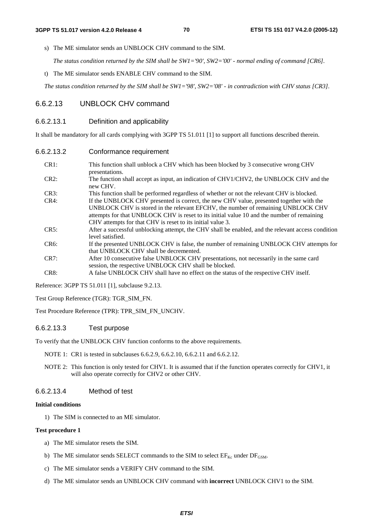s) The ME simulator sends an UNBLOCK CHV command to the SIM.

 *The status condition returned by the SIM shall be SW1='90', SW2='00' - normal ending of command [CR6].* 

t) The ME simulator sends ENABLE CHV command to the SIM.

 *The status condition returned by the SIM shall be SW1='98', SW2='08' - in contradiction with CHV status [CR3].*

## 6.6.2.13 UNBLOCK CHV command

#### 6.6.2.13.1 Definition and applicability

It shall be mandatory for all cards complying with 3GPP TS 51.011 [1] to support all functions described therein.

- CR1: This function shall unblock a CHV which has been blocked by 3 consecutive wrong CHV presentations.
- CR2: The function shall accept as input, an indication of CHV1/CHV2, the UNBLOCK CHV and the new CHV.
- CR3: This function shall be performed regardless of whether or not the relevant CHV is blocked. CR4: If the UNBLOCK CHV presented is correct, the new CHV value, presented together with the UNBLOCK CHV is stored in the relevant EFCHV, the number of remaining UNBLOCK CHV attempts for that UNBLOCK CHV is reset to its initial value 10 and the number of remaining CHV attempts for that CHV is reset to its initial value 3.
- CR5: After a successful unblocking attempt, the CHV shall be enabled, and the relevant access condition level satisfied.
- CR6: If the presented UNBLOCK CHV is false, the number of remaining UNBLOCK CHV attempts for that UNBLOCK CHV shall be decremented.
- CR7: After 10 consecutive false UNBLOCK CHV presentations, not necessarily in the same card session, the respective UNBLOCK CHV shall be blocked.
- CR8: A false UNBLOCK CHV shall have no effect on the status of the respective CHV itself.

Reference: 3GPP TS 51.011 [1], subclause 9.2.13.

Test Group Reference (TGR): TGR\_SIM\_FN.

Test Procedure Reference (TPR): TPR\_SIM\_FN\_UNCHV.

## 6.6.2.13.3 Test purpose

To verify that the UNBLOCK CHV function conforms to the above requirements.

- NOTE 1: CR1 is tested in subclauses 6.6.2.9, 6.6.2.10, 6.6.2.11 and 6.6.2.12.
- NOTE 2: This function is only tested for CHV1. It is assumed that if the function operates correctly for CHV1, it will also operate correctly for CHV2 or other CHV.

#### 6.6.2.13.4 Method of test

#### **Initial conditions**

1) The SIM is connected to an ME simulator.

#### **Test procedure 1**

- a) The ME simulator resets the SIM.
- b) The ME simulator sends SELECT commands to the SIM to select  $EF_{Kc}$  under  $DF_{GSM}$ .
- c) The ME simulator sends a VERIFY CHV command to the SIM.
- d) The ME simulator sends an UNBLOCK CHV command with **incorrect** UNBLOCK CHV1 to the SIM.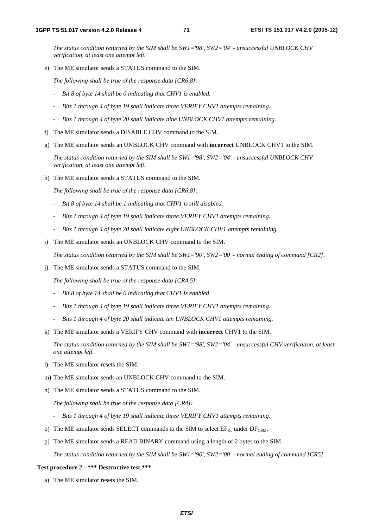*The status condition returned by the SIM shall be SW1='98', SW2='04' - unsuccessful UNBLOCK CHV verification, at least one attempt left.* 

e) The ME simulator sends a STATUS command to the SIM.

 *The following shall be true of the response data [CR6,8]:* 

- *Bit 8 of byte 14 shall be 0 indicating that CHV1 is enabled.*
- *Bits 1 through 4 of byte 19 shall indicate three VERIFY CHV1 attempts remaining.*
- *Bits 1 through 4 of byte 20 shall indicate nine UNBLOCK CHV1 attempts remaining.*
- f) The ME simulator sends a DISABLE CHV command to the SIM.
- g) The ME simulator sends an UNBLOCK CHV command with **incorrect** UNBLOCK CHV1 to the SIM.

 *The status condition returned by the SIM shall be SW1='98', SW2='04' - unsuccessful UNBLOCK CHV verification, at least one attempt left.* 

h) The ME simulator sends a STATUS command to the SIM.

 *The following shall be true of the response data [CR6,8]:* 

- *Bit 8 of byte 14 shall be 1 indicating that CHV1 is still disabled.*
- *Bits 1 through 4 of byte 19 shall indicate three VERIFY CHV1 attempts remaining.*
- *Bits 1 through 4 of byte 20 shall indicate eight UNBLOCK CHV1 attempts remaining.*
- i) The ME simulator sends an UNBLOCK CHV command to the SIM.

 *The status condition returned by the SIM shall be SW1='90', SW2='00' - normal ending of command [CR2].* 

j) The ME simulator sends a STATUS command to the SIM.

 *The following shall be true of the response data [CR4,5]:* 

- *Bit 8 of byte 14 shall be 0 indicating that CHV1 is enabled*
- *Bits 1 through 4 of byte 19 shall indicate three VERIFY CHV1 attempts remaining.*
- *Bits 1 through 4 of byte 20 shall indicate ten UNBLOCK CHV1 attempts remaining.*
- k) The ME simulator sends a VERIFY CHV command with **incorrect** CHV1 to the SIM.

 *The status condition returned by the SIM shall be SW1='98', SW2='04' - unsuccessful CHV verification, at least one attempt left.* 

- l) The ME simulator resets the SIM.
- m) The ME simulator sends an UNBLOCK CHV command to the SIM.
- n) The ME simulator sends a STATUS command to the SIM.

 *The following shall be true of the response data [CR4]:* 

- *Bits 1 through 4 of byte 19 shall indicate three VERIFY CHV1 attempts remaining.*
- o) The ME simulator sends SELECT commands to the SIM to select  $EF_{Kc}$  under  $DF_{GSM}$ .
- p) The ME simulator sends a READ BINARY command using a length of 2 bytes to the SIM.

 *The status condition returned by the SIM shall be SW1='90', SW2='00' - normal ending of command [CR5].* 

#### **Test procedure 2 - \*\*\* Destructive test \*\*\***

a) The ME simulator resets the SIM.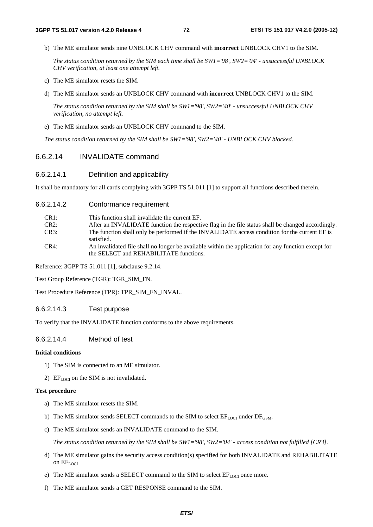b) The ME simulator sends nine UNBLOCK CHV command with **incorrect** UNBLOCK CHV1 to the SIM.

 *The status condition returned by the SIM each time shall be SW1='98', SW2='04' - unsuccessful UNBLOCK CHV verification, at least one attempt left.* 

- c) The ME simulator resets the SIM.
- d) The ME simulator sends an UNBLOCK CHV command with **incorrect** UNBLOCK CHV1 to the SIM.

 *The status condition returned by the SIM shall be SW1='98', SW2='40' - unsuccessful UNBLOCK CHV verification, no attempt left.* 

e) The ME simulator sends an UNBLOCK CHV command to the SIM.

 *The status condition returned by the SIM shall be SW1='98', SW2='40' - UNBLOCK CHV blocked.*

#### 6.6.2.14 INVALIDATE command

#### 6.6.2.14.1 Definition and applicability

It shall be mandatory for all cards complying with 3GPP TS 51.011 [1] to support all functions described therein.

#### 6.6.2.14.2 Conformance requirement

| CR <sub>1</sub> :<br>This function shall invalidate the current EF. |  |
|---------------------------------------------------------------------|--|
|---------------------------------------------------------------------|--|

- CR2: After an INVALIDATE function the respective flag in the file status shall be changed accordingly. CR3: The function shall only be performed if the INVALIDATE access condition for the current EF is
- satisfied. CR4: An invalidated file shall no longer be available within the application for any function except for the SELECT and REHABILITATE functions.

Reference: 3GPP TS 51.011 [1], subclause 9.2.14.

Test Group Reference (TGR): TGR\_SIM\_FN.

Test Procedure Reference (TPR): TPR\_SIM\_FN\_INVAL.

#### 6.6.2.14.3 Test purpose

To verify that the INVALIDATE function conforms to the above requirements.

#### 6.6.2.14.4 Method of test

#### **Initial conditions**

- 1) The SIM is connected to an ME simulator.
- 2)  $EF_{LOCI}$  on the SIM is not invalidated.

#### **Test procedure**

- a) The ME simulator resets the SIM.
- b) The ME simulator sends SELECT commands to the SIM to select  $EF_{\text{LOCI}}$  under  $DF_{\text{GSM}}$ .
- c) The ME simulator sends an INVALIDATE command to the SIM.

 *The status condition returned by the SIM shall be SW1='98', SW2='04' - access condition not fulfilled [CR3].* 

- d) The ME simulator gains the security access condition(s) specified for both INVALIDATE and REHABILITATE on  $EF_{LOCI}$
- e) The ME simulator sends a SELECT command to the SIM to select  $EF_{LOC}$  once more.
- f) The ME simulator sends a GET RESPONSE command to the SIM.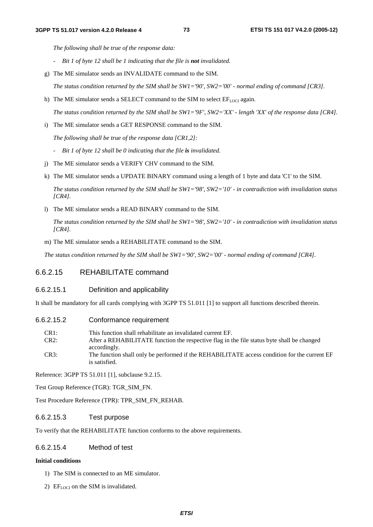*The following shall be true of the response data:* 

- *-* Bit 1 of byte 12 shall be 1 indicating that the file is **not** invalidated.
- g) The ME simulator sends an INVALIDATE command to the SIM.

 *The status condition returned by the SIM shall be SW1='90', SW2='00' - normal ending of command [CR3].* 

h) The ME simulator sends a SELECT command to the SIM to select  $EF_{LOCI}$  again.

 *The status condition returned by the SIM shall be SW1='9F', SW2='XX' - length 'XX' of the response data [CR4].* 

i) The ME simulator sends a GET RESPONSE command to the SIM.

 *The following shall be true of the response data [CR1,2]:* 

- *Bit 1 of byte 12 shall be 0 indicating that the file is invalidated.*
- j) The ME simulator sends a VERIFY CHV command to the SIM.
- k) The ME simulator sends a UPDATE BINARY command using a length of 1 byte and data 'C1' to the SIM.

 *The status condition returned by the SIM shall be SW1='98', SW2='10' - in contradiction with invalidation status [CR4].* 

l) The ME simulator sends a READ BINARY command to the SIM.

 *The status condition returned by the SIM shall be SW1='98', SW2='10' - in contradiction with invalidation status [CR4].* 

m) The ME simulator sends a REHABILITATE command to the SIM.

 *The status condition returned by the SIM shall be SW1='90', SW2='00' - normal ending of command [CR4].*

## 6.6.2.15 REHABILITATE command

#### 6.6.2.15.1 Definition and applicability

It shall be mandatory for all cards complying with 3GPP TS 51.011 [1] to support all functions described therein.

- 6.6.2.15.2 Conformance requirement
	- CR1: This function shall rehabilitate an invalidated current EF.
	- CR2: After a REHABILITATE function the respective flag in the file status byte shall be changed accordingly.
	- CR3: The function shall only be performed if the REHABILITATE access condition for the current EF is satisfied.

Reference: 3GPP TS 51.011 [1], subclause 9.2.15.

Test Group Reference (TGR): TGR\_SIM\_FN.

Test Procedure Reference (TPR): TPR\_SIM\_FN\_REHAB.

#### 6.6.2.15.3 Test purpose

To verify that the REHABILITATE function conforms to the above requirements.

#### 6.6.2.15.4 Method of test

#### **Initial conditions**

- 1) The SIM is connected to an ME simulator.
- 2)  $EF_{LOCI}$  on the SIM is invalidated.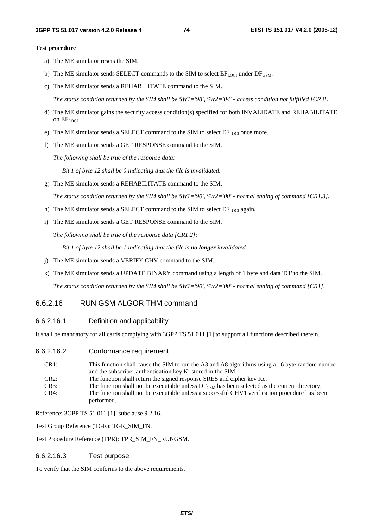#### **Test procedure**

- a) The ME simulator resets the SIM.
- b) The ME simulator sends SELECT commands to the SIM to select  $EF_{\text{LOCI}}$  under  $DF_{\text{GSM}}$ .
- c) The ME simulator sends a REHABILITATE command to the SIM.

 *The status condition returned by the SIM shall be SW1='98', SW2='04' - access condition not fulfilled [CR3].* 

- d) The ME simulator gains the security access condition(s) specified for both INVALIDATE and REHABILITATE on EF<sub>LOCI.</sub>
- e) The ME simulator sends a SELECT command to the SIM to select  $EF_{LOC}$  once more.
- f) The ME simulator sends a GET RESPONSE command to the SIM.

 *The following shall be true of the response data:* 

- *Bit 1 of byte 12 shall be 0 indicating that the file is invalidated.*
- g) The ME simulator sends a REHABILITATE command to the SIM.

 *The status condition returned by the SIM shall be SW1='90', SW2='00' - normal ending of command [CR1,3].* 

- h) The ME simulator sends a SELECT command to the SIM to select  $EF_{\text{LOCI}}$  again.
- i) The ME simulator sends a GET RESPONSE command to the SIM.

 *The following shall be true of the response data [CR1,2]:* 

- *Bit 1 of byte 12 shall be 1 indicating that the file is no longer invalidated.*
- j) The ME simulator sends a VERIFY CHV command to the SIM.
- k) The ME simulator sends a UPDATE BINARY command using a length of 1 byte and data 'D1' to the SIM.

 *The status condition returned by the SIM shall be SW1='90', SW2='00' - normal ending of command [CR1].* 

#### 6.6.2.16 RUN GSM ALGORITHM command

#### 6.6.2.16.1 Definition and applicability

It shall be mandatory for all cards complying with 3GPP TS 51.011 [1] to support all functions described therein.

6.6.2.16.2 Conformance requirement

| CR1: | This function shall cause the SIM to run the A3 and A8 algorithms using a 16 byte random number    |
|------|----------------------------------------------------------------------------------------------------|
|      | and the subscriber authentication key Ki stored in the SIM.                                        |
| CR2: | The function shall return the signed response SRES and cipher key Kc.                              |
| CR3: | The function shall not be executable unless $DF_{GSM}$ has been selected as the current directory. |
| CR4: | The function shall not be executable unless a successful CHV1 verification procedure has been      |
|      | performed.                                                                                         |

Reference: 3GPP TS 51.011 [1], subclause 9.2.16.

Test Group Reference (TGR): TGR\_SIM\_FN.

Test Procedure Reference (TPR): TPR\_SIM\_FN\_RUNGSM.

#### 6.6.2.16.3 Test purpose

To verify that the SIM conforms to the above requirements.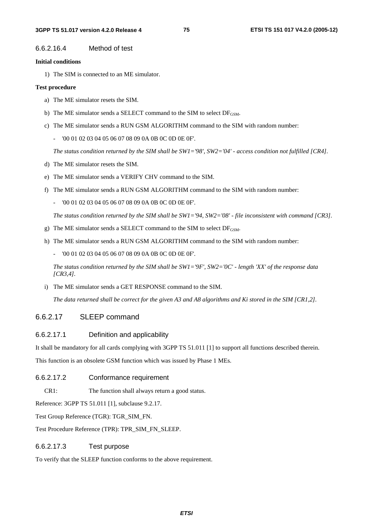#### 6.6.2.16.4 Method of test

#### **Initial conditions**

1) The SIM is connected to an ME simulator.

#### **Test procedure**

- a) The ME simulator resets the SIM.
- b) The ME simulator sends a SELECT command to the SIM to select  $DF_{\text{GSM}}$ .
- c) The ME simulator sends a RUN GSM ALGORITHM command to the SIM with random number:
	- '00 01 02 03 04 05 06 07 08 09 0A 0B 0C 0D 0E 0F'.

 *The status condition returned by the SIM shall be SW1='98', SW2='04' - access condition not fulfilled [CR4].* 

- d) The ME simulator resets the SIM.
- e) The ME simulator sends a VERIFY CHV command to the SIM.
- f) The ME simulator sends a RUN GSM ALGORITHM command to the SIM with random number:
	- '00 01 02 03 04 05 06 07 08 09 0A 0B 0C 0D 0E 0F'.

 *The status condition returned by the SIM shall be SW1='94, SW2='08' - file inconsistent with command [CR3].* 

- g) The ME simulator sends a SELECT command to the SIM to select  $DF_{\text{GSM}}$ .
- h) The ME simulator sends a RUN GSM ALGORITHM command to the SIM with random number:
	- '00 01 02 03 04 05 06 07 08 09 0A 0B 0C 0D 0E 0F'.

 *The status condition returned by the SIM shall be SW1='9F', SW2='0C' - length 'XX' of the response data [CR3,4].* 

i) The ME simulator sends a GET RESPONSE command to the SIM.

 *The data returned shall be correct for the given A3 and A8 algorithms and Ki stored in the SIM [CR1,2].* 

### 6.6.2.17 SLEEP command

#### 6.6.2.17.1 Definition and applicability

It shall be mandatory for all cards complying with 3GPP TS 51.011 [1] to support all functions described therein.

This function is an obsolete GSM function which was issued by Phase 1 MEs.

#### 6.6.2.17.2 Conformance requirement

CR1: The function shall always return a good status.

Reference: 3GPP TS 51.011 [1], subclause 9.2.17.

Test Group Reference (TGR): TGR\_SIM\_FN.

Test Procedure Reference (TPR): TPR\_SIM\_FN\_SLEEP.

#### 6.6.2.17.3 Test purpose

To verify that the SLEEP function conforms to the above requirement.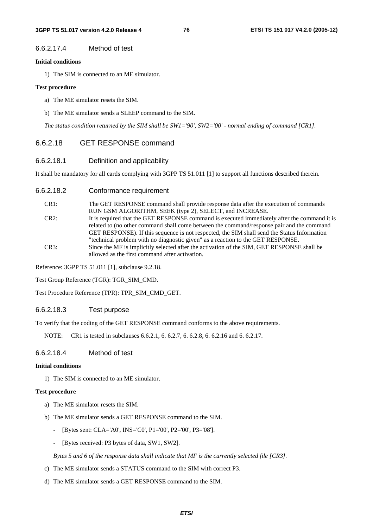#### 6.6.2.17.4 Method of test

#### **Initial conditions**

1) The SIM is connected to an ME simulator.

#### **Test procedure**

- a) The ME simulator resets the SIM.
- b) The ME simulator sends a SLEEP command to the SIM.

 *The status condition returned by the SIM shall be SW1='90', SW2='00' - normal ending of command [CR1].*

#### 6.6.2.18 GET RESPONSE command

#### 6.6.2.18.1 Definition and applicability

It shall be mandatory for all cards complying with 3GPP TS 51.011 [1] to support all functions described therein.

#### 6.6.2.18.2 Conformance requirement

- CR1: The GET RESPONSE command shall provide response data after the execution of commands RUN GSM ALGORITHM, SEEK (type 2), SELECT, and INCREASE. CR2: It is required that the GET RESPONSE command is executed immediately after the command it is related to (no other command shall come between the command/response pair and the command GET RESPONSE). If this sequence is not respected, the SIM shall send the Status Information "technical problem with no diagnostic given" as a reaction to the GET RESPONSE.
- CR3: Since the MF is implicitly selected after the activation of the SIM, GET RESPONSE shall be allowed as the first command after activation.

Reference: 3GPP TS 51.011 [1], subclause 9.2.18.

Test Group Reference (TGR): TGR\_SIM\_CMD.

Test Procedure Reference (TPR): TPR\_SIM\_CMD\_GET.

#### 6.6.2.18.3 Test purpose

To verify that the coding of the GET RESPONSE command conforms to the above requirements.

NOTE: CR1 is tested in subclauses 6.6.2.1, 6. 6.2.7, 6. 6.2.8, 6. 6.2.16 and 6. 6.2.17.

#### 6.6.2.18.4 Method of test

#### **Initial conditions**

1) The SIM is connected to an ME simulator.

#### **Test procedure**

- a) The ME simulator resets the SIM.
- b) The ME simulator sends a GET RESPONSE command to the SIM.
	- [Bytes sent: CLA='A0', INS='C0', P1='00', P2='00', P3='08'].
	- [Bytes received: P3 bytes of data, SW1, SW2].

 *Bytes 5 and 6 of the response data shall indicate that MF is the currently selected file [CR3].* 

- c) The ME simulator sends a STATUS command to the SIM with correct P3.
- d) The ME simulator sends a GET RESPONSE command to the SIM.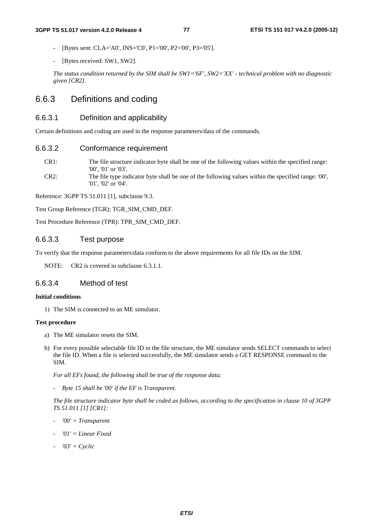- [Bytes sent: CLA='A0', INS='C0', P1='00', P2='00', P3='05'].
- [Bytes received: SW1, SW2].

 *The status condition returned by the SIM shall be SW1='6F', SW2='XX' - technical problem with no diagnostic given [CR2].* 

## 6.6.3 Definitions and coding

#### 6.6.3.1 Definition and applicability

Certain definitions and coding are used in the response parameters/data of the commands.

#### 6.6.3.2 Conformance requirement

- CR1: The file structure indicator byte shall be one of the following values within the specified range: '00', '01' or '03'.
- CR2: The file type indicator byte shall be one of the following values within the specified range: '00', '01', '02' or '04'.

Reference: 3GPP TS 51.011 [1], subclause 9.3.

Test Group Reference (TGR): TGR\_SIM\_CMD\_DEF.

Test Procedure Reference (TPR): TPR\_SIM\_CMD\_DEF.

#### 6.6.3.3 Test purpose

To verify that the response parameters/data conform to the above requirements for all file IDs on the SIM.

NOTE: CR2 is covered in subclause 6.3.1.1.

#### 6.6.3.4 Method of test

#### **Initial conditions**

1) The SIM is connected to an ME simulator.

#### **Test procedure**

- a) The ME simulator resets the SIM.
- b) For every possible selectable file ID in the file structure, the ME simulator sends SELECT commands to select the file ID. When a file is selected successfully, the ME simulator sends a GET RESPONSE command to the SIM.

 *For all EFs found, the following shall be true of the response data:* 

 *- Byte 15 shall be '00' if the EF is Transparent.* 

 *The file structure indicator byte shall be coded as follows, according to the specification in clause 10 of 3GPP TS 51.011 [1] [CR1]:* 

- *'00' = Transparent*
- *'01'* = Linear Fixed
- *'03' = Cyclic*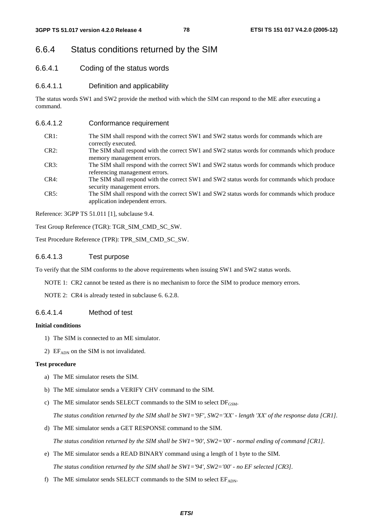## 6.6.4 Status conditions returned by the SIM

- 6.6.4.1 Coding of the status words
- 6.6.4.1.1 Definition and applicability

The status words SW1 and SW2 provide the method with which the SIM can respond to the ME after executing a command.

| 6.6.4.1.2 | Conformance requirement                                                                                                       |
|-----------|-------------------------------------------------------------------------------------------------------------------------------|
| CR1:      | The SIM shall respond with the correct SW1 and SW2 status words for commands which are<br>correctly executed.                 |
| $CR2$ :   | The SIM shall respond with the correct SW1 and SW2 status words for commands which produce<br>memory management errors.       |
| CR3:      | The SIM shall respond with the correct SW1 and SW2 status words for commands which produce<br>referencing management errors.  |
| CR4:      | The SIM shall respond with the correct SW1 and SW2 status words for commands which produce<br>security management errors.     |
| CR5:      | The SIM shall respond with the correct SW1 and SW2 status words for commands which produce<br>application independent errors. |
|           |                                                                                                                               |

Reference: 3GPP TS 51.011 [1], subclause 9.4.

Test Group Reference (TGR): TGR\_SIM\_CMD\_SC\_SW.

Test Procedure Reference (TPR): TPR\_SIM\_CMD\_SC\_SW.

#### 6.6.4.1.3 Test purpose

To verify that the SIM conforms to the above requirements when issuing SW1 and SW2 status words.

NOTE 1: CR2 cannot be tested as there is no mechanism to force the SIM to produce memory errors.

NOTE 2: CR4 is already tested in subclause 6. 6.2.8.

#### 6.6.4.1.4 Method of test

#### **Initial conditions**

- 1) The SIM is connected to an ME simulator.
- 2) EF<sub>ADN</sub> on the SIM is not invalidated.

#### **Test procedure**

- a) The ME simulator resets the SIM.
- b) The ME simulator sends a VERIFY CHV command to the SIM.
- c) The ME simulator sends SELECT commands to the SIM to select  $DF_{\text{GSM}}$ .

*The status condition returned by the SIM shall be SW1='9F', SW2='XX' - length 'XX' of the response data [CR1].* 

d) The ME simulator sends a GET RESPONSE command to the SIM.

 *The status condition returned by the SIM shall be SW1='90', SW2='00' - normal ending of command [CR1].* 

e) The ME simulator sends a READ BINARY command using a length of 1 byte to the SIM.

 *The status condition returned by the SIM shall be SW1='94', SW2='00' - no EF selected [CR3].* 

f) The ME simulator sends SELECT commands to the SIM to select  $EF_{ADN}$ .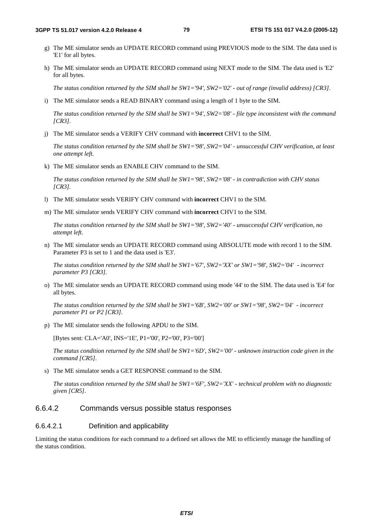- g) The ME simulator sends an UPDATE RECORD command using PREVIOUS mode to the SIM. The data used is 'E1' for all bytes.
- h) The ME simulator sends an UPDATE RECORD command using NEXT mode to the SIM. The data used is 'E2' for all bytes.

 *The status condition returned by the SIM shall be SW1='94', SW2='02' - out of range (invalid address) [CR3].* 

i) The ME simulator sends a READ BINARY command using a length of 1 byte to the SIM.

 *The status condition returned by the SIM shall be SW1='94', SW2='08' - file type inconsistent with the command [CR3].* 

j) The ME simulator sends a VERIFY CHV command with **incorrect** CHV1 to the SIM.

 *The status condition returned by the SIM shall be SW1='98', SW2='04' - unsuccessful CHV verification, at least one attempt left.* 

k) The ME simulator sends an ENABLE CHV command to the SIM.

 *The status condition returned by the SIM shall be SW1='98', SW2='08' - in contradiction with CHV status [CR3].* 

- l) The ME simulator sends VERIFY CHV command with **incorrect** CHV1 to the SIM.
- m) The ME simulator sends VERIFY CHV command with **incorrect** CHV1 to the SIM.

 *The status condition returned by the SIM shall be SW1='98', SW2='40' - unsuccessful CHV verification, no attempt left.* 

n) The ME simulator sends an UPDATE RECORD command using ABSOLUTE mode with record 1 to the SIM. Parameter P3 is set to 1 and the data used is 'E3'.

 *The status condition returned by the SIM shall be SW1='67', SW2='XX' or SW1='98', SW2='04' - incorrect parameter P3 [CR3].* 

o) The ME simulator sends an UPDATE RECORD command using mode '44' to the SIM. The data used is 'E4' for all bytes.

 *The status condition returned by the SIM shall be SW1='6B', SW2='00' or SW1='98', SW2='04' - incorrect parameter P1 or P2 [CR3].* 

p) The ME simulator sends the following APDU to the SIM.

[Bytes sent: CLA='A0', INS='1E', P1='00', P2='00', P3='00']

 *The status condition returned by the SIM shall be SW1='6D', SW2='00' - unknown instruction code given in the command [CR5].* 

s) The ME simulator sends a GET RESPONSE command to the SIM.

 *The status condition returned by the SIM shall be SW1='6F', SW2='XX' - technical problem with no diagnostic given [CR5].* 

## 6.6.4.2 Commands versus possible status responses

#### 6.6.4.2.1 Definition and applicability

Limiting the status conditions for each command to a defined set allows the ME to efficiently manage the handling of the status condition.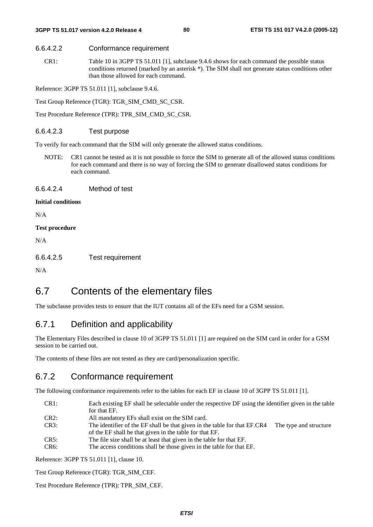#### 6.6.4.2.2 Conformance requirement

CR1: Table 10 in 3GPP TS 51.011 [1], subclause 9.4.6 shows for each command the possible status conditions returned (marked by an asterisk \*). The SIM shall not generate status conditions other than those allowed for each command.

Reference: 3GPP TS 51.011 [1], subclause 9.4.6.

Test Group Reference (TGR): TGR\_SIM\_CMD\_SC\_CSR.

Test Procedure Reference (TPR): TPR\_SIM\_CMD\_SC\_CSR.

#### 6.6.4.2.3 Test purpose

To verify for each command that the SIM will only generate the allowed status conditions.

NOTE: CR1 cannot be tested as it is not possible to force the SIM to generate all of the allowed status conditions for each command and there is no way of forcing the SIM to generate disallowed status conditions for each command.

6.6.4.2.4 Method of test

#### **Initial conditions**

N/A

#### **Test procedure**

N/A

6.6.4.2.5 Test requirement

N/A

## 6.7 Contents of the elementary files

The subclause provides tests to ensure that the IUT contains all of the EFs need for a GSM session.

## 6.7.1 Definition and applicability

The Elementary Files described in clause 10 of 3GPP TS 51.011 [1] are required on the SIM card in order for a GSM session to be carried out.

The contents of these files are not tested as they are card/personalization specific.

## 6.7.2 Conformance requirement

The following conformance requirements refer to the tables for each EF in clause 10 of 3GPP TS 51.011 [1].

- CR1: Each existing EF shall be selectable under the respective DF using the identifier given in the table for that EF.
- CR2: All mandatory EFs shall exist on the SIM card.
- CR3: The identifier of the EF shall be that given in the table for that EF.CR4 The type and structure of the EF shall be that given in the table for that EF.
- CR5: The file size shall be at least that given in the table for that EF.
- CR6: The access conditions shall be those given in the table for that EF.

Reference: 3GPP TS 51.011 [1], clause 10.

Test Group Reference (TGR): TGR\_SIM\_CEF.

Test Procedure Reference (TPR): TPR\_SIM\_CEF.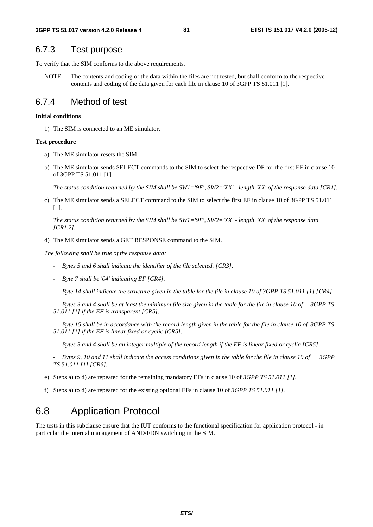## 6.7.3 Test purpose

To verify that the SIM conforms to the above requirements.

NOTE: The contents and coding of the data within the files are not tested, but shall conform to the respective contents and coding of the data given for each file in clause 10 of 3GPP TS 51.011 [1].

## 6.7.4 Method of test

#### **Initial conditions**

1) The SIM is connected to an ME simulator.

#### **Test procedure**

- a) The ME simulator resets the SIM.
- b) The ME simulator sends SELECT commands to the SIM to select the respective DF for the first EF in clause 10 of 3GPP TS 51.011 [1].

*The status condition returned by the SIM shall be SW1='9F', SW2='XX' - length 'XX' of the response data [CR1].* 

c) The ME simulator sends a SELECT command to the SIM to select the first EF in clause 10 of 3GPP TS 51.011 [1].

*The status condition returned by the SIM shall be SW1='9F', SW2='XX' - length 'XX' of the response data [CR1,2].* 

d) The ME simulator sends a GET RESPONSE command to the SIM.

*The following shall be true of the response data:* 

- *Bytes 5 and 6 shall indicate the identifier of the file selected. [CR3].*
- *Byte 7 shall be '04' indicating EF [CR4].*
- *Byte 14 shall indicate the structure given in the table for the file in clause 10 of 3GPP TS 51.011 [1] [CR4].*

 *- Bytes 3 and 4 shall be at least the minimum file size given in the table for the file in clause 10 of 3GPP TS 51.011 [1] if the EF is transparent [CR5].* 

- *Byte 15 shall be in accordance with the record length given in the table for the file in clause 10 of 3GPP TS 51.011 [1] if the EF is linear fixed or cyclic [CR5].*
- *Bytes 3 and 4 shall be an integer multiple of the record length if the EF is linear fixed or cyclic [CR5].*
- *Bytes 9, 10 and 11 shall indicate the access conditions given in the table for the file in clause 10 of 3GPP TS 51.011 [1] [CR6].*
- e) Steps a) to d) are repeated for the remaining mandatory EFs in clause 10 of *3GPP TS 51.011 [1].*
- f) Steps a) to d) are repeated for the existing optional EFs in clause 10 of *3GPP TS 51.011 [1].*

## 6.8 Application Protocol

The tests in this subclause ensure that the IUT conforms to the functional specification for application protocol - in particular the internal management of AND/FDN switching in the SIM.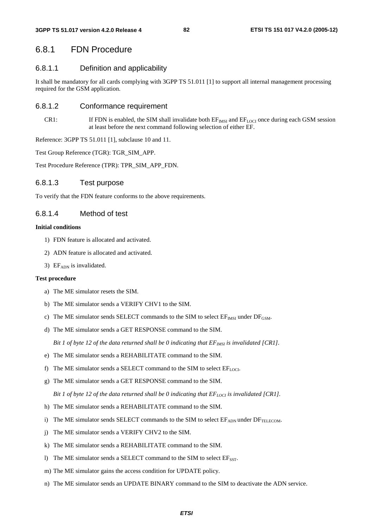## 6.8.1 FDN Procedure

## 6.8.1.1 Definition and applicability

It shall be mandatory for all cards complying with 3GPP TS 51.011 [1] to support all internal management processing required for the GSM application.

#### 6.8.1.2 Conformance requirement

CR1: If FDN is enabled, the SIM shall invalidate both  $EF_{IMSI}$  and  $EF_{LOCI}$  once during each GSM session at least before the next command following selection of either EF.

Reference: 3GPP TS 51.011 [1], subclause 10 and 11.

Test Group Reference (TGR): TGR\_SIM\_APP.

Test Procedure Reference (TPR): TPR\_SIM\_APP\_FDN.

#### 6.8.1.3 Test purpose

To verify that the FDN feature conforms to the above requirements.

#### 6.8.1.4 Method of test

#### **Initial conditions**

- 1) FDN feature is allocated and activated.
- 2) ADN feature is allocated and activated.
- 3)  $EF<sub>ADN</sub>$  is invalidated.

#### **Test procedure**

- a) The ME simulator resets the SIM.
- b) The ME simulator sends a VERIFY CHV1 to the SIM.
- c) The ME simulator sends SELECT commands to the SIM to select  $EF_{MSI}$  under  $DF_{GSM}$ .
- d) The ME simulator sends a GET RESPONSE command to the SIM.

*Bit 1 of byte 12 of the data returned shall be 0 indicating that*  $EF_{MSI}$  *is invalidated [CR1].* 

- e) The ME simulator sends a REHABILITATE command to the SIM.
- f) The ME simulator sends a SELECT command to the SIM to select  $EF_{LOCI}$ .
- g) The ME simulator sends a GET RESPONSE command to the SIM.

*Bit 1 of byte 12 of the data returned shall be 0 indicating that*  $EF_{LOC}$  *is invalidated [CR1].* 

- h) The ME simulator sends a REHABILITATE command to the SIM.
- i) The ME simulator sends SELECT commands to the SIM to select  $E_{\text{ADN}}$  under  $DF_{\text{TELECOM}}$ .
- j) The ME simulator sends a VERIFY CHV2 to the SIM.
- k) The ME simulator sends a REHABILITATE command to the SIM.
- l) The ME simulator sends a SELECT command to the SIM to select  $E_{SST}$ .
- m) The ME simulator gains the access condition for UPDATE policy.
- n) The ME simulator sends an UPDATE BINARY command to the SIM to deactivate the ADN service.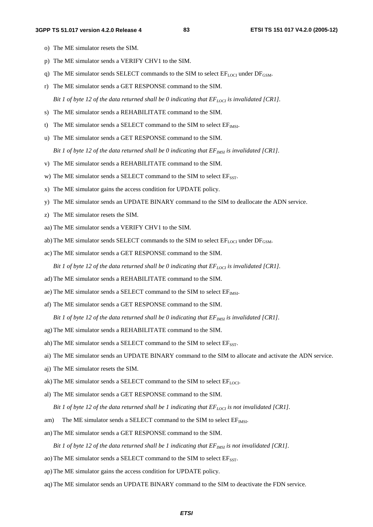- o) The ME simulator resets the SIM.
- p) The ME simulator sends a VERIFY CHV1 to the SIM.
- q) The ME simulator sends SELECT commands to the SIM to select  $EF_{LOCI}$  under  $DF_{GSM}$ .
- r) The ME simulator sends a GET RESPONSE command to the SIM.

*Bit 1 of byte 12 of the data returned shall be 0 indicating that*  $EF_{LOC}$  *is invalidated [CR1].* 

- s) The ME simulator sends a REHABILITATE command to the SIM.
- t) The ME simulator sends a SELECT command to the SIM to select  $EF_{MSI}$ .
- u) The ME simulator sends a GET RESPONSE command to the SIM.

*Bit 1 of byte 12 of the data returned shall be 0 indicating that*  $EF_{MSI}$  *is invalidated [CR1].* 

- v) The ME simulator sends a REHABILITATE command to the SIM.
- w) The ME simulator sends a SELECT command to the SIM to select  $E_{SST}$ .
- x) The ME simulator gains the access condition for UPDATE policy.
- y) The ME simulator sends an UPDATE BINARY command to the SIM to deallocate the ADN service.
- z) The ME simulator resets the SIM.
- aa) The ME simulator sends a VERIFY CHV1 to the SIM.
- ab) The ME simulator sends SELECT commands to the SIM to select  $EF_{\text{LOCI}}$  under  $DF_{\text{GSM}}$ .
- ac) The ME simulator sends a GET RESPONSE command to the SIM.

*Bit 1 of byte 12 of the data returned shall be 0 indicating that*  $EF_{LOCI}$  *is invalidated [CR1].* 

- ad) The ME simulator sends a REHABILITATE command to the SIM.
- ae) The ME simulator sends a SELECT command to the SIM to select  $EF_{MSE}$ .
- af) The ME simulator sends a GET RESPONSE command to the SIM.

*Bit 1 of byte 12 of the data returned shall be 0 indicating that*  $EF_{MSI}$  *is invalidated [CR1].* 

- ag) The ME simulator sends a REHABILITATE command to the SIM.
- ah) The ME simulator sends a SELECT command to the SIM to select  $EF_{SST}$ .
- ai) The ME simulator sends an UPDATE BINARY command to the SIM to allocate and activate the ADN service.
- aj) The ME simulator resets the SIM.
- ak) The ME simulator sends a SELECT command to the SIM to select  $EF_{LOCI}$ .
- al) The ME simulator sends a GET RESPONSE command to the SIM.

*Bit 1 of byte 12 of the data returned shall be 1 indicating that*  $EF_{LOC}$  *is not invalidated [CR1].* 

- am) The ME simulator sends a SELECT command to the SIM to select  $EF_{MSI}$ .
- an) The ME simulator sends a GET RESPONSE command to the SIM.

*Bit 1 of byte 12 of the data returned shall be 1 indicating that*  $EF_{MSI}$  *is not invalidated [CR1].* 

- ao) The ME simulator sends a SELECT command to the SIM to select EF<sub>SST</sub>.
- ap) The ME simulator gains the access condition for UPDATE policy.
- aq) The ME simulator sends an UPDATE BINARY command to the SIM to deactivate the FDN service.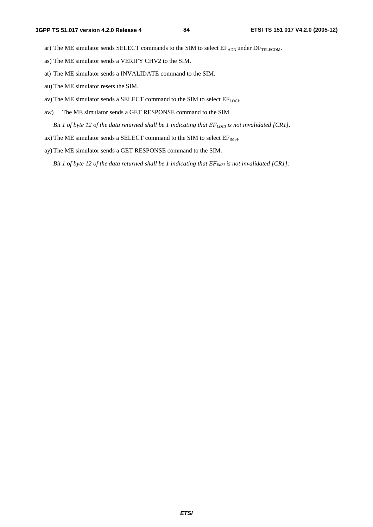- ar) The ME simulator sends SELECT commands to the SIM to select  $EF_{\text{ADN}}$  under  $DF_{\text{TELECOM}}$ .
- as) The ME simulator sends a VERIFY CHV2 to the SIM.
- at) The ME simulator sends a INVALIDATE command to the SIM.
- au) The ME simulator resets the SIM.
- av) The ME simulator sends a SELECT command to the SIM to select  $EF_{LOCI}$ .
- aw) The ME simulator sends a GET RESPONSE command to the SIM.

*Bit 1 of byte 12 of the data returned shall be 1 indicating that*  $EF_{LOCI}$  *is not invalidated [CR1].* 

- ax) The ME simulator sends a SELECT command to the SIM to select  $EF_{MSE}$ .
- ay) The ME simulator sends a GET RESPONSE command to the SIM.

*Bit 1 of byte 12 of the data returned shall be 1 indicating that*  $EF_{MSI}$  *is not invalidated [CR1].*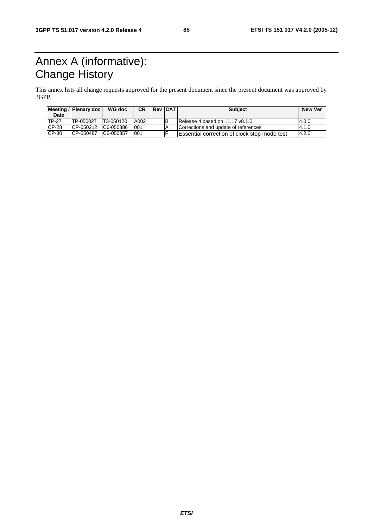# Annex A (informative): Change History

This annex lists all change requests approved for the present document since the present document was approved by 3GPP.

| Date         | Meeting / Plenary doc | WG doc    | <b>CR</b> | <b>Rev CAT</b> | <b>Subject</b>                                      | New Ver |
|--------------|-----------------------|-----------|-----------|----------------|-----------------------------------------------------|---------|
| <b>TP-27</b> | TP-050027             | T3-050120 | A002      | IB             | IRelease 4 based on 11.17 v8.1.0                    | 4.0.0   |
| $CP-28$      | CP-050212             | C6-050386 | 001       |                | Corrections and update of references                | 4.1.0   |
| CP-30        | ICP-050487            | C6-050857 | 001       |                | <b>Essential correction of clock stop mode test</b> | 4.2.0   |